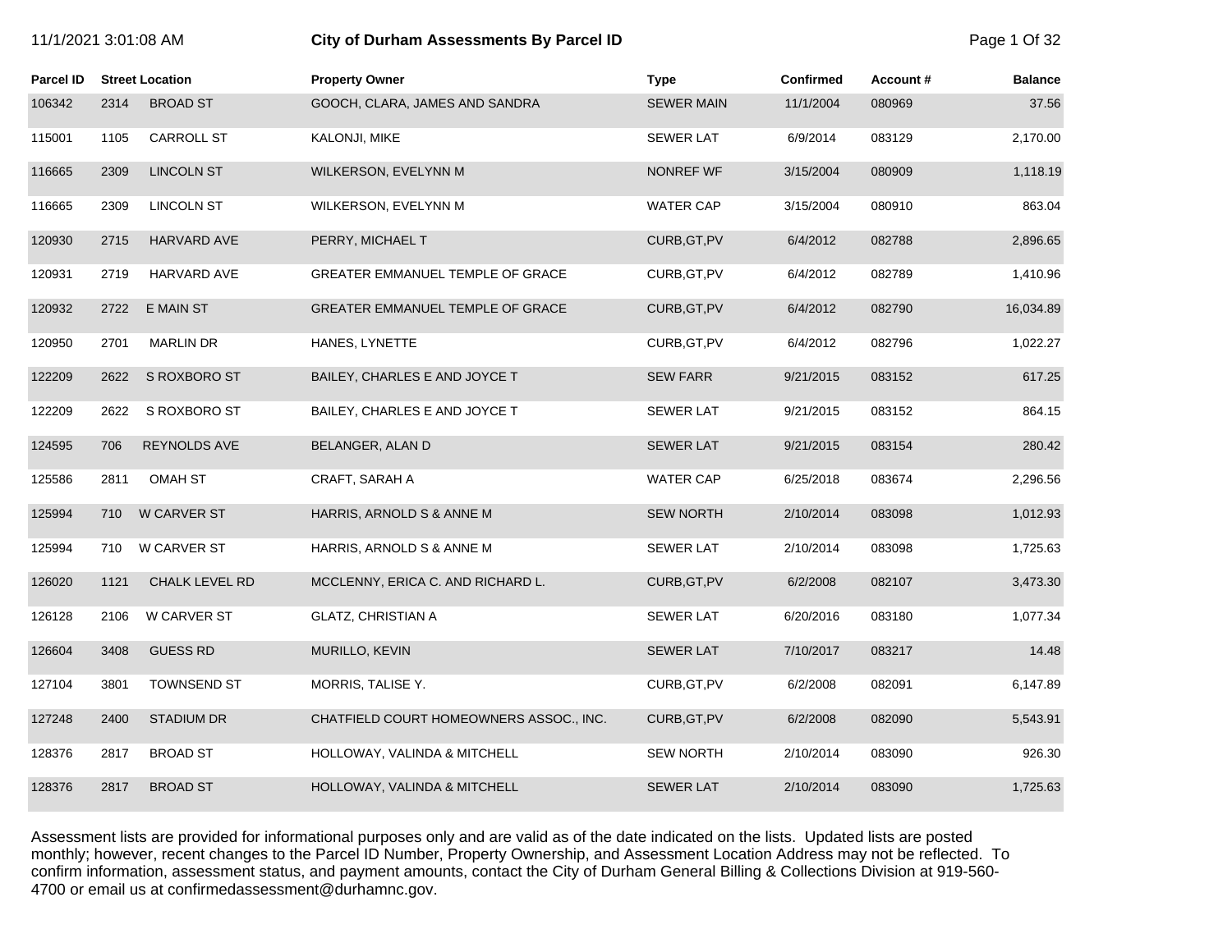| 11/1/2021 3:01:08 AM |  |
|----------------------|--|
|----------------------|--|

# **111/2021 3:01:03:01:00 City of Durham Assessments By Parcel ID 2:01:08 Page 1 Of 32 Page 1 Of 32**

| <b>Parcel ID</b> |      | <b>Street Location</b> | <b>Property Owner</b>                   | <b>Type</b>       | <b>Confirmed</b> | Account# | <b>Balance</b> |
|------------------|------|------------------------|-----------------------------------------|-------------------|------------------|----------|----------------|
| 106342           | 2314 | <b>BROAD ST</b>        | GOOCH, CLARA, JAMES AND SANDRA          | <b>SEWER MAIN</b> | 11/1/2004        | 080969   | 37.56          |
| 115001           | 1105 | CARROLL ST             | KALONJI, MIKE                           | <b>SEWER LAT</b>  | 6/9/2014         | 083129   | 2,170.00       |
| 116665           | 2309 | <b>LINCOLN ST</b>      | WILKERSON, EVELYNN M                    | <b>NONREF WF</b>  | 3/15/2004        | 080909   | 1,118.19       |
| 116665           | 2309 | <b>LINCOLN ST</b>      | WILKERSON, EVELYNN M                    | <b>WATER CAP</b>  | 3/15/2004        | 080910   | 863.04         |
| 120930           | 2715 | HARVARD AVE            | PERRY, MICHAEL T                        | CURB, GT, PV      | 6/4/2012         | 082788   | 2,896.65       |
| 120931           | 2719 | HARVARD AVE            | GREATER EMMANUEL TEMPLE OF GRACE        | CURB, GT, PV      | 6/4/2012         | 082789   | 1,410.96       |
| 120932           | 2722 | <b>E MAIN ST</b>       | GREATER EMMANUEL TEMPLE OF GRACE        | CURB, GT, PV      | 6/4/2012         | 082790   | 16,034.89      |
| 120950           | 2701 | <b>MARLIN DR</b>       | HANES, LYNETTE                          | CURB, GT, PV      | 6/4/2012         | 082796   | 1,022.27       |
| 122209           | 2622 | S ROXBORO ST           | BAILEY, CHARLES E AND JOYCE T           | <b>SEW FARR</b>   | 9/21/2015        | 083152   | 617.25         |
| 122209           | 2622 | S ROXBORO ST           | BAILEY, CHARLES E AND JOYCE T           | <b>SEWER LAT</b>  | 9/21/2015        | 083152   | 864.15         |
| 124595           | 706  | REYNOLDS AVE           | BELANGER, ALAN D                        | <b>SEWER LAT</b>  | 9/21/2015        | 083154   | 280.42         |
| 125586           | 2811 | <b>OMAH ST</b>         | CRAFT, SARAH A                          | <b>WATER CAP</b>  | 6/25/2018        | 083674   | 2,296.56       |
| 125994           | 710  | W CARVER ST            | HARRIS, ARNOLD S & ANNE M               | <b>SEW NORTH</b>  | 2/10/2014        | 083098   | 1,012.93       |
| 125994           | 710  | <b>W CARVER ST</b>     | HARRIS, ARNOLD S & ANNE M               | <b>SEWER LAT</b>  | 2/10/2014        | 083098   | 1,725.63       |
| 126020           | 1121 | CHALK LEVEL RD         | MCCLENNY, ERICA C. AND RICHARD L.       | CURB, GT, PV      | 6/2/2008         | 082107   | 3,473.30       |
| 126128           | 2106 | W CARVER ST            | <b>GLATZ, CHRISTIAN A</b>               | <b>SEWER LAT</b>  | 6/20/2016        | 083180   | 1,077.34       |
| 126604           | 3408 | <b>GUESS RD</b>        | MURILLO, KEVIN                          | <b>SEWER LAT</b>  | 7/10/2017        | 083217   | 14.48          |
| 127104           | 3801 | <b>TOWNSEND ST</b>     | MORRIS, TALISE Y.                       | CURB, GT, PV      | 6/2/2008         | 082091   | 6,147.89       |
| 127248           | 2400 | <b>STADIUM DR</b>      | CHATFIELD COURT HOMEOWNERS ASSOC., INC. | CURB, GT, PV      | 6/2/2008         | 082090   | 5,543.91       |
| 128376           | 2817 | <b>BROAD ST</b>        | HOLLOWAY, VALINDA & MITCHELL            | <b>SEW NORTH</b>  | 2/10/2014        | 083090   | 926.30         |
| 128376           | 2817 | <b>BROAD ST</b>        | HOLLOWAY, VALINDA & MITCHELL            | <b>SEWER LAT</b>  | 2/10/2014        | 083090   | 1,725.63       |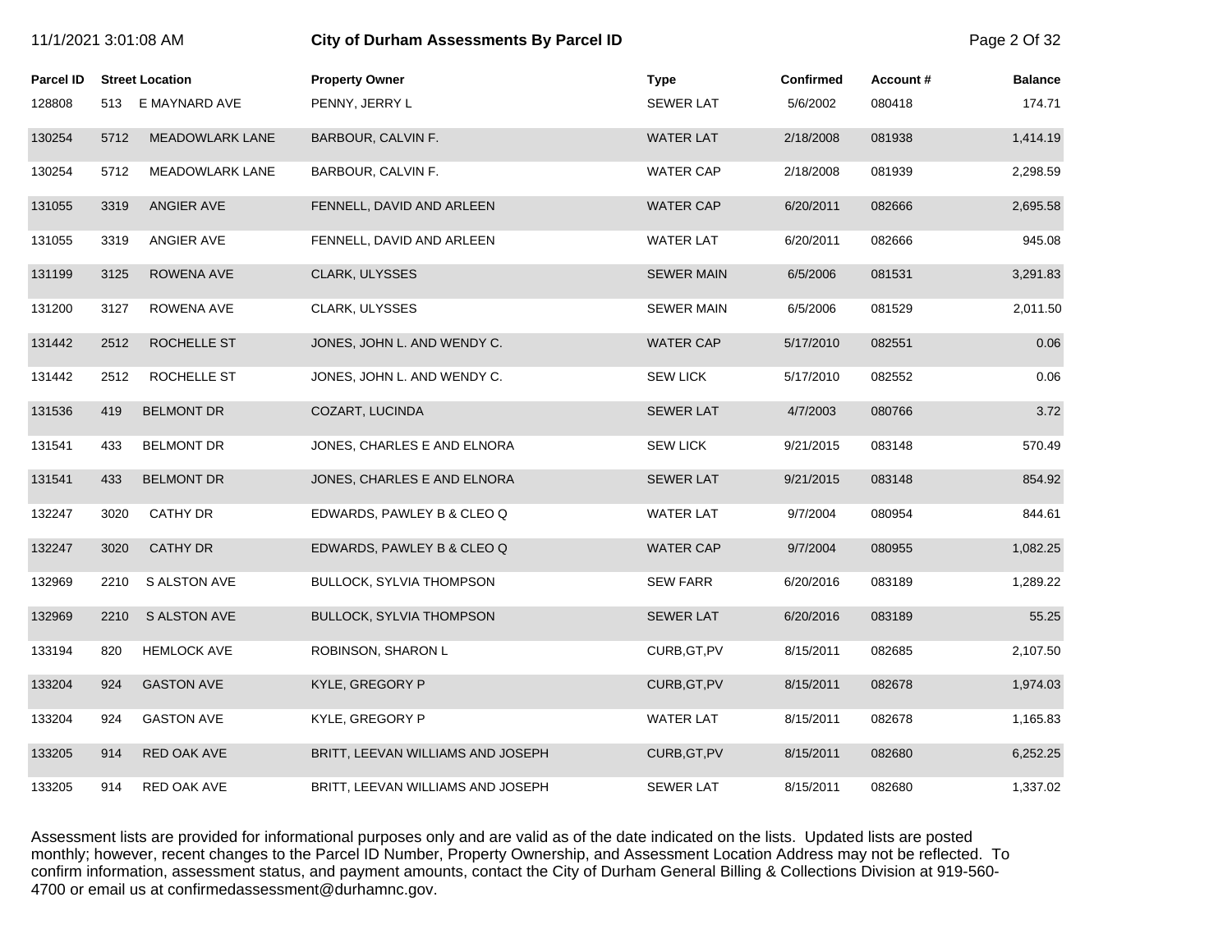| 11/1/2021 3:01:08 AM |      |                        | City of Durham Assessments By Parcel ID |                   |           |          | Page 2 Of 32   |
|----------------------|------|------------------------|-----------------------------------------|-------------------|-----------|----------|----------------|
| Parcel ID            |      | <b>Street Location</b> | <b>Property Owner</b>                   | <b>Type</b>       | Confirmed | Account# | <b>Balance</b> |
| 128808               |      | 513 E MAYNARD AVE      | PENNY, JERRY L                          | <b>SEWER LAT</b>  | 5/6/2002  | 080418   | 174.71         |
| 130254               | 5712 | <b>MEADOWLARK LANE</b> | BARBOUR, CALVIN F.                      | <b>WATER LAT</b>  | 2/18/2008 | 081938   | 1,414.19       |
| 130254               | 5712 | MEADOWLARK LANE        | BARBOUR, CALVIN F.                      | <b>WATER CAP</b>  | 2/18/2008 | 081939   | 2,298.59       |
| 131055               | 3319 | ANGIER AVE             | FENNELL, DAVID AND ARLEEN               | <b>WATER CAP</b>  | 6/20/2011 | 082666   | 2,695.58       |
| 131055               | 3319 | ANGIER AVE             | FENNELL, DAVID AND ARLEEN               | <b>WATER LAT</b>  | 6/20/2011 | 082666   | 945.08         |
| 131199               | 3125 | ROWENA AVE             | CLARK, ULYSSES                          | <b>SEWER MAIN</b> | 6/5/2006  | 081531   | 3,291.83       |
| 131200               | 3127 | ROWENA AVE             | CLARK, ULYSSES                          | <b>SEWER MAIN</b> | 6/5/2006  | 081529   | 2,011.50       |
| 131442               | 2512 | ROCHELLE ST            | JONES, JOHN L. AND WENDY C.             | <b>WATER CAP</b>  | 5/17/2010 | 082551   | 0.06           |
| 131442               | 2512 | ROCHELLE ST            | JONES, JOHN L. AND WENDY C.             | <b>SEW LICK</b>   | 5/17/2010 | 082552   | 0.06           |
| 131536               | 419  | <b>BELMONT DR</b>      | COZART, LUCINDA                         | <b>SEWER LAT</b>  | 4/7/2003  | 080766   | 3.72           |
| 131541               | 433  | <b>BELMONT DR</b>      | JONES, CHARLES E AND ELNORA             | <b>SEW LICK</b>   | 9/21/2015 | 083148   | 570.49         |
| 131541               | 433  | <b>BELMONT DR</b>      | JONES, CHARLES E AND ELNORA             | <b>SEWER LAT</b>  | 9/21/2015 | 083148   | 854.92         |
| 132247               | 3020 | CATHY DR               | EDWARDS, PAWLEY B & CLEO Q              | <b>WATER LAT</b>  | 9/7/2004  | 080954   | 844.61         |
| 132247               | 3020 | <b>CATHY DR</b>        | EDWARDS, PAWLEY B & CLEO Q              | <b>WATER CAP</b>  | 9/7/2004  | 080955   | 1,082.25       |
| 132969               | 2210 | S ALSTON AVE           | <b>BULLOCK, SYLVIA THOMPSON</b>         | <b>SEW FARR</b>   | 6/20/2016 | 083189   | 1,289.22       |
| 132969               | 2210 | <b>S ALSTON AVE</b>    | <b>BULLOCK, SYLVIA THOMPSON</b>         | <b>SEWER LAT</b>  | 6/20/2016 | 083189   | 55.25          |
| 133194               | 820  | <b>HEMLOCK AVE</b>     | ROBINSON, SHARON L                      | CURB, GT, PV      | 8/15/2011 | 082685   | 2,107.50       |
| 133204               | 924  | <b>GASTON AVE</b>      | KYLE, GREGORY P                         | CURB, GT, PV      | 8/15/2011 | 082678   | 1,974.03       |
| 133204               | 924  | <b>GASTON AVE</b>      | KYLE, GREGORY P                         | <b>WATER LAT</b>  | 8/15/2011 | 082678   | 1,165.83       |
| 133205               | 914  | RED OAK AVE            | BRITT, LEEVAN WILLIAMS AND JOSEPH       | CURB, GT, PV      | 8/15/2011 | 082680   | 6,252.25       |
| 133205               | 914  | RED OAK AVE            | BRITT, LEEVAN WILLIAMS AND JOSEPH       | <b>SEWER LAT</b>  | 8/15/2011 | 082680   | 1,337.02       |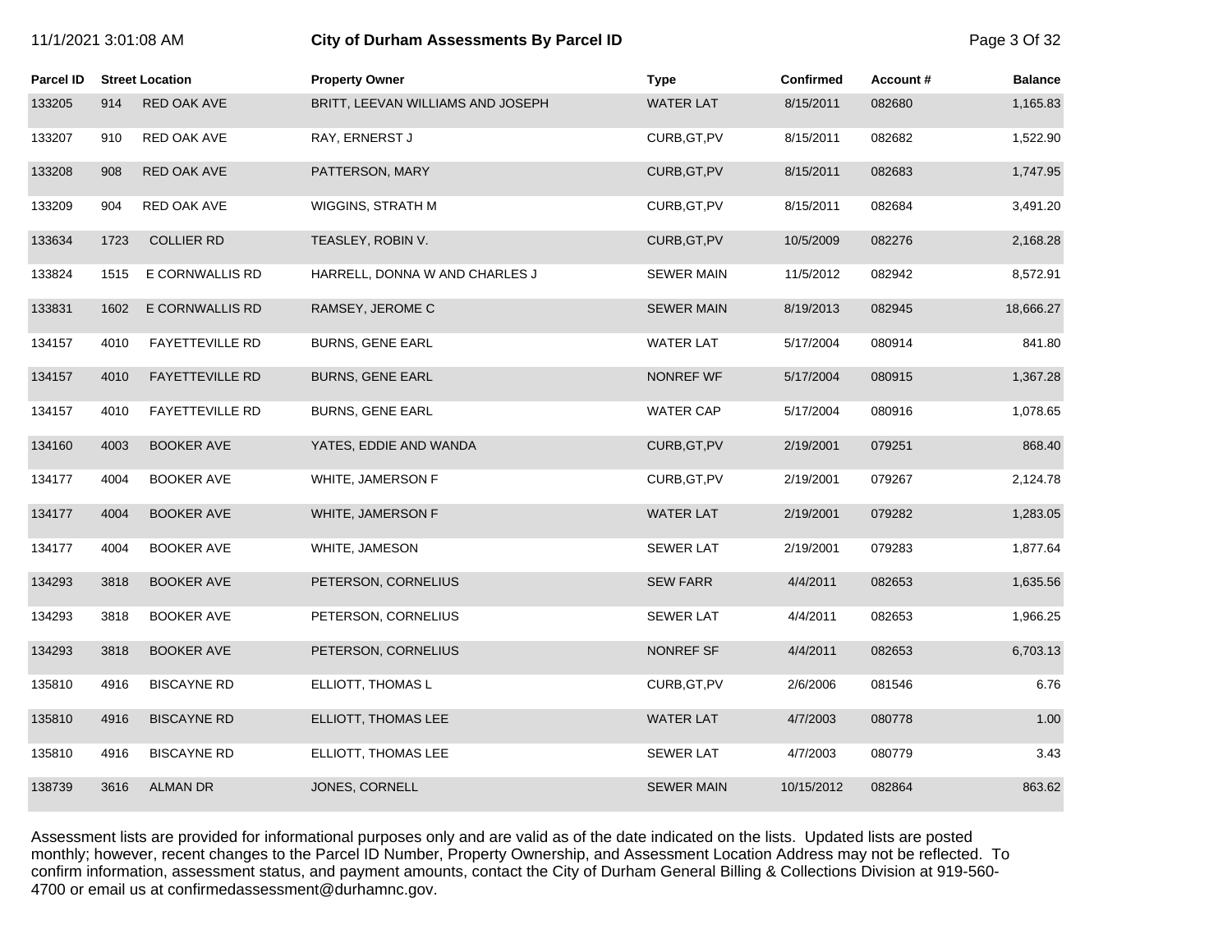| 11/1/2021 3:01:08 AM |      |                        | City of Durham Assessments By Parcel ID |                   |                  |          |                |
|----------------------|------|------------------------|-----------------------------------------|-------------------|------------------|----------|----------------|
| <b>Parcel ID</b>     |      | <b>Street Location</b> | <b>Property Owner</b>                   | <b>Type</b>       | <b>Confirmed</b> | Account# | <b>Balance</b> |
| 133205               | 914  | RED OAK AVE            | BRITT, LEEVAN WILLIAMS AND JOSEPH       | <b>WATER LAT</b>  | 8/15/2011        | 082680   | 1,165.83       |
| 133207               | 910  | RED OAK AVE            | RAY, ERNERST J                          | CURB, GT, PV      | 8/15/2011        | 082682   | 1,522.90       |
| 133208               | 908  | RED OAK AVE            | PATTERSON, MARY                         | CURB, GT, PV      | 8/15/2011        | 082683   | 1,747.95       |
| 133209               | 904  | RED OAK AVE            | WIGGINS, STRATH M                       | CURB, GT, PV      | 8/15/2011        | 082684   | 3,491.20       |
| 133634               | 1723 | <b>COLLIER RD</b>      | TEASLEY, ROBIN V.                       | CURB, GT, PV      | 10/5/2009        | 082276   | 2,168.28       |
| 133824               | 1515 | E CORNWALLIS RD        | HARRELL, DONNA W AND CHARLES J          | <b>SEWER MAIN</b> | 11/5/2012        | 082942   | 8,572.91       |
| 133831               | 1602 | E CORNWALLIS RD        | RAMSEY, JEROME C                        | <b>SEWER MAIN</b> | 8/19/2013        | 082945   | 18,666.27      |
| 134157               | 4010 | <b>FAYETTEVILLE RD</b> | <b>BURNS, GENE EARL</b>                 | WATER LAT         | 5/17/2004        | 080914   | 841.80         |
| 134157               | 4010 | <b>FAYETTEVILLE RD</b> | <b>BURNS, GENE EARL</b>                 | <b>NONREF WF</b>  | 5/17/2004        | 080915   | 1,367.28       |
| 134157               | 4010 | <b>FAYETTEVILLE RD</b> | <b>BURNS, GENE EARL</b>                 | <b>WATER CAP</b>  | 5/17/2004        | 080916   | 1,078.65       |
| 134160               | 4003 | <b>BOOKER AVE</b>      | YATES, EDDIE AND WANDA                  | CURB, GT, PV      | 2/19/2001        | 079251   | 868.40         |
| 134177               | 4004 | <b>BOOKER AVE</b>      | WHITE, JAMERSON F                       | CURB, GT, PV      | 2/19/2001        | 079267   | 2,124.78       |
| 134177               | 4004 | <b>BOOKER AVE</b>      | WHITE, JAMERSON F                       | <b>WATER LAT</b>  | 2/19/2001        | 079282   | 1,283.05       |
| 134177               | 4004 | <b>BOOKER AVE</b>      | WHITE, JAMESON                          | <b>SEWER LAT</b>  | 2/19/2001        | 079283   | 1,877.64       |
| 134293               | 3818 | <b>BOOKER AVE</b>      | PETERSON, CORNELIUS                     | <b>SEW FARR</b>   | 4/4/2011         | 082653   | 1,635.56       |
| 134293               | 3818 | <b>BOOKER AVE</b>      | PETERSON, CORNELIUS                     | <b>SEWER LAT</b>  | 4/4/2011         | 082653   | 1,966.25       |
| 134293               | 3818 | <b>BOOKER AVE</b>      | PETERSON, CORNELIUS                     | <b>NONREF SF</b>  | 4/4/2011         | 082653   | 6,703.13       |
| 135810               | 4916 | <b>BISCAYNE RD</b>     | ELLIOTT, THOMAS L                       | CURB, GT, PV      | 2/6/2006         | 081546   | 6.76           |
| 135810               | 4916 | <b>BISCAYNE RD</b>     | ELLIOTT, THOMAS LEE                     | <b>WATER LAT</b>  | 4/7/2003         | 080778   | 1.00           |
| 135810               | 4916 | <b>BISCAYNE RD</b>     | ELLIOTT, THOMAS LEE                     | <b>SEWER LAT</b>  | 4/7/2003         | 080779   | 3.43           |
| 138739               | 3616 | <b>ALMAN DR</b>        | JONES, CORNELL                          | <b>SEWER MAIN</b> | 10/15/2012       | 082864   | 863.62         |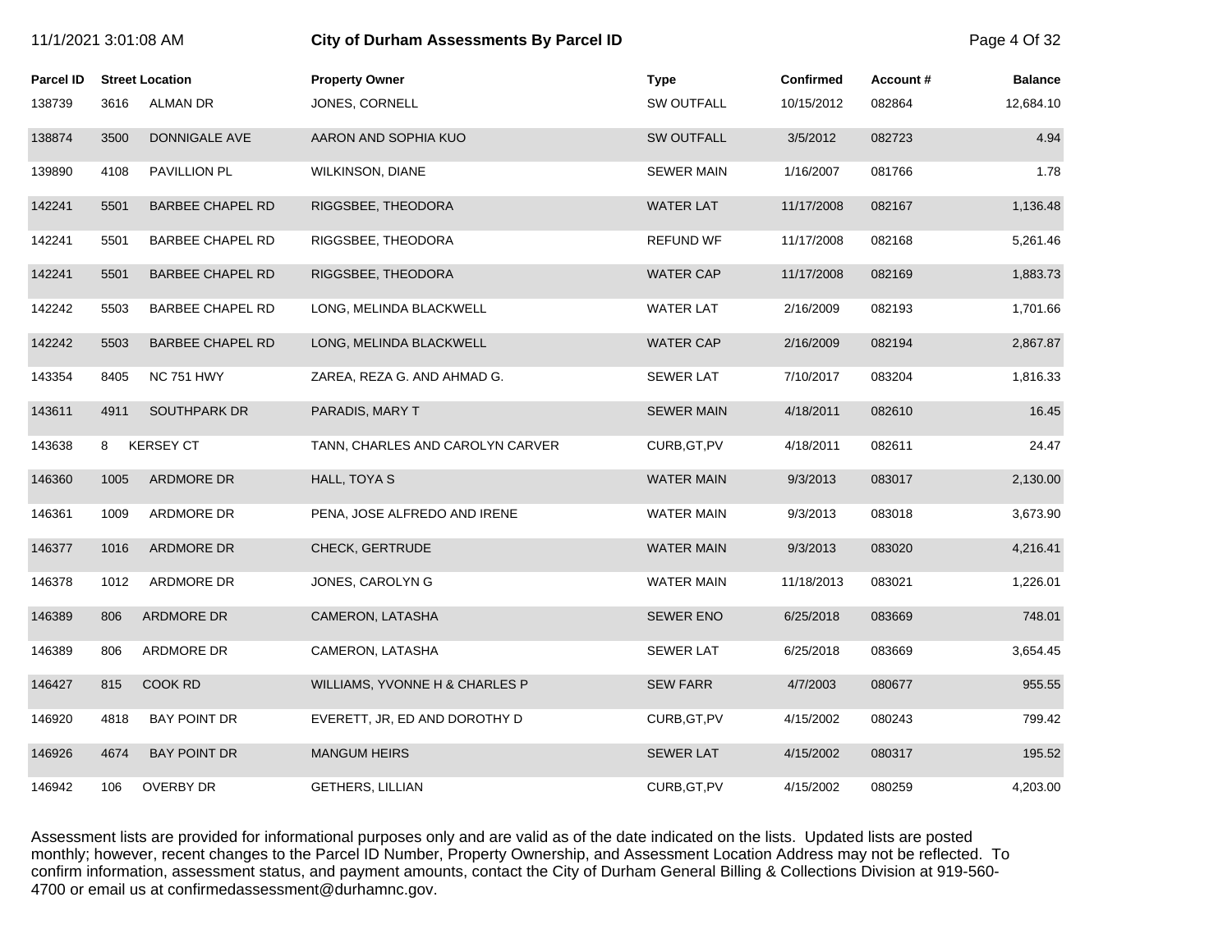| 11/1/2021 3:01:08 AM |      |                         | City of Durham Assessments By Parcel ID |                   |                  |          |                |
|----------------------|------|-------------------------|-----------------------------------------|-------------------|------------------|----------|----------------|
| Parcel ID            |      | <b>Street Location</b>  | <b>Property Owner</b>                   | <b>Type</b>       | <b>Confirmed</b> | Account# | <b>Balance</b> |
| 138739               | 3616 | ALMAN DR                | JONES, CORNELL                          | <b>SW OUTFALL</b> | 10/15/2012       | 082864   | 12,684.10      |
| 138874               | 3500 | DONNIGALE AVE           | AARON AND SOPHIA KUO                    | <b>SW OUTFALL</b> | 3/5/2012         | 082723   | 4.94           |
| 139890               | 4108 | PAVILLION PL            | <b>WILKINSON, DIANE</b>                 | <b>SEWER MAIN</b> | 1/16/2007        | 081766   | 1.78           |
| 142241               | 5501 | <b>BARBEE CHAPEL RD</b> | RIGGSBEE, THEODORA                      | <b>WATER LAT</b>  | 11/17/2008       | 082167   | 1,136.48       |
| 142241               | 5501 | <b>BARBEE CHAPEL RD</b> | RIGGSBEE, THEODORA                      | <b>REFUND WF</b>  | 11/17/2008       | 082168   | 5,261.46       |
| 142241               | 5501 | <b>BARBEE CHAPEL RD</b> | RIGGSBEE, THEODORA                      | <b>WATER CAP</b>  | 11/17/2008       | 082169   | 1,883.73       |
| 142242               | 5503 | <b>BARBEE CHAPEL RD</b> | LONG, MELINDA BLACKWELL                 | <b>WATER LAT</b>  | 2/16/2009        | 082193   | 1,701.66       |
| 142242               | 5503 | <b>BARBEE CHAPEL RD</b> | LONG, MELINDA BLACKWELL                 | <b>WATER CAP</b>  | 2/16/2009        | 082194   | 2,867.87       |
| 143354               | 8405 | <b>NC 751 HWY</b>       | ZAREA, REZA G. AND AHMAD G.             | <b>SEWER LAT</b>  | 7/10/2017        | 083204   | 1,816.33       |
| 143611               | 4911 | SOUTHPARK DR            | PARADIS, MARY T                         | <b>SEWER MAIN</b> | 4/18/2011        | 082610   | 16.45          |
| 143638               | 8    | <b>KERSEY CT</b>        | TANN, CHARLES AND CAROLYN CARVER        | CURB, GT, PV      | 4/18/2011        | 082611   | 24.47          |
| 146360               | 1005 | ARDMORE DR              | HALL, TOYA S                            | <b>WATER MAIN</b> | 9/3/2013         | 083017   | 2,130.00       |
| 146361               | 1009 | ARDMORE DR              | PENA, JOSE ALFREDO AND IRENE            | <b>WATER MAIN</b> | 9/3/2013         | 083018   | 3,673.90       |
| 146377               | 1016 | ARDMORE DR              | <b>CHECK, GERTRUDE</b>                  | <b>WATER MAIN</b> | 9/3/2013         | 083020   | 4,216.41       |
| 146378               | 1012 | ARDMORE DR              | JONES, CAROLYN G                        | WATER MAIN        | 11/18/2013       | 083021   | 1,226.01       |
| 146389               | 806  | ARDMORE DR              | CAMERON, LATASHA                        | <b>SEWER ENO</b>  | 6/25/2018        | 083669   | 748.01         |
| 146389               | 806  | ARDMORE DR              | CAMERON, LATASHA                        | <b>SEWER LAT</b>  | 6/25/2018        | 083669   | 3,654.45       |
| 146427               | 815  | COOK RD                 | WILLIAMS, YVONNE H & CHARLES P          | <b>SEW FARR</b>   | 4/7/2003         | 080677   | 955.55         |
| 146920               | 4818 | <b>BAY POINT DR</b>     | EVERETT, JR, ED AND DOROTHY D           | CURB, GT, PV      | 4/15/2002        | 080243   | 799.42         |
| 146926               | 4674 | <b>BAY POINT DR</b>     | <b>MANGUM HEIRS</b>                     | <b>SEWER LAT</b>  | 4/15/2002        | 080317   | 195.52         |
| 146942               | 106  | <b>OVERBY DR</b>        | <b>GETHERS, LILLIAN</b>                 | CURB, GT, PV      | 4/15/2002        | 080259   | 4,203.00       |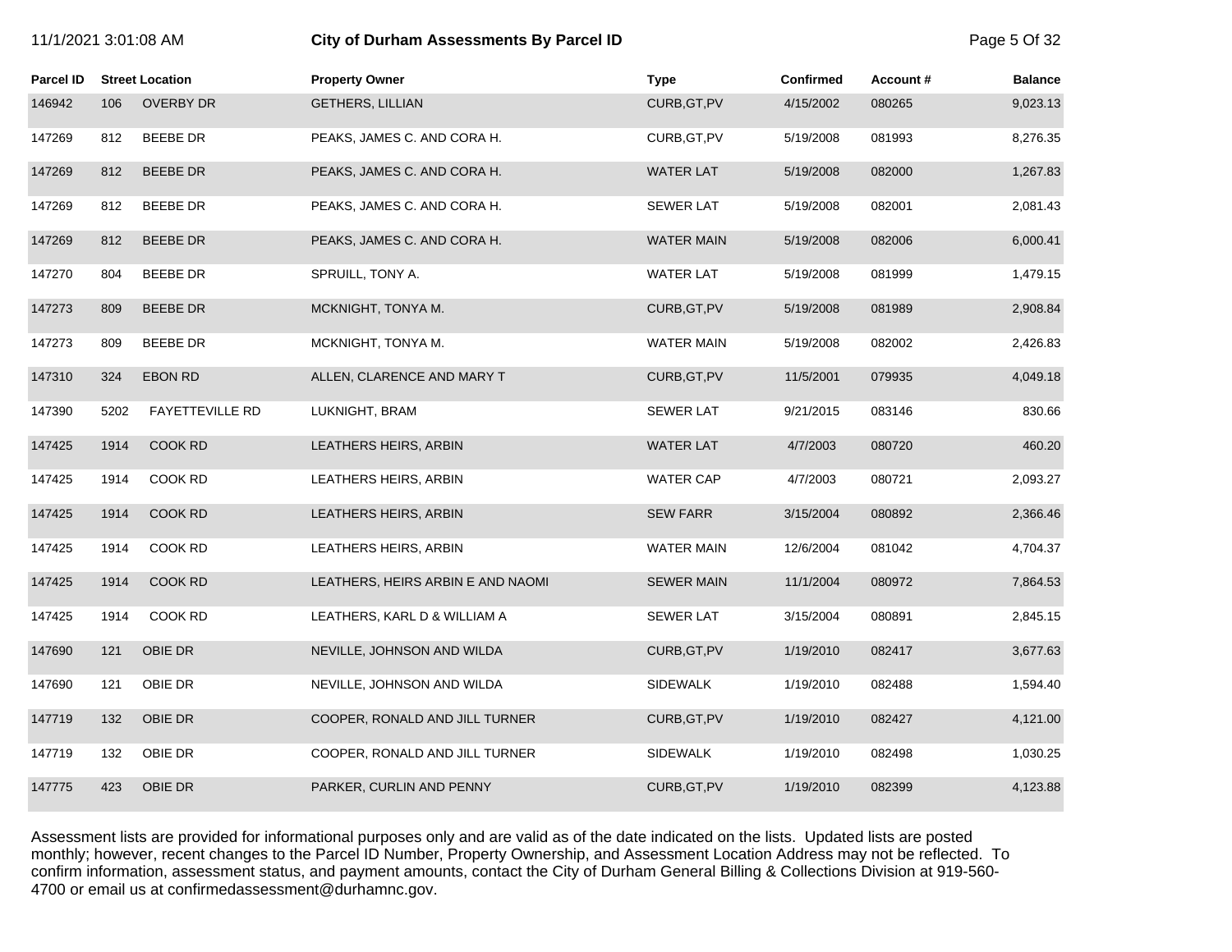| 11/1/2021 3:01:08 AM |      |                        | City of Durham Assessments By Parcel ID |                   |                  |          |                |
|----------------------|------|------------------------|-----------------------------------------|-------------------|------------------|----------|----------------|
| <b>Parcel ID</b>     |      | <b>Street Location</b> | <b>Property Owner</b>                   | <b>Type</b>       | <b>Confirmed</b> | Account# | <b>Balance</b> |
| 146942               | 106  | <b>OVERBY DR</b>       | <b>GETHERS, LILLIAN</b>                 | CURB, GT, PV      | 4/15/2002        | 080265   | 9,023.13       |
| 147269               | 812  | <b>BEEBE DR</b>        | PEAKS, JAMES C. AND CORA H.             | CURB, GT, PV      | 5/19/2008        | 081993   | 8,276.35       |
| 147269               | 812  | <b>BEEBE DR</b>        | PEAKS, JAMES C. AND CORA H.             | <b>WATER LAT</b>  | 5/19/2008        | 082000   | 1,267.83       |
| 147269               | 812  | <b>BEEBE DR</b>        | PEAKS, JAMES C. AND CORA H.             | <b>SEWER LAT</b>  | 5/19/2008        | 082001   | 2,081.43       |
| 147269               | 812  | <b>BEEBE DR</b>        | PEAKS, JAMES C. AND CORA H.             | <b>WATER MAIN</b> | 5/19/2008        | 082006   | 6,000.41       |
| 147270               | 804  | <b>BEEBE DR</b>        | SPRUILL, TONY A.                        | <b>WATER LAT</b>  | 5/19/2008        | 081999   | 1,479.15       |
| 147273               | 809  | <b>BEEBE DR</b>        | MCKNIGHT, TONYA M.                      | CURB, GT, PV      | 5/19/2008        | 081989   | 2,908.84       |
| 147273               | 809  | <b>BEEBE DR</b>        | MCKNIGHT, TONYA M.                      | <b>WATER MAIN</b> | 5/19/2008        | 082002   | 2,426.83       |
| 147310               | 324  | <b>EBON RD</b>         | ALLEN, CLARENCE AND MARY T              | CURB, GT, PV      | 11/5/2001        | 079935   | 4,049.18       |
| 147390               | 5202 | FAYETTEVILLE RD        | LUKNIGHT, BRAM                          | <b>SEWER LAT</b>  | 9/21/2015        | 083146   | 830.66         |
| 147425               | 1914 | COOK RD                | LEATHERS HEIRS, ARBIN                   | <b>WATER LAT</b>  | 4/7/2003         | 080720   | 460.20         |
| 147425               | 1914 | COOK RD                | LEATHERS HEIRS, ARBIN                   | <b>WATER CAP</b>  | 4/7/2003         | 080721   | 2,093.27       |
| 147425               | 1914 | COOK RD                | LEATHERS HEIRS, ARBIN                   | <b>SEW FARR</b>   | 3/15/2004        | 080892   | 2,366.46       |
| 147425               | 1914 | COOK RD                | LEATHERS HEIRS, ARBIN                   | <b>WATER MAIN</b> | 12/6/2004        | 081042   | 4,704.37       |
| 147425               | 1914 | COOK RD                | LEATHERS, HEIRS ARBIN E AND NAOMI       | <b>SEWER MAIN</b> | 11/1/2004        | 080972   | 7,864.53       |
| 147425               | 1914 | COOK RD                | LEATHERS, KARL D & WILLIAM A            | <b>SEWER LAT</b>  | 3/15/2004        | 080891   | 2,845.15       |
| 147690               | 121  | OBIE DR                | NEVILLE, JOHNSON AND WILDA              | CURB, GT, PV      | 1/19/2010        | 082417   | 3,677.63       |
| 147690               | 121  | OBIE DR                | NEVILLE, JOHNSON AND WILDA              | <b>SIDEWALK</b>   | 1/19/2010        | 082488   | 1,594.40       |
| 147719               | 132  | OBIE DR                | COOPER, RONALD AND JILL TURNER          | CURB, GT, PV      | 1/19/2010        | 082427   | 4,121.00       |
| 147719               | 132  | OBIE DR                | COOPER, RONALD AND JILL TURNER          | <b>SIDEWALK</b>   | 1/19/2010        | 082498   | 1,030.25       |
| 147775               | 423  | OBIE DR                | PARKER, CURLIN AND PENNY                | CURB, GT, PV      | 1/19/2010        | 082399   | 4,123.88       |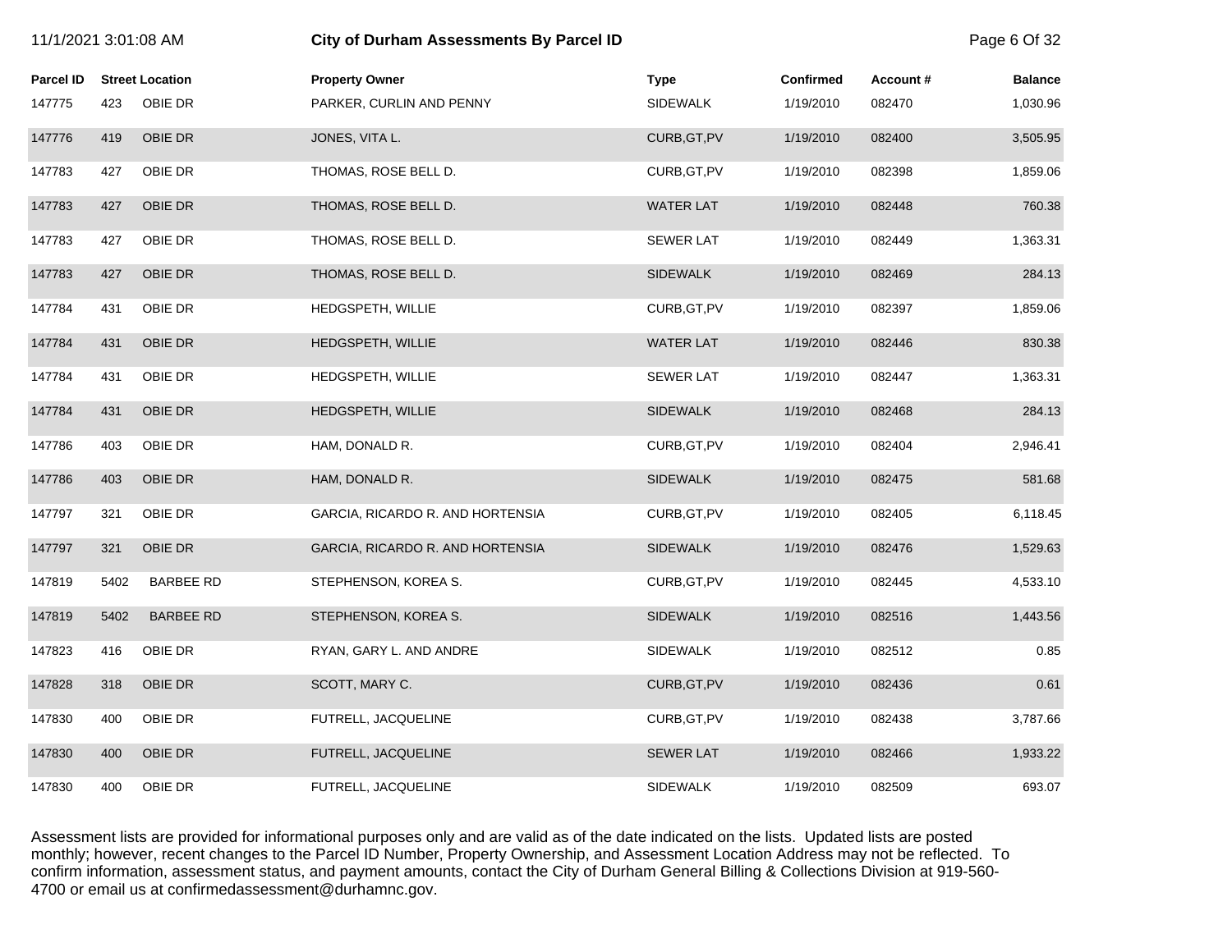| 11/1/2021 3:01:08 AM |      |                        | City of Durham Assessments By Parcel ID |                  |                  |          | Page 6 Of 32   |
|----------------------|------|------------------------|-----------------------------------------|------------------|------------------|----------|----------------|
| <b>Parcel ID</b>     |      | <b>Street Location</b> | <b>Property Owner</b>                   | <b>Type</b>      | <b>Confirmed</b> | Account# | <b>Balance</b> |
| 147775               | 423  | OBIE DR                | PARKER, CURLIN AND PENNY                | <b>SIDEWALK</b>  | 1/19/2010        | 082470   | 1,030.96       |
| 147776               | 419  | OBIE DR                | JONES, VITA L.                          | CURB, GT, PV     | 1/19/2010        | 082400   | 3,505.95       |
| 147783               | 427  | OBIE DR                | THOMAS, ROSE BELL D.                    | CURB, GT, PV     | 1/19/2010        | 082398   | 1,859.06       |
| 147783               | 427  | OBIE DR                | THOMAS, ROSE BELL D.                    | <b>WATER LAT</b> | 1/19/2010        | 082448   | 760.38         |
| 147783               | 427  | OBIE DR                | THOMAS, ROSE BELL D.                    | <b>SEWER LAT</b> | 1/19/2010        | 082449   | 1,363.31       |
| 147783               | 427  | OBIE DR                | THOMAS, ROSE BELL D.                    | <b>SIDEWALK</b>  | 1/19/2010        | 082469   | 284.13         |
| 147784               | 431  | OBIE DR                | HEDGSPETH, WILLIE                       | CURB, GT, PV     | 1/19/2010        | 082397   | 1,859.06       |
| 147784               | 431  | OBIE DR                | HEDGSPETH, WILLIE                       | <b>WATER LAT</b> | 1/19/2010        | 082446   | 830.38         |
| 147784               | 431  | OBIE DR                | HEDGSPETH, WILLIE                       | <b>SEWER LAT</b> | 1/19/2010        | 082447   | 1,363.31       |
| 147784               | 431  | OBIE DR                | HEDGSPETH, WILLIE                       | <b>SIDEWALK</b>  | 1/19/2010        | 082468   | 284.13         |
| 147786               | 403  | OBIE DR                | HAM, DONALD R.                          | CURB, GT, PV     | 1/19/2010        | 082404   | 2,946.41       |
| 147786               | 403  | OBIE DR                | HAM, DONALD R.                          | <b>SIDEWALK</b>  | 1/19/2010        | 082475   | 581.68         |
| 147797               | 321  | OBIE DR                | GARCIA, RICARDO R. AND HORTENSIA        | CURB, GT, PV     | 1/19/2010        | 082405   | 6,118.45       |
| 147797               | 321  | OBIE DR                | GARCIA, RICARDO R. AND HORTENSIA        | <b>SIDEWALK</b>  | 1/19/2010        | 082476   | 1,529.63       |
| 147819               | 5402 | <b>BARBEE RD</b>       | STEPHENSON, KOREA S.                    | CURB, GT, PV     | 1/19/2010        | 082445   | 4,533.10       |
| 147819               | 5402 | <b>BARBEE RD</b>       | STEPHENSON, KOREA S.                    | <b>SIDEWALK</b>  | 1/19/2010        | 082516   | 1,443.56       |
| 147823               | 416  | OBIE DR                | RYAN, GARY L. AND ANDRE                 | <b>SIDEWALK</b>  | 1/19/2010        | 082512   | 0.85           |
| 147828               | 318  | OBIE DR                | SCOTT, MARY C.                          | CURB, GT, PV     | 1/19/2010        | 082436   | 0.61           |
| 147830               | 400  | OBIE DR                | FUTRELL, JACQUELINE                     | CURB, GT, PV     | 1/19/2010        | 082438   | 3,787.66       |
| 147830               | 400  | OBIE DR                | FUTRELL, JACQUELINE                     | <b>SEWER LAT</b> | 1/19/2010        | 082466   | 1,933.22       |
| 147830               | 400  | OBIE DR                | FUTRELL, JACQUELINE                     | <b>SIDEWALK</b>  | 1/19/2010        | 082509   | 693.07         |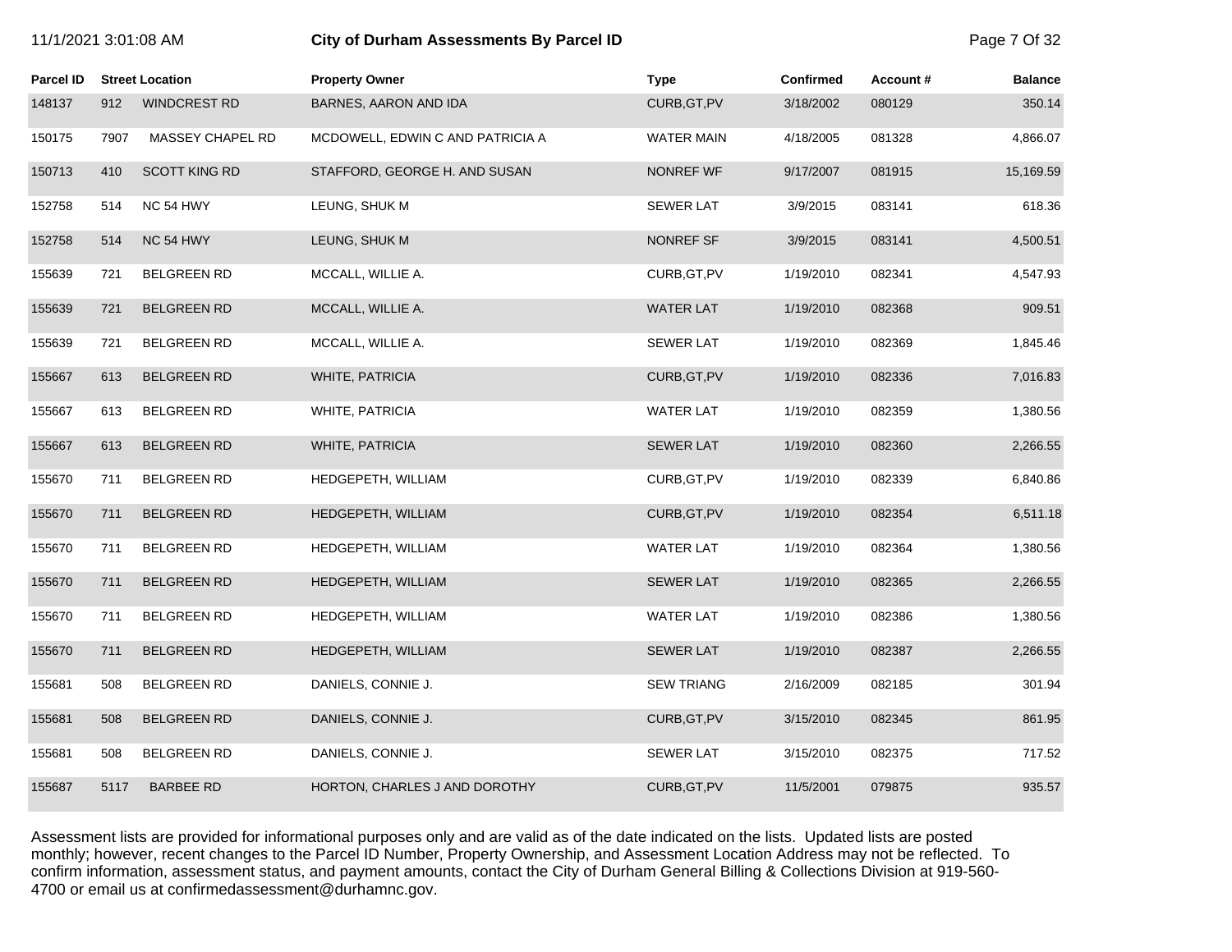| 11/1/2021 3:01:08 AM |      |                        | City of Durham Assessments By Parcel ID |                   |                  |          |                |
|----------------------|------|------------------------|-----------------------------------------|-------------------|------------------|----------|----------------|
| <b>Parcel ID</b>     |      | <b>Street Location</b> | <b>Property Owner</b>                   | <b>Type</b>       | <b>Confirmed</b> | Account# | <b>Balance</b> |
| 148137               | 912  | <b>WINDCREST RD</b>    | BARNES, AARON AND IDA                   | CURB, GT, PV      | 3/18/2002        | 080129   | 350.14         |
| 150175               | 7907 | MASSEY CHAPEL RD       | MCDOWELL, EDWIN C AND PATRICIA A        | <b>WATER MAIN</b> | 4/18/2005        | 081328   | 4,866.07       |
| 150713               | 410  | <b>SCOTT KING RD</b>   | STAFFORD, GEORGE H. AND SUSAN           | NONREF WF         | 9/17/2007        | 081915   | 15,169.59      |
| 152758               | 514  | NC 54 HWY              | LEUNG, SHUK M                           | <b>SEWER LAT</b>  | 3/9/2015         | 083141   | 618.36         |
| 152758               | 514  | NC 54 HWY              | LEUNG, SHUK M                           | NONREF SF         | 3/9/2015         | 083141   | 4,500.51       |
| 155639               | 721  | <b>BELGREEN RD</b>     | MCCALL, WILLIE A.                       | CURB, GT, PV      | 1/19/2010        | 082341   | 4,547.93       |
| 155639               | 721  | <b>BELGREEN RD</b>     | MCCALL, WILLIE A.                       | <b>WATER LAT</b>  | 1/19/2010        | 082368   | 909.51         |
| 155639               | 721  | <b>BELGREEN RD</b>     | MCCALL, WILLIE A.                       | <b>SEWER LAT</b>  | 1/19/2010        | 082369   | 1,845.46       |
| 155667               | 613  | <b>BELGREEN RD</b>     | <b>WHITE, PATRICIA</b>                  | CURB, GT, PV      | 1/19/2010        | 082336   | 7,016.83       |
| 155667               | 613  | <b>BELGREEN RD</b>     | WHITE, PATRICIA                         | <b>WATER LAT</b>  | 1/19/2010        | 082359   | 1,380.56       |
| 155667               | 613  | <b>BELGREEN RD</b>     | <b>WHITE, PATRICIA</b>                  | <b>SEWER LAT</b>  | 1/19/2010        | 082360   | 2,266.55       |
| 155670               | 711  | <b>BELGREEN RD</b>     | HEDGEPETH, WILLIAM                      | CURB, GT, PV      | 1/19/2010        | 082339   | 6,840.86       |
| 155670               | 711  | <b>BELGREEN RD</b>     | HEDGEPETH, WILLIAM                      | CURB, GT, PV      | 1/19/2010        | 082354   | 6,511.18       |
| 155670               | 711  | <b>BELGREEN RD</b>     | HEDGEPETH, WILLIAM                      | <b>WATER LAT</b>  | 1/19/2010        | 082364   | 1,380.56       |
| 155670               | 711  | <b>BELGREEN RD</b>     | HEDGEPETH, WILLIAM                      | <b>SEWER LAT</b>  | 1/19/2010        | 082365   | 2,266.55       |
| 155670               | 711  | <b>BELGREEN RD</b>     | HEDGEPETH, WILLIAM                      | <b>WATER LAT</b>  | 1/19/2010        | 082386   | 1,380.56       |
| 155670               | 711  | <b>BELGREEN RD</b>     | HEDGEPETH, WILLIAM                      | <b>SEWER LAT</b>  | 1/19/2010        | 082387   | 2,266.55       |
| 155681               | 508  | <b>BELGREEN RD</b>     | DANIELS, CONNIE J.                      | <b>SEW TRIANG</b> | 2/16/2009        | 082185   | 301.94         |
| 155681               | 508  | <b>BELGREEN RD</b>     | DANIELS, CONNIE J.                      | CURB, GT, PV      | 3/15/2010        | 082345   | 861.95         |
| 155681               | 508  | <b>BELGREEN RD</b>     | DANIELS, CONNIE J.                      | SEWER LAT         | 3/15/2010        | 082375   | 717.52         |
| 155687               | 5117 | <b>BARBEE RD</b>       | HORTON, CHARLES J AND DOROTHY           | CURB, GT, PV      | 11/5/2001        | 079875   | 935.57         |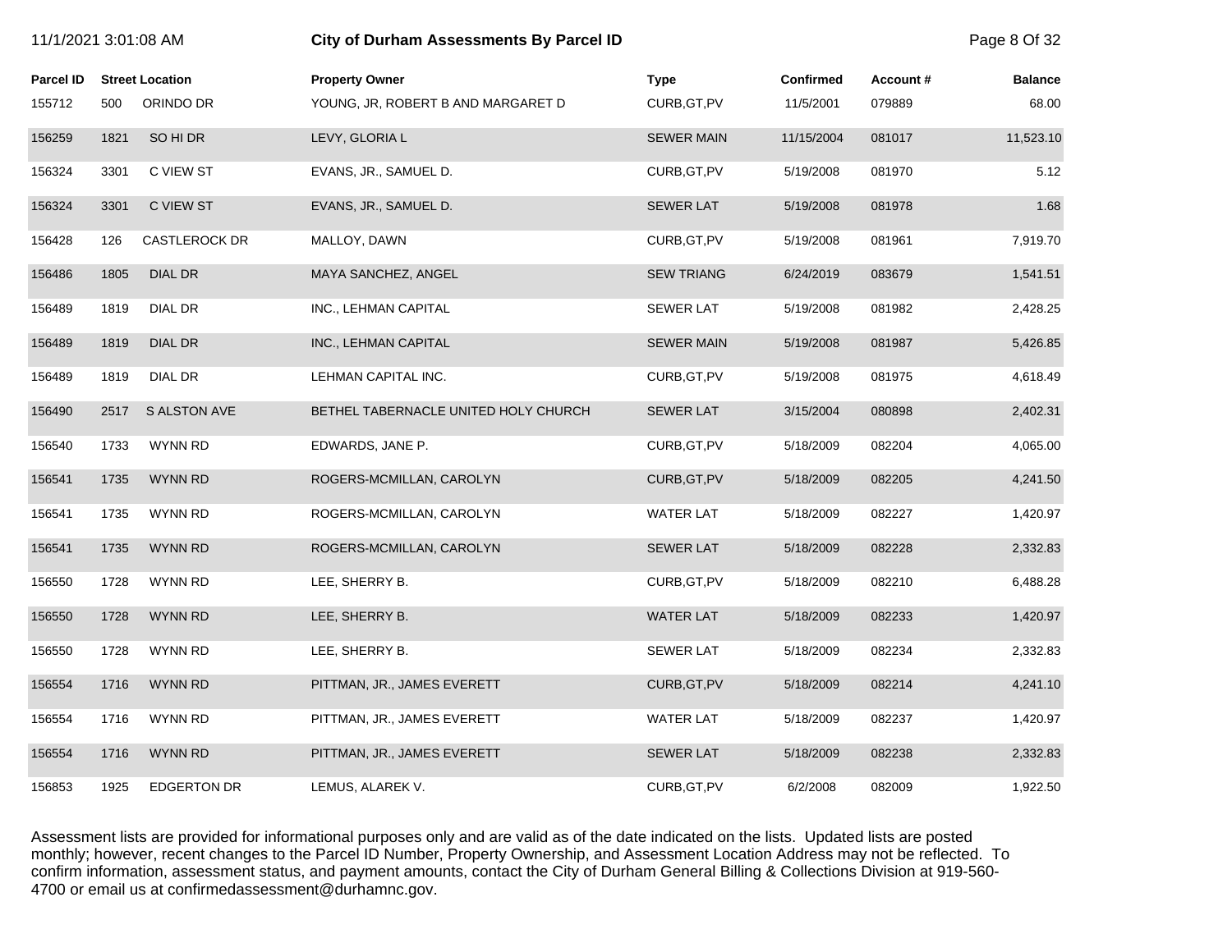| 11/1/2021 3:01:08 AM |      |                        | City of Durham Assessments By Parcel ID |                   |                  |           |                |
|----------------------|------|------------------------|-----------------------------------------|-------------------|------------------|-----------|----------------|
| <b>Parcel ID</b>     |      | <b>Street Location</b> | <b>Property Owner</b>                   | <b>Type</b>       | <b>Confirmed</b> | Account # | <b>Balance</b> |
| 155712               | 500  | ORINDO DR              | YOUNG, JR, ROBERT B AND MARGARET D      | CURB, GT, PV      | 11/5/2001        | 079889    | 68.00          |
| 156259               | 1821 | SO HI DR               | LEVY, GLORIA L                          | <b>SEWER MAIN</b> | 11/15/2004       | 081017    | 11,523.10      |
| 156324               | 3301 | C VIEW ST              | EVANS, JR., SAMUEL D.                   | CURB, GT, PV      | 5/19/2008        | 081970    | 5.12           |
| 156324               | 3301 | C VIEW ST              | EVANS, JR., SAMUEL D.                   | <b>SEWER LAT</b>  | 5/19/2008        | 081978    | 1.68           |
| 156428               | 126  | <b>CASTLEROCK DR</b>   | MALLOY, DAWN                            | CURB, GT, PV      | 5/19/2008        | 081961    | 7,919.70       |
| 156486               | 1805 | <b>DIAL DR</b>         | MAYA SANCHEZ, ANGEL                     | <b>SEW TRIANG</b> | 6/24/2019        | 083679    | 1,541.51       |
| 156489               | 1819 | DIAL DR                | INC., LEHMAN CAPITAL                    | <b>SEWER LAT</b>  | 5/19/2008        | 081982    | 2,428.25       |
| 156489               | 1819 | <b>DIAL DR</b>         | INC., LEHMAN CAPITAL                    | <b>SEWER MAIN</b> | 5/19/2008        | 081987    | 5,426.85       |
| 156489               | 1819 | DIAL DR                | LEHMAN CAPITAL INC.                     | CURB, GT, PV      | 5/19/2008        | 081975    | 4,618.49       |
| 156490               | 2517 | S ALSTON AVE           | BETHEL TABERNACLE UNITED HOLY CHURCH    | <b>SEWER LAT</b>  | 3/15/2004        | 080898    | 2,402.31       |
| 156540               | 1733 | <b>WYNN RD</b>         | EDWARDS, JANE P.                        | CURB, GT, PV      | 5/18/2009        | 082204    | 4,065.00       |
| 156541               | 1735 | <b>WYNN RD</b>         | ROGERS-MCMILLAN, CAROLYN                | CURB, GT, PV      | 5/18/2009        | 082205    | 4,241.50       |
| 156541               | 1735 | WYNN RD                | ROGERS-MCMILLAN, CAROLYN                | <b>WATER LAT</b>  | 5/18/2009        | 082227    | 1,420.97       |
| 156541               | 1735 | <b>WYNN RD</b>         | ROGERS-MCMILLAN, CAROLYN                | <b>SEWER LAT</b>  | 5/18/2009        | 082228    | 2,332.83       |
| 156550               | 1728 | WYNN RD                | LEE, SHERRY B.                          | CURB, GT, PV      | 5/18/2009        | 082210    | 6,488.28       |
| 156550               | 1728 | <b>WYNN RD</b>         | LEE, SHERRY B.                          | <b>WATER LAT</b>  | 5/18/2009        | 082233    | 1,420.97       |
| 156550               | 1728 | <b>WYNN RD</b>         | LEE, SHERRY B.                          | <b>SEWER LAT</b>  | 5/18/2009        | 082234    | 2,332.83       |
| 156554               | 1716 | <b>WYNN RD</b>         | PITTMAN, JR., JAMES EVERETT             | CURB, GT, PV      | 5/18/2009        | 082214    | 4,241.10       |
| 156554               | 1716 | WYNN RD                | PITTMAN, JR., JAMES EVERETT             | <b>WATER LAT</b>  | 5/18/2009        | 082237    | 1,420.97       |
| 156554               | 1716 | <b>WYNN RD</b>         | PITTMAN, JR., JAMES EVERETT             | <b>SEWER LAT</b>  | 5/18/2009        | 082238    | 2,332.83       |
| 156853               | 1925 | <b>EDGERTON DR</b>     | LEMUS, ALAREK V.                        | CURB, GT, PV      | 6/2/2008         | 082009    | 1,922.50       |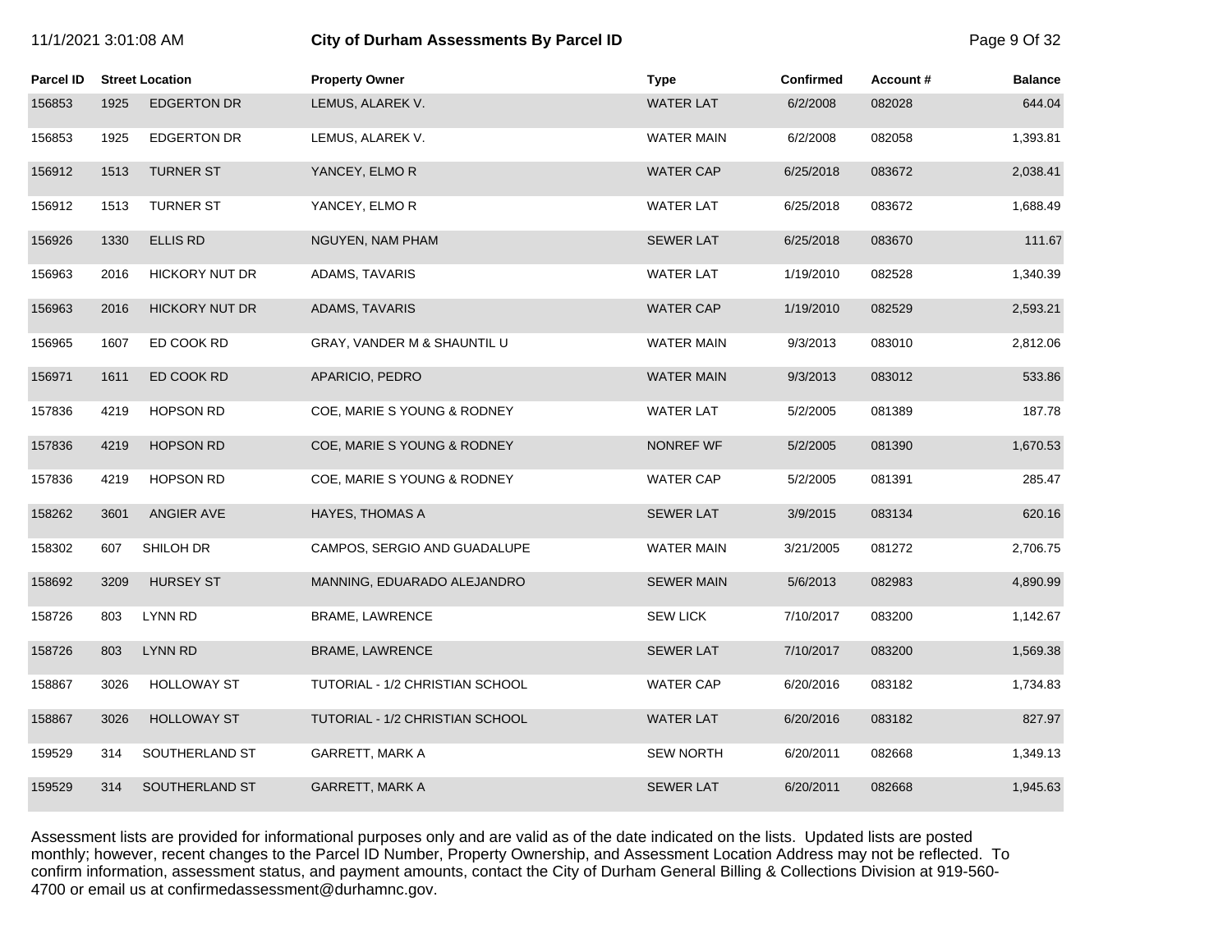### 11/1/2021 3:01:08 AM **City of Durham Assessments By Parcel ID** Page 9 Of 32

| Parcel ID |      | <b>Street Location</b> | <b>Property Owner</b>           | <b>Type</b>       | <b>Confirmed</b> | Account# | <b>Balance</b> |
|-----------|------|------------------------|---------------------------------|-------------------|------------------|----------|----------------|
| 156853    | 1925 | <b>EDGERTON DR</b>     | LEMUS, ALAREK V.                | <b>WATER LAT</b>  | 6/2/2008         | 082028   | 644.04         |
| 156853    | 1925 | <b>EDGERTON DR</b>     | LEMUS, ALAREK V.                | <b>WATER MAIN</b> | 6/2/2008         | 082058   | 1,393.81       |
| 156912    | 1513 | <b>TURNER ST</b>       | YANCEY, ELMOR                   | <b>WATER CAP</b>  | 6/25/2018        | 083672   | 2,038.41       |
| 156912    | 1513 | <b>TURNER ST</b>       | YANCEY, ELMOR                   | <b>WATER LAT</b>  | 6/25/2018        | 083672   | 1,688.49       |
| 156926    | 1330 | <b>ELLIS RD</b>        | NGUYEN, NAM PHAM                | <b>SEWER LAT</b>  | 6/25/2018        | 083670   | 111.67         |
| 156963    | 2016 | HICKORY NUT DR         | ADAMS, TAVARIS                  | <b>WATER LAT</b>  | 1/19/2010        | 082528   | 1,340.39       |
| 156963    | 2016 | <b>HICKORY NUT DR</b>  | ADAMS, TAVARIS                  | <b>WATER CAP</b>  | 1/19/2010        | 082529   | 2,593.21       |
| 156965    | 1607 | ED COOK RD             | GRAY, VANDER M & SHAUNTIL U     | WATER MAIN        | 9/3/2013         | 083010   | 2,812.06       |
| 156971    | 1611 | ED COOK RD             | APARICIO, PEDRO                 | <b>WATER MAIN</b> | 9/3/2013         | 083012   | 533.86         |
| 157836    | 4219 | <b>HOPSON RD</b>       | COE, MARIE S YOUNG & RODNEY     | <b>WATER LAT</b>  | 5/2/2005         | 081389   | 187.78         |
| 157836    | 4219 | <b>HOPSON RD</b>       | COE, MARIE S YOUNG & RODNEY     | NONREF WF         | 5/2/2005         | 081390   | 1,670.53       |
| 157836    | 4219 | <b>HOPSON RD</b>       | COE, MARIE S YOUNG & RODNEY     | WATER CAP         | 5/2/2005         | 081391   | 285.47         |
| 158262    | 3601 | ANGIER AVE             | <b>HAYES, THOMAS A</b>          | <b>SEWER LAT</b>  | 3/9/2015         | 083134   | 620.16         |
| 158302    | 607  | SHILOH DR              | CAMPOS, SERGIO AND GUADALUPE    | WATER MAIN        | 3/21/2005        | 081272   | 2,706.75       |
| 158692    | 3209 | <b>HURSEY ST</b>       | MANNING, EDUARADO ALEJANDRO     | <b>SEWER MAIN</b> | 5/6/2013         | 082983   | 4,890.99       |
| 158726    | 803  | <b>LYNN RD</b>         | BRAME, LAWRENCE                 | <b>SEW LICK</b>   | 7/10/2017        | 083200   | 1,142.67       |
| 158726    | 803  | <b>LYNN RD</b>         | BRAME, LAWRENCE                 | <b>SEWER LAT</b>  | 7/10/2017        | 083200   | 1,569.38       |
| 158867    | 3026 | <b>HOLLOWAY ST</b>     | TUTORIAL - 1/2 CHRISTIAN SCHOOL | <b>WATER CAP</b>  | 6/20/2016        | 083182   | 1,734.83       |
| 158867    | 3026 | <b>HOLLOWAY ST</b>     | TUTORIAL - 1/2 CHRISTIAN SCHOOL | <b>WATER LAT</b>  | 6/20/2016        | 083182   | 827.97         |
| 159529    | 314  | SOUTHERLAND ST         | GARRETT, MARK A                 | <b>SEW NORTH</b>  | 6/20/2011        | 082668   | 1,349.13       |
| 159529    | 314  | SOUTHERLAND ST         | <b>GARRETT, MARK A</b>          | <b>SEWER LAT</b>  | 6/20/2011        | 082668   | 1,945.63       |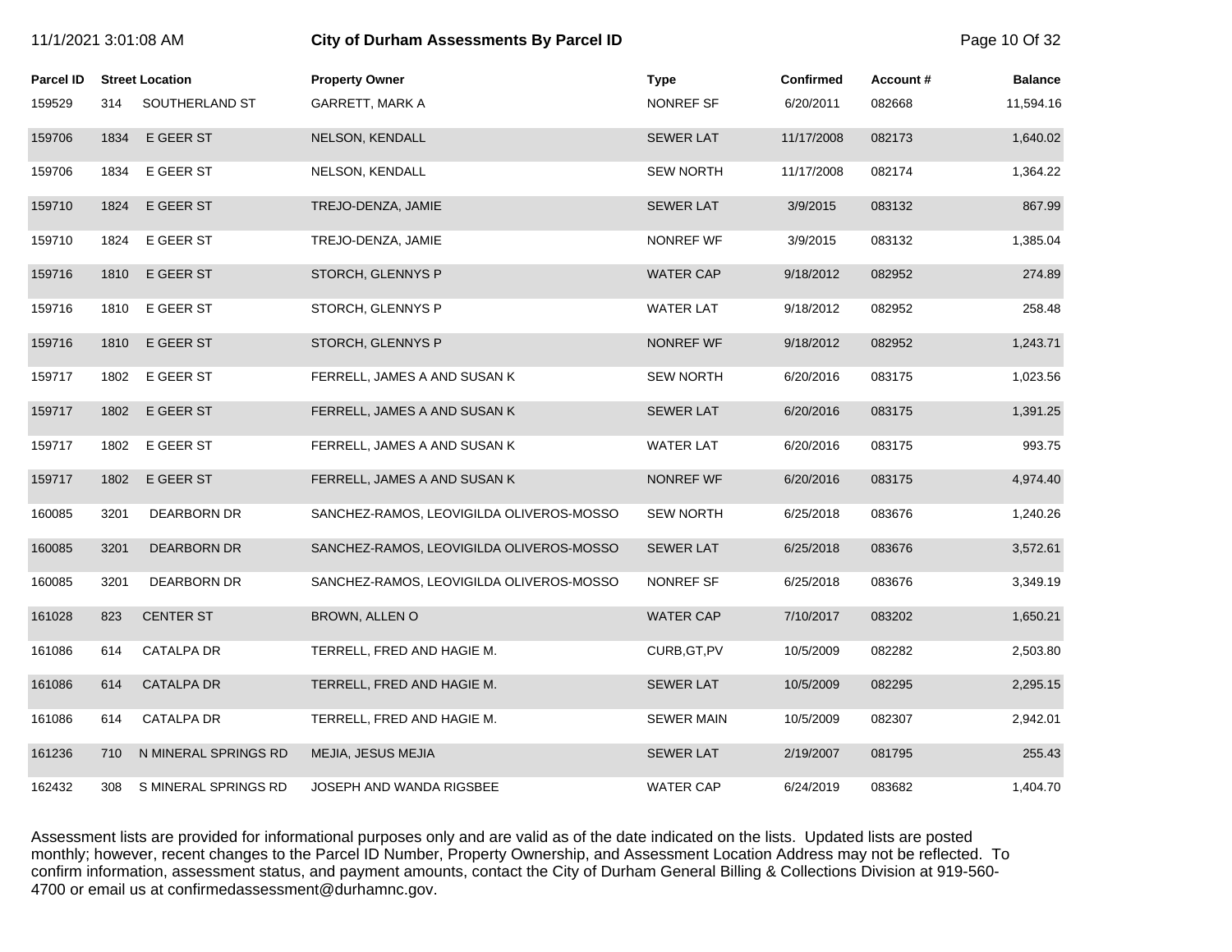| 11/1/2021 3:01:08 AM |      |                        | City of Durham Assessments By Parcel ID  |                   |                  |          |                |
|----------------------|------|------------------------|------------------------------------------|-------------------|------------------|----------|----------------|
| <b>Parcel ID</b>     |      | <b>Street Location</b> | <b>Property Owner</b>                    | <b>Type</b>       | <b>Confirmed</b> | Account# | <b>Balance</b> |
| 159529               | 314  | SOUTHERLAND ST         | <b>GARRETT, MARK A</b>                   | NONREF SF         | 6/20/2011        | 082668   | 11,594.16      |
| 159706               | 1834 | E GEER ST              | NELSON, KENDALL                          | <b>SEWER LAT</b>  | 11/17/2008       | 082173   | 1,640.02       |
| 159706               | 1834 | E GEER ST              | NELSON, KENDALL                          | <b>SEW NORTH</b>  | 11/17/2008       | 082174   | 1,364.22       |
| 159710               | 1824 | E GEER ST              | TREJO-DENZA, JAMIE                       | <b>SEWER LAT</b>  | 3/9/2015         | 083132   | 867.99         |
| 159710               | 1824 | E GEER ST              | TREJO-DENZA, JAMIE                       | NONREF WF         | 3/9/2015         | 083132   | 1,385.04       |
| 159716               | 1810 | E GEER ST              | STORCH, GLENNYS P                        | <b>WATER CAP</b>  | 9/18/2012        | 082952   | 274.89         |
| 159716               | 1810 | E GEER ST              | STORCH, GLENNYS P                        | <b>WATER LAT</b>  | 9/18/2012        | 082952   | 258.48         |
| 159716               | 1810 | E GEER ST              | STORCH, GLENNYS P                        | NONREF WF         | 9/18/2012        | 082952   | 1,243.71       |
| 159717               | 1802 | E GEER ST              | FERRELL, JAMES A AND SUSAN K             | <b>SEW NORTH</b>  | 6/20/2016        | 083175   | 1,023.56       |
| 159717               | 1802 | E GEER ST              | FERRELL, JAMES A AND SUSAN K             | <b>SEWER LAT</b>  | 6/20/2016        | 083175   | 1,391.25       |
| 159717               | 1802 | E GEER ST              | FERRELL, JAMES A AND SUSAN K             | <b>WATER LAT</b>  | 6/20/2016        | 083175   | 993.75         |
| 159717               | 1802 | E GEER ST              | FERRELL, JAMES A AND SUSAN K             | NONREF WF         | 6/20/2016        | 083175   | 4,974.40       |
| 160085               | 3201 | <b>DEARBORN DR</b>     | SANCHEZ-RAMOS, LEOVIGILDA OLIVEROS-MOSSO | <b>SEW NORTH</b>  | 6/25/2018        | 083676   | 1,240.26       |
| 160085               | 3201 | <b>DEARBORN DR</b>     | SANCHEZ-RAMOS, LEOVIGILDA OLIVEROS-MOSSO | <b>SEWER LAT</b>  | 6/25/2018        | 083676   | 3,572.61       |
| 160085               | 3201 | <b>DEARBORN DR</b>     | SANCHEZ-RAMOS, LEOVIGILDA OLIVEROS-MOSSO | NONREF SF         | 6/25/2018        | 083676   | 3,349.19       |
| 161028               | 823  | <b>CENTER ST</b>       | BROWN, ALLEN O                           | <b>WATER CAP</b>  | 7/10/2017        | 083202   | 1,650.21       |
| 161086               | 614  | <b>CATALPA DR</b>      | TERRELL, FRED AND HAGIE M.               | CURB, GT, PV      | 10/5/2009        | 082282   | 2,503.80       |
| 161086               | 614  | <b>CATALPA DR</b>      | TERRELL, FRED AND HAGIE M.               | <b>SEWER LAT</b>  | 10/5/2009        | 082295   | 2,295.15       |
| 161086               | 614  | <b>CATALPA DR</b>      | TERRELL, FRED AND HAGIE M.               | <b>SEWER MAIN</b> | 10/5/2009        | 082307   | 2,942.01       |
| 161236               | 710  | N MINERAL SPRINGS RD   | MEJIA, JESUS MEJIA                       | <b>SEWER LAT</b>  | 2/19/2007        | 081795   | 255.43         |
| 162432               | 308  | S MINERAL SPRINGS RD   | JOSEPH AND WANDA RIGSBEE                 | <b>WATER CAP</b>  | 6/24/2019        | 083682   | 1,404.70       |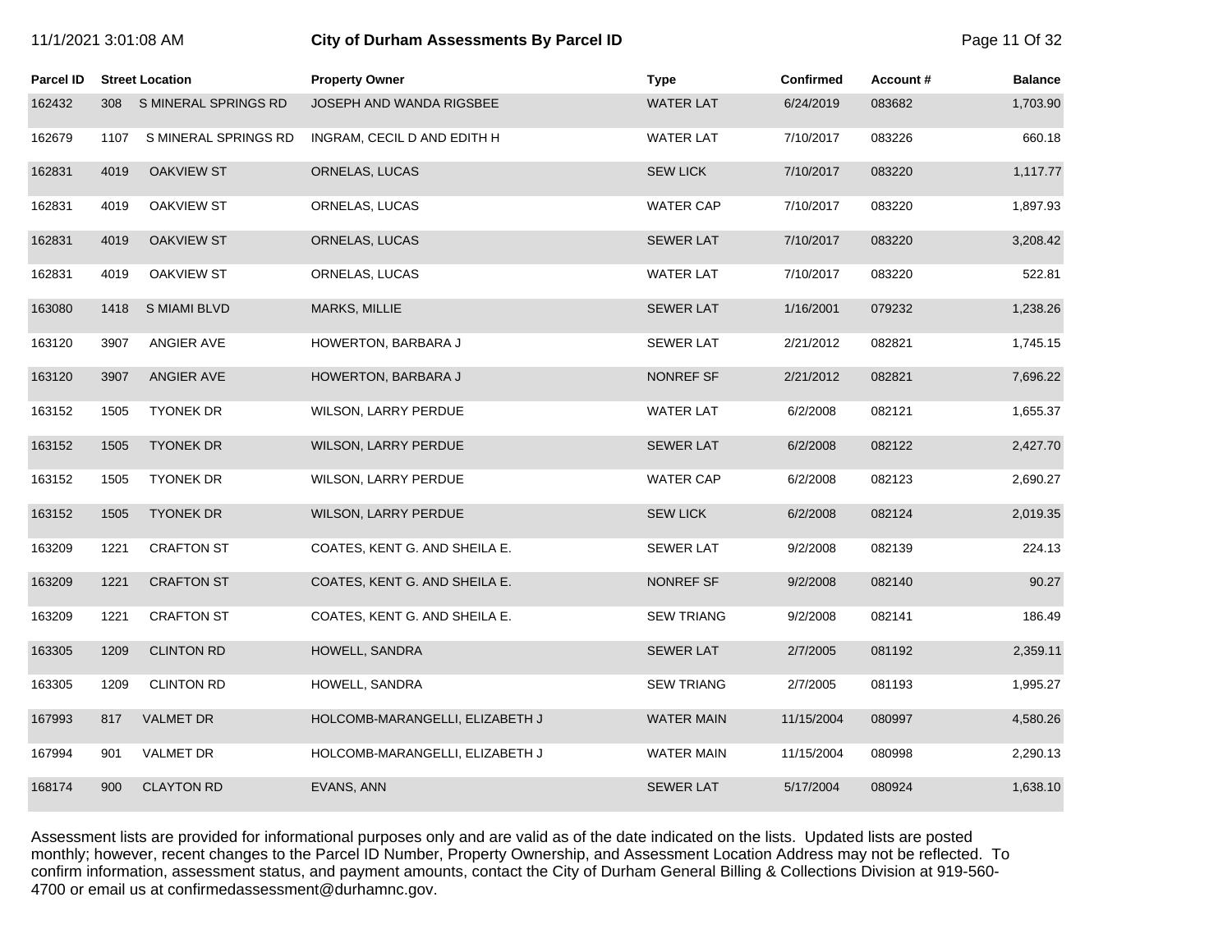| 11/1/2021 3:01:08 AM |      |                        | City of Durham Assessments By Parcel ID |                   |                  |          | Page 11 Of 32  |
|----------------------|------|------------------------|-----------------------------------------|-------------------|------------------|----------|----------------|
| <b>Parcel ID</b>     |      | <b>Street Location</b> | <b>Property Owner</b>                   | <b>Type</b>       | <b>Confirmed</b> | Account# | <b>Balance</b> |
| 162432               | 308  | S MINERAL SPRINGS RD   | JOSEPH AND WANDA RIGSBEE                | <b>WATER LAT</b>  | 6/24/2019        | 083682   | 1,703.90       |
| 162679               | 1107 | S MINERAL SPRINGS RD   | INGRAM, CECIL D AND EDITH H             | <b>WATER LAT</b>  | 7/10/2017        | 083226   | 660.18         |
| 162831               | 4019 | <b>OAKVIEW ST</b>      | ORNELAS, LUCAS                          | <b>SEW LICK</b>   | 7/10/2017        | 083220   | 1,117.77       |
| 162831               | 4019 | <b>OAKVIEW ST</b>      | ORNELAS, LUCAS                          | <b>WATER CAP</b>  | 7/10/2017        | 083220   | 1,897.93       |
| 162831               | 4019 | <b>OAKVIEW ST</b>      | ORNELAS, LUCAS                          | <b>SEWER LAT</b>  | 7/10/2017        | 083220   | 3,208.42       |
| 162831               | 4019 | OAKVIEW ST             | ORNELAS, LUCAS                          | <b>WATER LAT</b>  | 7/10/2017        | 083220   | 522.81         |
| 163080               | 1418 | <b>S MIAMI BLVD</b>    | <b>MARKS, MILLIE</b>                    | <b>SEWER LAT</b>  | 1/16/2001        | 079232   | 1,238.26       |
| 163120               | 3907 | ANGIER AVE             | HOWERTON, BARBARA J                     | <b>SEWER LAT</b>  | 2/21/2012        | 082821   | 1,745.15       |
| 163120               | 3907 | <b>ANGIER AVE</b>      | HOWERTON, BARBARA J                     | NONREF SF         | 2/21/2012        | 082821   | 7,696.22       |
| 163152               | 1505 | <b>TYONEK DR</b>       | WILSON, LARRY PERDUE                    | <b>WATER LAT</b>  | 6/2/2008         | 082121   | 1,655.37       |
| 163152               | 1505 | <b>TYONEK DR</b>       | <b>WILSON, LARRY PERDUE</b>             | <b>SEWER LAT</b>  | 6/2/2008         | 082122   | 2,427.70       |
| 163152               | 1505 | <b>TYONEK DR</b>       | WILSON, LARRY PERDUE                    | <b>WATER CAP</b>  | 6/2/2008         | 082123   | 2,690.27       |
| 163152               | 1505 | <b>TYONEK DR</b>       | <b>WILSON, LARRY PERDUE</b>             | <b>SEW LICK</b>   | 6/2/2008         | 082124   | 2,019.35       |
| 163209               | 1221 | <b>CRAFTON ST</b>      | COATES, KENT G. AND SHEILA E.           | <b>SEWER LAT</b>  | 9/2/2008         | 082139   | 224.13         |
| 163209               | 1221 | <b>CRAFTON ST</b>      | COATES, KENT G. AND SHEILA E.           | NONREF SF         | 9/2/2008         | 082140   | 90.27          |
| 163209               | 1221 | <b>CRAFTON ST</b>      | COATES, KENT G. AND SHEILA E.           | <b>SEW TRIANG</b> | 9/2/2008         | 082141   | 186.49         |
| 163305               | 1209 | <b>CLINTON RD</b>      | HOWELL, SANDRA                          | <b>SEWER LAT</b>  | 2/7/2005         | 081192   | 2,359.11       |
| 163305               | 1209 | <b>CLINTON RD</b>      | HOWELL, SANDRA                          | <b>SEW TRIANG</b> | 2/7/2005         | 081193   | 1,995.27       |
| 167993               | 817  | <b>VALMET DR</b>       | HOLCOMB-MARANGELLI, ELIZABETH J         | <b>WATER MAIN</b> | 11/15/2004       | 080997   | 4,580.26       |

167994 901 VALMET DR HOLCOMB-MARANGELLI, ELIZABETH J WATER MAIN 11/15/2004 080998 2,290.13

168174 900 CLAYTON RD EVANS, ANN SEWER LAT 5/17/2004 080924 1,638.10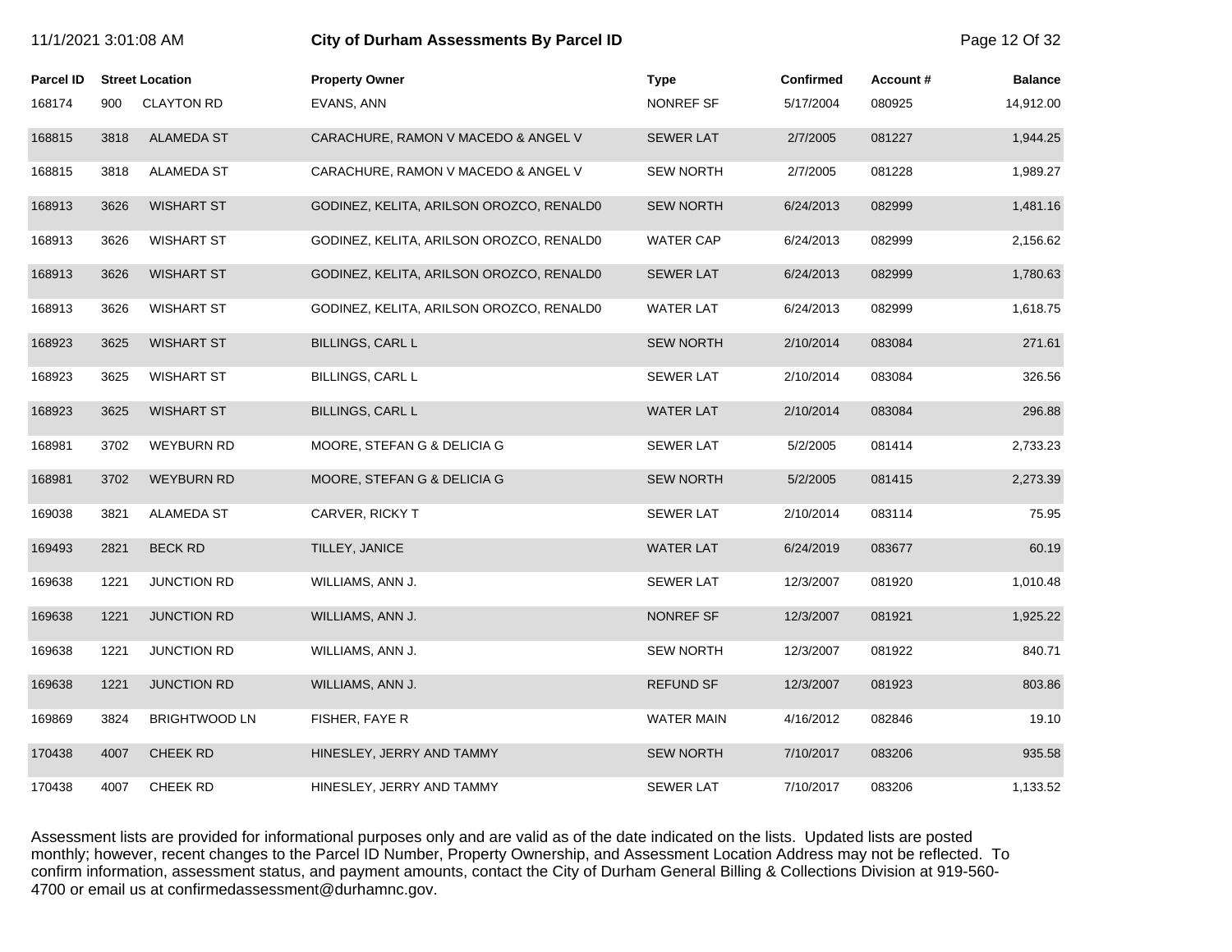| 11/1/2021 3:01:08 AM |      |                        | City of Durham Assessments By Parcel ID  |                   |                  |          | Page 12 Of 32  |
|----------------------|------|------------------------|------------------------------------------|-------------------|------------------|----------|----------------|
| <b>Parcel ID</b>     |      | <b>Street Location</b> | <b>Property Owner</b>                    | <b>Type</b>       | <b>Confirmed</b> | Account# | <b>Balance</b> |
| 168174               | 900  | <b>CLAYTON RD</b>      | EVANS, ANN                               | NONREF SF         | 5/17/2004        | 080925   | 14,912.00      |
| 168815               | 3818 | <b>ALAMEDA ST</b>      | CARACHURE, RAMON V MACEDO & ANGEL V      | <b>SEWER LAT</b>  | 2/7/2005         | 081227   | 1,944.25       |
| 168815               | 3818 | ALAMEDA ST             | CARACHURE, RAMON V MACEDO & ANGEL V      | <b>SEW NORTH</b>  | 2/7/2005         | 081228   | 1,989.27       |
| 168913               | 3626 | <b>WISHART ST</b>      | GODINEZ, KELITA, ARILSON OROZCO, RENALD0 | <b>SEW NORTH</b>  | 6/24/2013        | 082999   | 1,481.16       |
| 168913               | 3626 | <b>WISHART ST</b>      | GODINEZ, KELITA, ARILSON OROZCO, RENALD0 | <b>WATER CAP</b>  | 6/24/2013        | 082999   | 2,156.62       |
| 168913               | 3626 | <b>WISHART ST</b>      | GODINEZ, KELITA, ARILSON OROZCO, RENALD0 | <b>SEWER LAT</b>  | 6/24/2013        | 082999   | 1,780.63       |
| 168913               | 3626 | <b>WISHART ST</b>      | GODINEZ, KELITA, ARILSON OROZCO, RENALDO | <b>WATER LAT</b>  | 6/24/2013        | 082999   | 1,618.75       |
| 168923               | 3625 | WISHART ST             | <b>BILLINGS, CARL L</b>                  | <b>SEW NORTH</b>  | 2/10/2014        | 083084   | 271.61         |
| 168923               | 3625 | <b>WISHART ST</b>      | <b>BILLINGS, CARL L</b>                  | <b>SEWER LAT</b>  | 2/10/2014        | 083084   | 326.56         |
| 168923               | 3625 | WISHART ST             | <b>BILLINGS, CARL L</b>                  | <b>WATER LAT</b>  | 2/10/2014        | 083084   | 296.88         |
| 168981               | 3702 | <b>WEYBURN RD</b>      | MOORE, STEFAN G & DELICIA G              | <b>SEWER LAT</b>  | 5/2/2005         | 081414   | 2,733.23       |
| 168981               | 3702 | <b>WEYBURN RD</b>      | MOORE, STEFAN G & DELICIA G              | <b>SEW NORTH</b>  | 5/2/2005         | 081415   | 2,273.39       |
| 169038               | 3821 | ALAMEDA ST             | CARVER, RICKY T                          | <b>SEWER LAT</b>  | 2/10/2014        | 083114   | 75.95          |
| 169493               | 2821 | <b>BECK RD</b>         | TILLEY, JANICE                           | <b>WATER LAT</b>  | 6/24/2019        | 083677   | 60.19          |
| 169638               | 1221 | <b>JUNCTION RD</b>     | WILLIAMS, ANN J.                         | <b>SEWER LAT</b>  | 12/3/2007        | 081920   | 1,010.48       |
| 169638               | 1221 | <b>JUNCTION RD</b>     | WILLIAMS, ANN J.                         | NONREF SF         | 12/3/2007        | 081921   | 1,925.22       |
| 169638               | 1221 | <b>JUNCTION RD</b>     | WILLIAMS, ANN J.                         | <b>SEW NORTH</b>  | 12/3/2007        | 081922   | 840.71         |
| 169638               | 1221 | <b>JUNCTION RD</b>     | WILLIAMS, ANN J.                         | <b>REFUND SF</b>  | 12/3/2007        | 081923   | 803.86         |
| 169869               | 3824 | <b>BRIGHTWOOD LN</b>   | FISHER, FAYE R                           | <b>WATER MAIN</b> | 4/16/2012        | 082846   | 19.10          |
| 170438               | 4007 | <b>CHEEK RD</b>        | HINESLEY, JERRY AND TAMMY                | <b>SEW NORTH</b>  | 7/10/2017        | 083206   | 935.58         |
| 170438               | 4007 | <b>CHEEK RD</b>        | HINESLEY, JERRY AND TAMMY                | <b>SEWER LAT</b>  | 7/10/2017        | 083206   | 1,133.52       |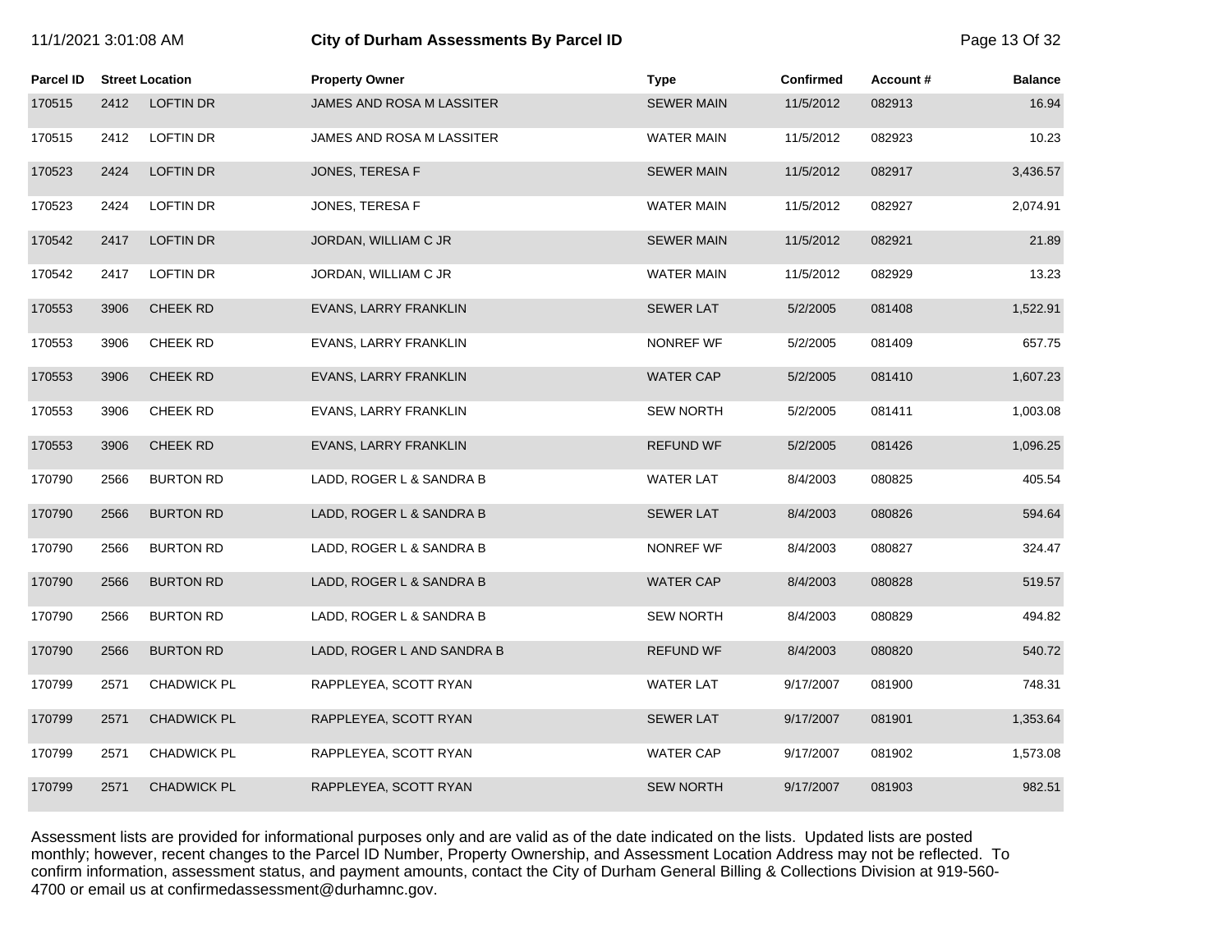| 11/1/2021 3:01:08 AM |      |                        | City of Durham Assessments By Parcel ID | Page 13 Of 32     |                  |          |                |
|----------------------|------|------------------------|-----------------------------------------|-------------------|------------------|----------|----------------|
| <b>Parcel ID</b>     |      | <b>Street Location</b> | <b>Property Owner</b>                   | <b>Type</b>       | <b>Confirmed</b> | Account# | <b>Balance</b> |
| 170515               | 2412 | LOFTIN DR              | JAMES AND ROSA M LASSITER               | <b>SEWER MAIN</b> | 11/5/2012        | 082913   | 16.94          |
| 170515               | 2412 | <b>LOFTIN DR</b>       | JAMES AND ROSA M LASSITER               | <b>WATER MAIN</b> | 11/5/2012        | 082923   | 10.23          |
| 170523               | 2424 | <b>LOFTIN DR</b>       | JONES, TERESA F                         | <b>SEWER MAIN</b> | 11/5/2012        | 082917   | 3,436.57       |
| 170523               | 2424 | LOFTIN DR              | JONES, TERESA F                         | WATER MAIN        | 11/5/2012        | 082927   | 2,074.91       |
| 170542               | 2417 | <b>LOFTIN DR</b>       | JORDAN, WILLIAM C JR                    | <b>SEWER MAIN</b> | 11/5/2012        | 082921   | 21.89          |
| 170542               | 2417 | <b>LOFTIN DR</b>       | JORDAN, WILLIAM C JR                    | <b>WATER MAIN</b> | 11/5/2012        | 082929   | 13.23          |
| 170553               | 3906 | <b>CHEEK RD</b>        | EVANS, LARRY FRANKLIN                   | <b>SEWER LAT</b>  | 5/2/2005         | 081408   | 1,522.91       |
| 170553               | 3906 | <b>CHEEK RD</b>        | EVANS, LARRY FRANKLIN                   | NONREF WF         | 5/2/2005         | 081409   | 657.75         |
| 170553               | 3906 | <b>CHEEK RD</b>        | EVANS, LARRY FRANKLIN                   | <b>WATER CAP</b>  | 5/2/2005         | 081410   | 1,607.23       |
| 170553               | 3906 | <b>CHEEK RD</b>        | EVANS, LARRY FRANKLIN                   | <b>SEW NORTH</b>  | 5/2/2005         | 081411   | 1,003.08       |
| 170553               | 3906 | <b>CHEEK RD</b>        | EVANS, LARRY FRANKLIN                   | <b>REFUND WF</b>  | 5/2/2005         | 081426   | 1,096.25       |
| 170790               | 2566 | <b>BURTON RD</b>       | LADD, ROGER L & SANDRA B                | <b>WATER LAT</b>  | 8/4/2003         | 080825   | 405.54         |
| 170790               | 2566 | <b>BURTON RD</b>       | LADD, ROGER L & SANDRA B                | <b>SEWER LAT</b>  | 8/4/2003         | 080826   | 594.64         |
| 170790               | 2566 | <b>BURTON RD</b>       | LADD, ROGER L & SANDRA B                | <b>NONREF WF</b>  | 8/4/2003         | 080827   | 324.47         |
| 170790               | 2566 | <b>BURTON RD</b>       | LADD, ROGER L & SANDRA B                | <b>WATER CAP</b>  | 8/4/2003         | 080828   | 519.57         |
| 170790               | 2566 | <b>BURTON RD</b>       | LADD, ROGER L & SANDRA B                | <b>SEW NORTH</b>  | 8/4/2003         | 080829   | 494.82         |
| 170790               | 2566 | <b>BURTON RD</b>       | LADD, ROGER L AND SANDRA B              | <b>REFUND WF</b>  | 8/4/2003         | 080820   | 540.72         |
| 170799               | 2571 | <b>CHADWICK PL</b>     | RAPPLEYEA, SCOTT RYAN                   | WATER LAT         | 9/17/2007        | 081900   | 748.31         |
| 170799               | 2571 | <b>CHADWICK PL</b>     | RAPPLEYEA, SCOTT RYAN                   | <b>SEWER LAT</b>  | 9/17/2007        | 081901   | 1,353.64       |
| 170799               | 2571 | <b>CHADWICK PL</b>     | RAPPLEYEA, SCOTT RYAN                   | <b>WATER CAP</b>  | 9/17/2007        | 081902   | 1,573.08       |
| 170799               | 2571 | <b>CHADWICK PL</b>     | RAPPLEYEA, SCOTT RYAN                   | <b>SEW NORTH</b>  | 9/17/2007        | 081903   | 982.51         |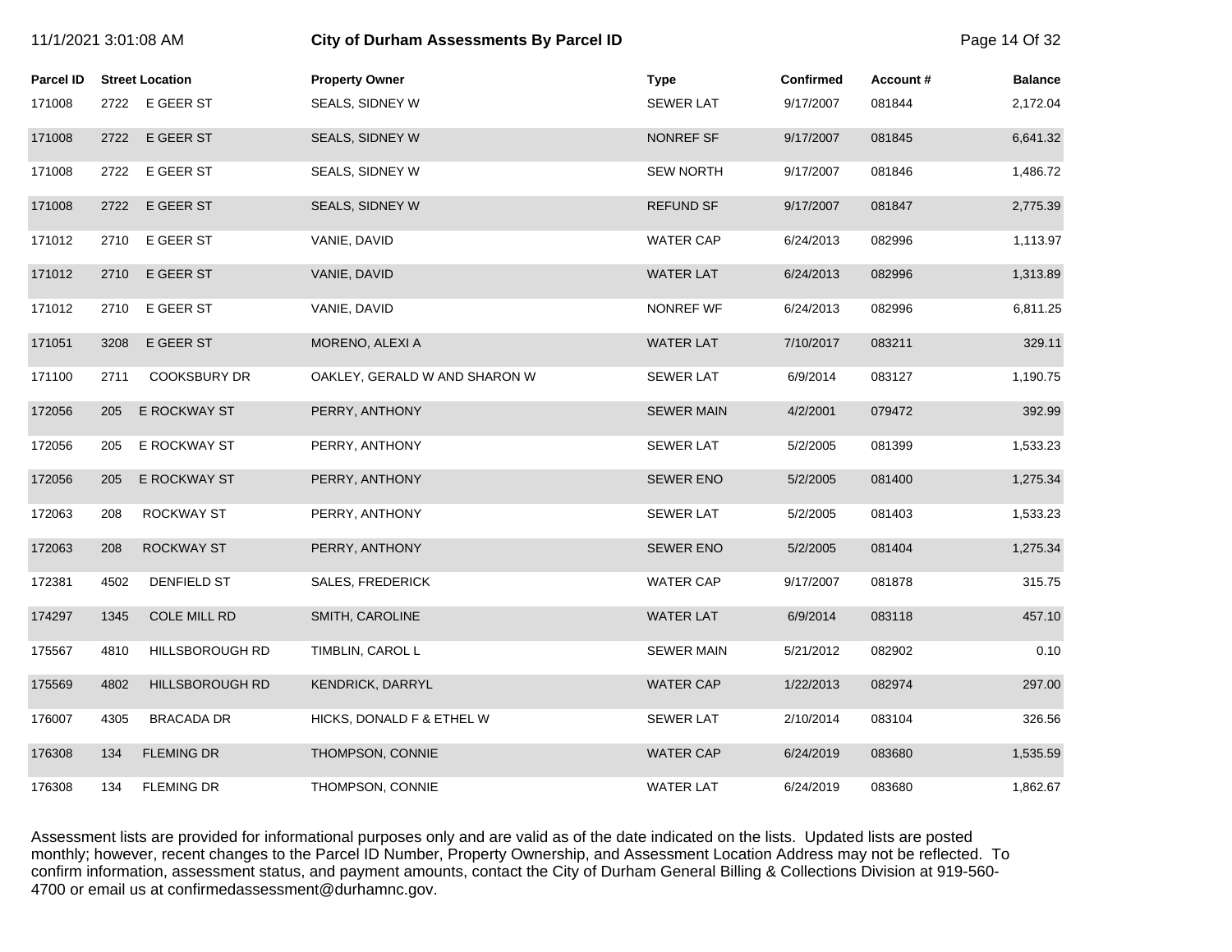| 11/1/2021 3:01:08 AM |      |                        | City of Durham Assessments By Parcel ID |                   |                  |          | Page 14 Of 32  |
|----------------------|------|------------------------|-----------------------------------------|-------------------|------------------|----------|----------------|
| <b>Parcel ID</b>     |      | <b>Street Location</b> | <b>Property Owner</b>                   | <b>Type</b>       | <b>Confirmed</b> | Account# | <b>Balance</b> |
| 171008               |      | 2722 E GEER ST         | SEALS, SIDNEY W                         | <b>SEWER LAT</b>  | 9/17/2007        | 081844   | 2,172.04       |
| 171008               | 2722 | E GEER ST              | SEALS, SIDNEY W                         | NONREF SF         | 9/17/2007        | 081845   | 6,641.32       |
| 171008               | 2722 | E GEER ST              | SEALS, SIDNEY W                         | <b>SEW NORTH</b>  | 9/17/2007        | 081846   | 1,486.72       |
| 171008               | 2722 | E GEER ST              | SEALS, SIDNEY W                         | <b>REFUND SF</b>  | 9/17/2007        | 081847   | 2,775.39       |
| 171012               | 2710 | E GEER ST              | VANIE, DAVID                            | <b>WATER CAP</b>  | 6/24/2013        | 082996   | 1,113.97       |
| 171012               | 2710 | E GEER ST              | VANIE, DAVID                            | <b>WATER LAT</b>  | 6/24/2013        | 082996   | 1,313.89       |
| 171012               | 2710 | E GEER ST              | VANIE, DAVID                            | NONREF WF         | 6/24/2013        | 082996   | 6,811.25       |
| 171051               | 3208 | E GEER ST              | MORENO, ALEXI A                         | <b>WATER LAT</b>  | 7/10/2017        | 083211   | 329.11         |
| 171100               | 2711 | <b>COOKSBURY DR</b>    | OAKLEY, GERALD W AND SHARON W           | <b>SEWER LAT</b>  | 6/9/2014         | 083127   | 1,190.75       |
| 172056               | 205  | E ROCKWAY ST           | PERRY, ANTHONY                          | <b>SEWER MAIN</b> | 4/2/2001         | 079472   | 392.99         |
| 172056               | 205  | E ROCKWAY ST           | PERRY, ANTHONY                          | <b>SEWER LAT</b>  | 5/2/2005         | 081399   | 1,533.23       |
| 172056               | 205  | E ROCKWAY ST           | PERRY, ANTHONY                          | <b>SEWER ENO</b>  | 5/2/2005         | 081400   | 1,275.34       |
| 172063               | 208  | <b>ROCKWAY ST</b>      | PERRY, ANTHONY                          | <b>SEWER LAT</b>  | 5/2/2005         | 081403   | 1,533.23       |
| 172063               | 208  | ROCKWAY ST             | PERRY, ANTHONY                          | <b>SEWER ENO</b>  | 5/2/2005         | 081404   | 1,275.34       |
| 172381               | 4502 | DENFIELD ST            | <b>SALES, FREDERICK</b>                 | <b>WATER CAP</b>  | 9/17/2007        | 081878   | 315.75         |
| 174297               | 1345 | COLE MILL RD           | SMITH, CAROLINE                         | <b>WATER LAT</b>  | 6/9/2014         | 083118   | 457.10         |
| 175567               | 4810 | HILLSBOROUGH RD        | TIMBLIN, CAROL L                        | <b>SEWER MAIN</b> | 5/21/2012        | 082902   | 0.10           |
| 175569               | 4802 | <b>HILLSBOROUGH RD</b> | <b>KENDRICK, DARRYL</b>                 | <b>WATER CAP</b>  | 1/22/2013        | 082974   | 297.00         |
| 176007               | 4305 | BRACADA DR             | HICKS, DONALD F & ETHEL W               | <b>SEWER LAT</b>  | 2/10/2014        | 083104   | 326.56         |
| 176308               | 134  | <b>FLEMING DR</b>      | THOMPSON, CONNIE                        | <b>WATER CAP</b>  | 6/24/2019        | 083680   | 1,535.59       |
| 176308               | 134  | <b>FLEMING DR</b>      | THOMPSON, CONNIE                        | <b>WATER LAT</b>  | 6/24/2019        | 083680   | 1,862.67       |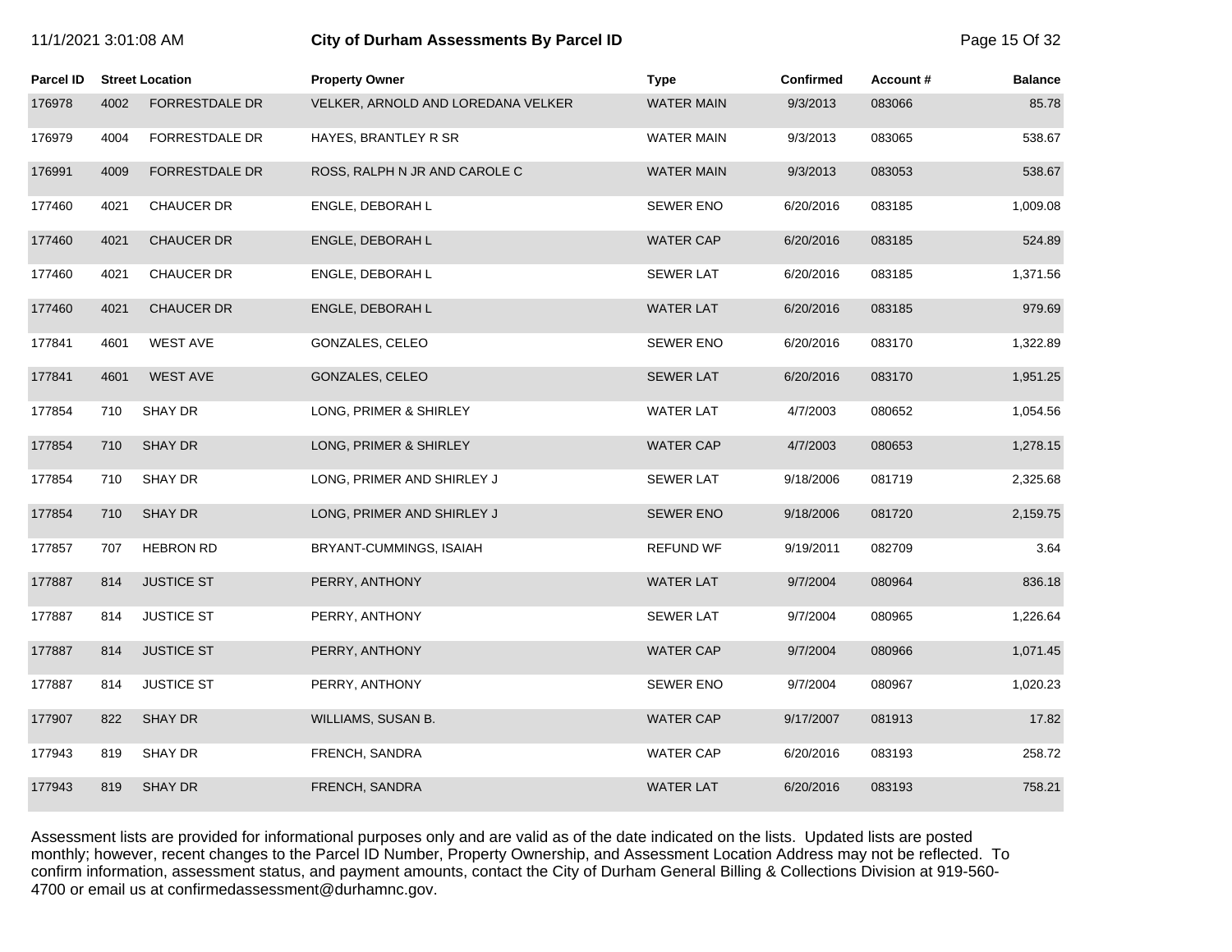| 11/1/2021 3:01:08 AM |
|----------------------|
|----------------------|

#### **111/2021 3:01:03 City of Durham Assessments By Parcel ID 2:01:03:00 Page 15 Of 32 Page 15 Of 32**

| Parcel ID |      | <b>Street Location</b> | <b>Property Owner</b>              | <b>Type</b>       | <b>Confirmed</b> | Account# | <b>Balance</b> |
|-----------|------|------------------------|------------------------------------|-------------------|------------------|----------|----------------|
| 176978    | 4002 | <b>FORRESTDALE DR</b>  | VELKER, ARNOLD AND LOREDANA VELKER | <b>WATER MAIN</b> | 9/3/2013         | 083066   | 85.78          |
| 176979    | 4004 | FORRESTDALE DR         | HAYES, BRANTLEY R SR               | <b>WATER MAIN</b> | 9/3/2013         | 083065   | 538.67         |
| 176991    | 4009 | <b>FORRESTDALE DR</b>  | ROSS, RALPH N JR AND CAROLE C      | <b>WATER MAIN</b> | 9/3/2013         | 083053   | 538.67         |
| 177460    | 4021 | <b>CHAUCER DR</b>      | ENGLE, DEBORAH L                   | <b>SEWER ENO</b>  | 6/20/2016        | 083185   | 1,009.08       |
| 177460    | 4021 | <b>CHAUCER DR</b>      | ENGLE, DEBORAH L                   | <b>WATER CAP</b>  | 6/20/2016        | 083185   | 524.89         |
| 177460    | 4021 | <b>CHAUCER DR</b>      | ENGLE, DEBORAH L                   | <b>SEWER LAT</b>  | 6/20/2016        | 083185   | 1,371.56       |
| 177460    | 4021 | <b>CHAUCER DR</b>      | ENGLE, DEBORAH L                   | <b>WATER LAT</b>  | 6/20/2016        | 083185   | 979.69         |
| 177841    | 4601 | <b>WEST AVE</b>        | GONZALES, CELEO                    | <b>SEWER ENO</b>  | 6/20/2016        | 083170   | 1,322.89       |
| 177841    | 4601 | <b>WEST AVE</b>        | GONZALES, CELEO                    | <b>SEWER LAT</b>  | 6/20/2016        | 083170   | 1,951.25       |
| 177854    | 710  | SHAY DR                | LONG, PRIMER & SHIRLEY             | <b>WATER LAT</b>  | 4/7/2003         | 080652   | 1,054.56       |
| 177854    | 710  | <b>SHAY DR</b>         | LONG, PRIMER & SHIRLEY             | <b>WATER CAP</b>  | 4/7/2003         | 080653   | 1,278.15       |
| 177854    | 710  | SHAY DR                | LONG, PRIMER AND SHIRLEY J         | <b>SEWER LAT</b>  | 9/18/2006        | 081719   | 2,325.68       |
| 177854    | 710  | SHAY DR                | LONG, PRIMER AND SHIRLEY J         | <b>SEWER ENO</b>  | 9/18/2006        | 081720   | 2,159.75       |
| 177857    | 707  | <b>HEBRON RD</b>       | BRYANT-CUMMINGS, ISAIAH            | <b>REFUND WF</b>  | 9/19/2011        | 082709   | 3.64           |
| 177887    | 814  | <b>JUSTICE ST</b>      | PERRY, ANTHONY                     | <b>WATER LAT</b>  | 9/7/2004         | 080964   | 836.18         |
| 177887    | 814  | <b>JUSTICE ST</b>      | PERRY, ANTHONY                     | <b>SEWER LAT</b>  | 9/7/2004         | 080965   | 1,226.64       |
| 177887    | 814  | <b>JUSTICE ST</b>      | PERRY, ANTHONY                     | <b>WATER CAP</b>  | 9/7/2004         | 080966   | 1,071.45       |
| 177887    | 814  | <b>JUSTICE ST</b>      | PERRY, ANTHONY                     | <b>SEWER ENO</b>  | 9/7/2004         | 080967   | 1,020.23       |
| 177907    | 822  | <b>SHAY DR</b>         | WILLIAMS, SUSAN B.                 | <b>WATER CAP</b>  | 9/17/2007        | 081913   | 17.82          |
| 177943    | 819  | SHAY DR                | FRENCH, SANDRA                     | <b>WATER CAP</b>  | 6/20/2016        | 083193   | 258.72         |
| 177943    | 819  | <b>SHAY DR</b>         | FRENCH, SANDRA                     | <b>WATER LAT</b>  | 6/20/2016        | 083193   | 758.21         |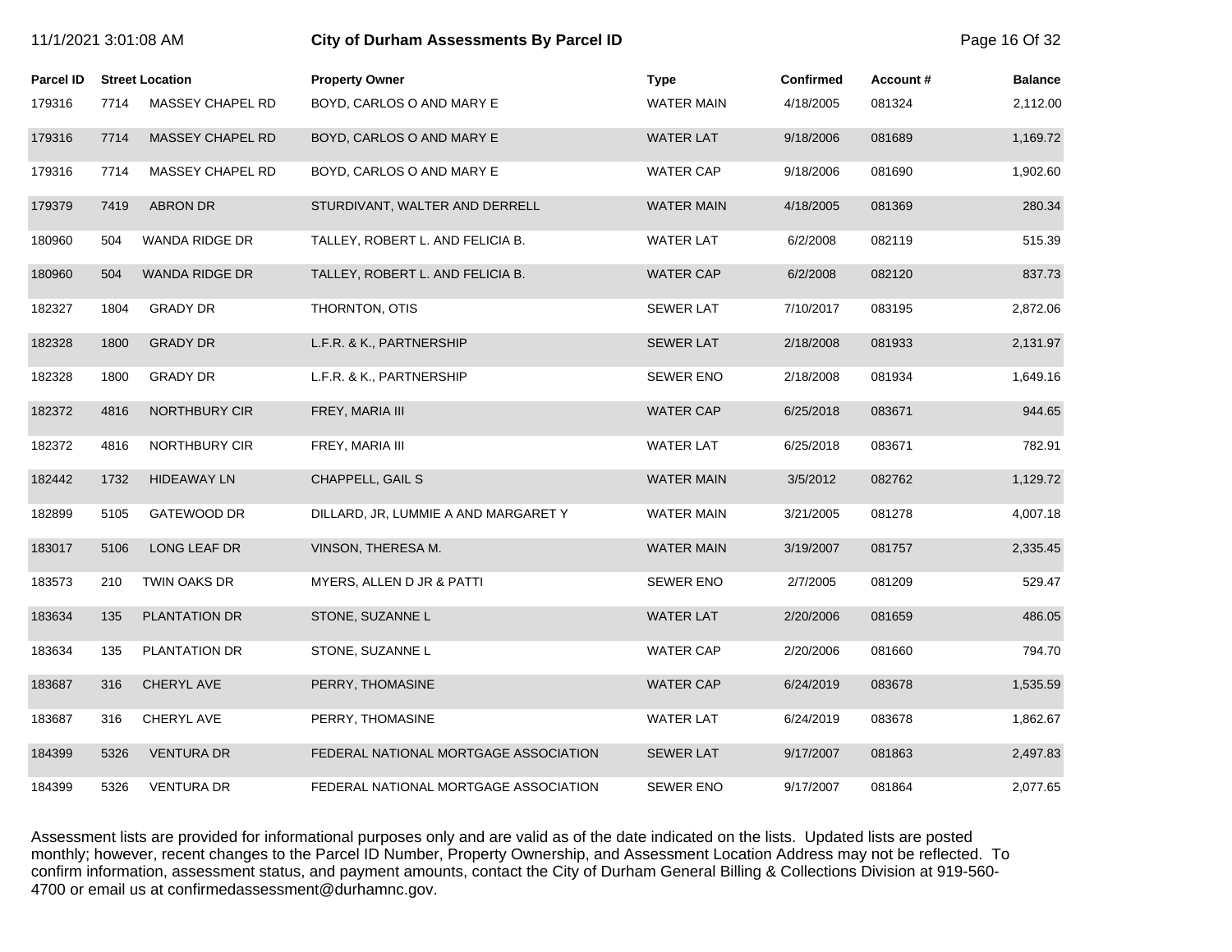| 11/1/2021 3:01:08 AM |      |                        | City of Durham Assessments By Parcel ID |                   |           |          |                |
|----------------------|------|------------------------|-----------------------------------------|-------------------|-----------|----------|----------------|
| <b>Parcel ID</b>     |      | <b>Street Location</b> | <b>Property Owner</b>                   | <b>Type</b>       | Confirmed | Account# | <b>Balance</b> |
| 179316               | 7714 | MASSEY CHAPEL RD       | BOYD, CARLOS O AND MARY E               | <b>WATER MAIN</b> | 4/18/2005 | 081324   | 2,112.00       |
| 179316               | 7714 | MASSEY CHAPEL RD       | BOYD, CARLOS O AND MARY E               | <b>WATER LAT</b>  | 9/18/2006 | 081689   | 1,169.72       |
| 179316               | 7714 | MASSEY CHAPEL RD       | BOYD, CARLOS O AND MARY E               | WATER CAP         | 9/18/2006 | 081690   | 1,902.60       |
| 179379               | 7419 | <b>ABRON DR</b>        | STURDIVANT, WALTER AND DERRELL          | <b>WATER MAIN</b> | 4/18/2005 | 081369   | 280.34         |
| 180960               | 504  | <b>WANDA RIDGE DR</b>  | TALLEY, ROBERT L. AND FELICIA B.        | <b>WATER LAT</b>  | 6/2/2008  | 082119   | 515.39         |
| 180960               | 504  | <b>WANDA RIDGE DR</b>  | TALLEY, ROBERT L. AND FELICIA B.        | <b>WATER CAP</b>  | 6/2/2008  | 082120   | 837.73         |
| 182327               | 1804 | <b>GRADY DR</b>        | THORNTON, OTIS                          | <b>SEWER LAT</b>  | 7/10/2017 | 083195   | 2,872.06       |
| 182328               | 1800 | <b>GRADY DR</b>        | L.F.R. & K., PARTNERSHIP                | <b>SEWER LAT</b>  | 2/18/2008 | 081933   | 2,131.97       |
| 182328               | 1800 | <b>GRADY DR</b>        | L.F.R. & K., PARTNERSHIP                | <b>SEWER ENO</b>  | 2/18/2008 | 081934   | 1,649.16       |
| 182372               | 4816 | NORTHBURY CIR          | FREY, MARIA III                         | <b>WATER CAP</b>  | 6/25/2018 | 083671   | 944.65         |
| 182372               | 4816 | NORTHBURY CIR          | FREY, MARIA III                         | <b>WATER LAT</b>  | 6/25/2018 | 083671   | 782.91         |
| 182442               | 1732 | <b>HIDEAWAY LN</b>     | CHAPPELL, GAIL S                        | <b>WATER MAIN</b> | 3/5/2012  | 082762   | 1,129.72       |
| 182899               | 5105 | GATEWOOD DR            | DILLARD, JR, LUMMIE A AND MARGARET Y    | <b>WATER MAIN</b> | 3/21/2005 | 081278   | 4,007.18       |
| 183017               | 5106 | LONG LEAF DR           | VINSON, THERESA M.                      | <b>WATER MAIN</b> | 3/19/2007 | 081757   | 2,335.45       |
| 183573               | 210  | TWIN OAKS DR           | MYERS, ALLEN D JR & PATTI               | <b>SEWER ENO</b>  | 2/7/2005  | 081209   | 529.47         |
| 183634               | 135  | PLANTATION DR          | STONE, SUZANNE L                        | <b>WATER LAT</b>  | 2/20/2006 | 081659   | 486.05         |
| 183634               | 135  | PLANTATION DR          | STONE, SUZANNE L                        | WATER CAP         | 2/20/2006 | 081660   | 794.70         |
| 183687               | 316  | CHERYL AVE             | PERRY, THOMASINE                        | <b>WATER CAP</b>  | 6/24/2019 | 083678   | 1,535.59       |
| 183687               | 316  | CHERYL AVE             | PERRY, THOMASINE                        | <b>WATER LAT</b>  | 6/24/2019 | 083678   | 1,862.67       |
| 184399               | 5326 | <b>VENTURA DR</b>      | FEDERAL NATIONAL MORTGAGE ASSOCIATION   | <b>SEWER LAT</b>  | 9/17/2007 | 081863   | 2,497.83       |
| 184399               | 5326 | <b>VENTURA DR</b>      | FEDERAL NATIONAL MORTGAGE ASSOCIATION   | <b>SEWER ENO</b>  | 9/17/2007 | 081864   | 2,077.65       |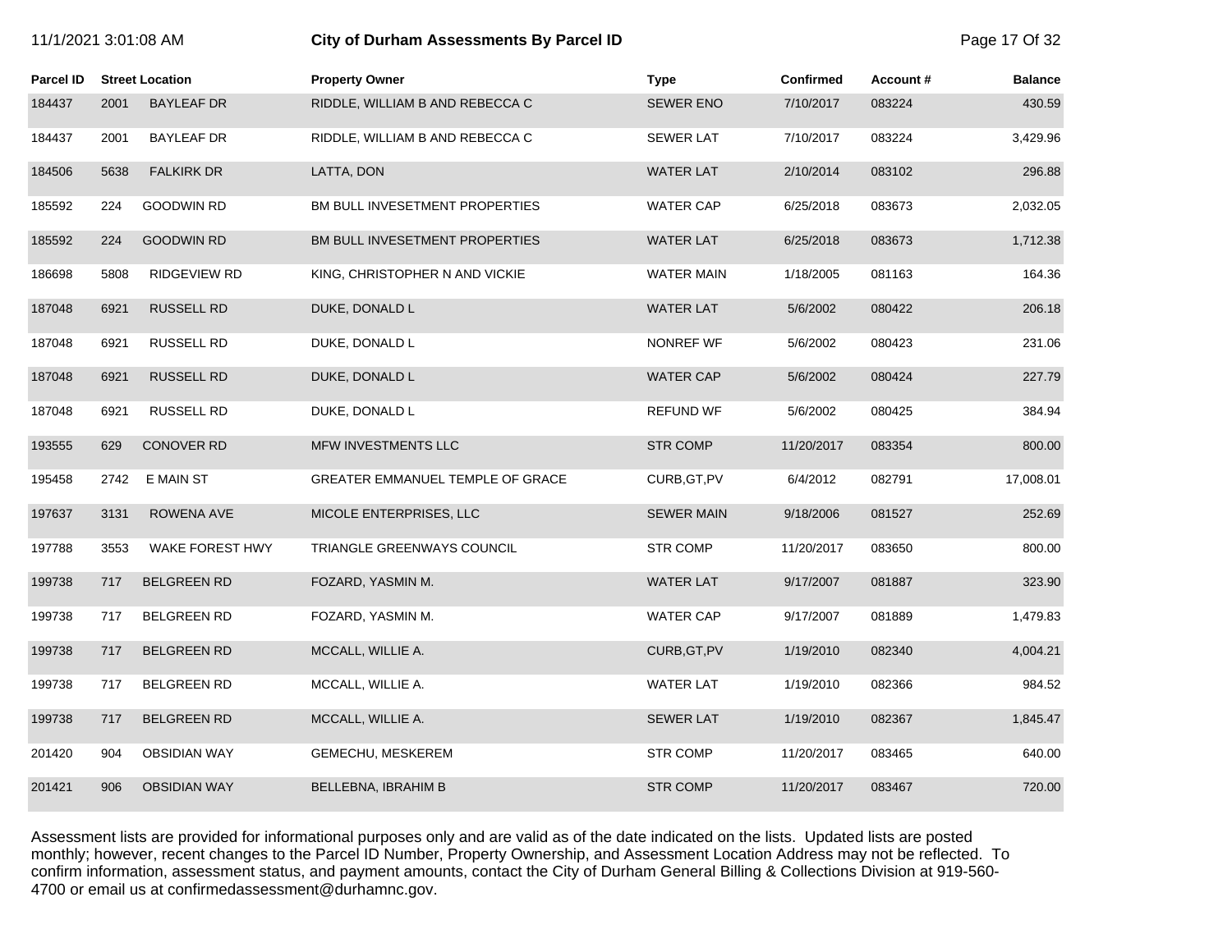| 11/1/2021 3:01:08 AM |      |                        | City of Durham Assessments By Parcel ID | Page 17 Of 32     |                  |          |                |
|----------------------|------|------------------------|-----------------------------------------|-------------------|------------------|----------|----------------|
| <b>Parcel ID</b>     |      | <b>Street Location</b> | <b>Property Owner</b>                   | <b>Type</b>       | <b>Confirmed</b> | Account# | <b>Balance</b> |
| 184437               | 2001 | <b>BAYLEAF DR</b>      | RIDDLE, WILLIAM B AND REBECCA C         | <b>SEWER ENO</b>  | 7/10/2017        | 083224   | 430.59         |
| 184437               | 2001 | <b>BAYLEAF DR</b>      | RIDDLE, WILLIAM B AND REBECCA C         | <b>SEWER LAT</b>  | 7/10/2017        | 083224   | 3,429.96       |
| 184506               | 5638 | <b>FALKIRK DR</b>      | LATTA, DON                              | <b>WATER LAT</b>  | 2/10/2014        | 083102   | 296.88         |
| 185592               | 224  | <b>GOODWIN RD</b>      | BM BULL INVESETMENT PROPERTIES          | <b>WATER CAP</b>  | 6/25/2018        | 083673   | 2,032.05       |
| 185592               | 224  | <b>GOODWIN RD</b>      | BM BULL INVESETMENT PROPERTIES          | <b>WATER LAT</b>  | 6/25/2018        | 083673   | 1,712.38       |
| 186698               | 5808 | <b>RIDGEVIEW RD</b>    | KING, CHRISTOPHER N AND VICKIE          | <b>WATER MAIN</b> | 1/18/2005        | 081163   | 164.36         |
| 187048               | 6921 | <b>RUSSELL RD</b>      | DUKE, DONALD L                          | <b>WATER LAT</b>  | 5/6/2002         | 080422   | 206.18         |
| 187048               | 6921 | RUSSELL RD             | DUKE, DONALD L                          | NONREF WF         | 5/6/2002         | 080423   | 231.06         |
| 187048               | 6921 | <b>RUSSELL RD</b>      | DUKE, DONALD L                          | <b>WATER CAP</b>  | 5/6/2002         | 080424   | 227.79         |
| 187048               | 6921 | RUSSELL RD             | DUKE, DONALD L                          | <b>REFUND WF</b>  | 5/6/2002         | 080425   | 384.94         |
| 193555               | 629  | <b>CONOVER RD</b>      | MFW INVESTMENTS LLC                     | <b>STR COMP</b>   | 11/20/2017       | 083354   | 800.00         |
| 195458               | 2742 | E MAIN ST              | GREATER EMMANUEL TEMPLE OF GRACE        | CURB, GT, PV      | 6/4/2012         | 082791   | 17,008.01      |
| 197637               | 3131 | ROWENA AVE             | MICOLE ENTERPRISES, LLC                 | <b>SEWER MAIN</b> | 9/18/2006        | 081527   | 252.69         |
| 197788               | 3553 | WAKE FOREST HWY        | <b>TRIANGLE GREENWAYS COUNCIL</b>       | <b>STR COMP</b>   | 11/20/2017       | 083650   | 800.00         |
| 199738               | 717  | <b>BELGREEN RD</b>     | FOZARD, YASMIN M.                       | <b>WATER LAT</b>  | 9/17/2007        | 081887   | 323.90         |
| 199738               | 717  | <b>BELGREEN RD</b>     | FOZARD, YASMIN M.                       | <b>WATER CAP</b>  | 9/17/2007        | 081889   | 1,479.83       |
| 199738               | 717  | <b>BELGREEN RD</b>     | MCCALL, WILLIE A.                       | CURB, GT, PV      | 1/19/2010        | 082340   | 4,004.21       |
| 199738               | 717  | <b>BELGREEN RD</b>     | MCCALL, WILLIE A.                       | <b>WATER LAT</b>  | 1/19/2010        | 082366   | 984.52         |
| 199738               | 717  | <b>BELGREEN RD</b>     | MCCALL, WILLIE A.                       | <b>SEWER LAT</b>  | 1/19/2010        | 082367   | 1,845.47       |
| 201420               | 904  | <b>OBSIDIAN WAY</b>    | GEMECHU, MESKEREM                       | <b>STR COMP</b>   | 11/20/2017       | 083465   | 640.00         |
| 201421               | 906  | <b>OBSIDIAN WAY</b>    | BELLEBNA, IBRAHIM B                     | <b>STR COMP</b>   | 11/20/2017       | 083467   | 720.00         |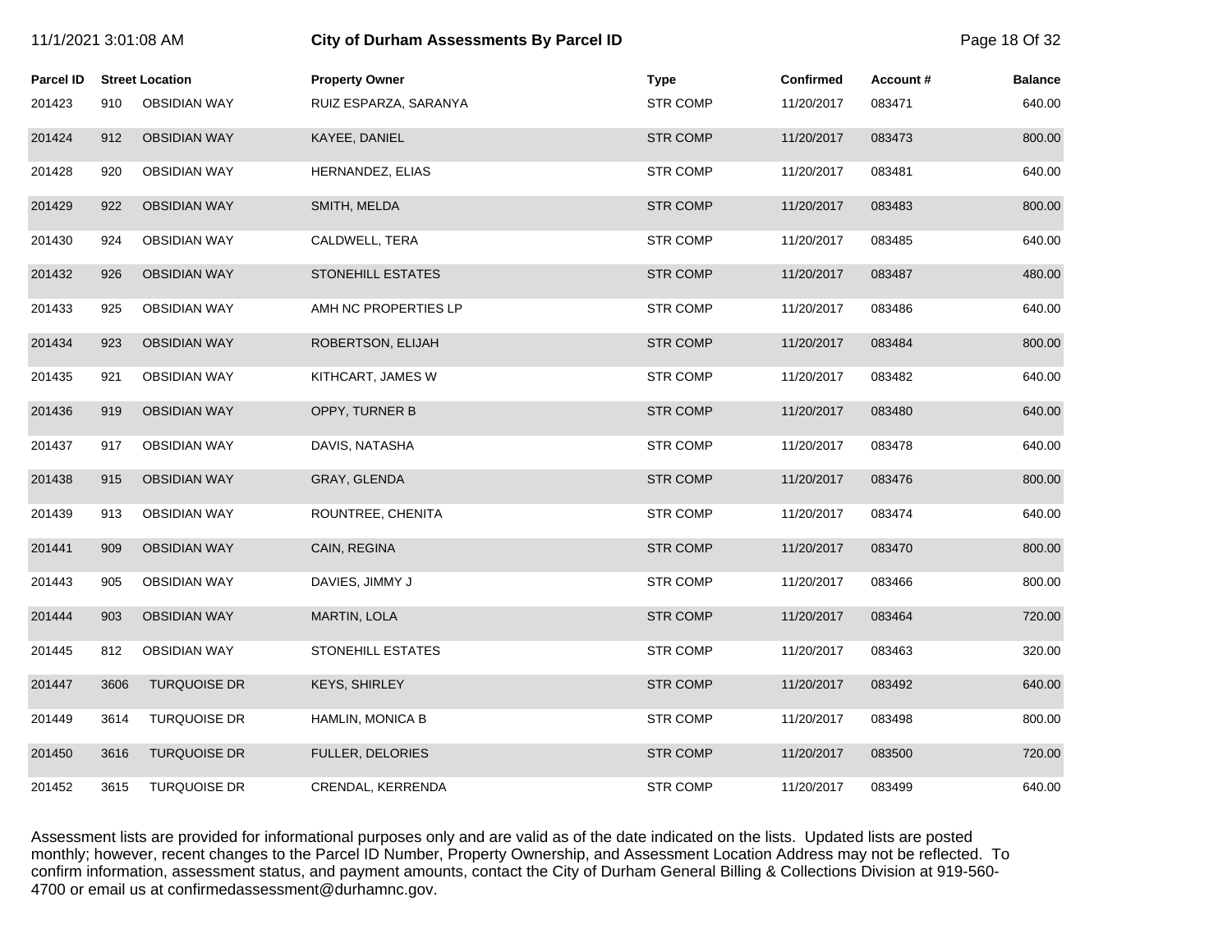| 11/1/2021 3:01:08 AM |      |                        | City of Durham Assessments By Parcel ID |                 |            |           | Page 18 Of 32  |
|----------------------|------|------------------------|-----------------------------------------|-----------------|------------|-----------|----------------|
| <b>Parcel ID</b>     |      | <b>Street Location</b> | <b>Property Owner</b>                   | <b>Type</b>     | Confirmed  | Account # | <b>Balance</b> |
| 201423               | 910  | <b>OBSIDIAN WAY</b>    | RUIZ ESPARZA, SARANYA                   | <b>STR COMP</b> | 11/20/2017 | 083471    | 640.00         |
| 201424               | 912  | <b>OBSIDIAN WAY</b>    | KAYEE, DANIEL                           | <b>STR COMP</b> | 11/20/2017 | 083473    | 800.00         |
| 201428               | 920  | <b>OBSIDIAN WAY</b>    | HERNANDEZ, ELIAS                        | <b>STR COMP</b> | 11/20/2017 | 083481    | 640.00         |
| 201429               | 922  | <b>OBSIDIAN WAY</b>    | SMITH, MELDA                            | <b>STR COMP</b> | 11/20/2017 | 083483    | 800.00         |
| 201430               | 924  | <b>OBSIDIAN WAY</b>    | CALDWELL, TERA                          | <b>STR COMP</b> | 11/20/2017 | 083485    | 640.00         |
| 201432               | 926  | <b>OBSIDIAN WAY</b>    | <b>STONEHILL ESTATES</b>                | <b>STR COMP</b> | 11/20/2017 | 083487    | 480.00         |
| 201433               | 925  | <b>OBSIDIAN WAY</b>    | AMH NC PROPERTIES LP                    | <b>STR COMP</b> | 11/20/2017 | 083486    | 640.00         |
| 201434               | 923  | <b>OBSIDIAN WAY</b>    | ROBERTSON, ELIJAH                       | <b>STR COMP</b> | 11/20/2017 | 083484    | 800.00         |
| 201435               | 921  | <b>OBSIDIAN WAY</b>    | KITHCART, JAMES W                       | <b>STR COMP</b> | 11/20/2017 | 083482    | 640.00         |
| 201436               | 919  | <b>OBSIDIAN WAY</b>    | OPPY, TURNER B                          | <b>STR COMP</b> | 11/20/2017 | 083480    | 640.00         |
| 201437               | 917  | <b>OBSIDIAN WAY</b>    | DAVIS, NATASHA                          | <b>STR COMP</b> | 11/20/2017 | 083478    | 640.00         |
| 201438               | 915  | <b>OBSIDIAN WAY</b>    | GRAY, GLENDA                            | <b>STR COMP</b> | 11/20/2017 | 083476    | 800.00         |
| 201439               | 913  | <b>OBSIDIAN WAY</b>    | ROUNTREE, CHENITA                       | <b>STR COMP</b> | 11/20/2017 | 083474    | 640.00         |
| 201441               | 909  | <b>OBSIDIAN WAY</b>    | CAIN, REGINA                            | <b>STR COMP</b> | 11/20/2017 | 083470    | 800.00         |
| 201443               | 905  | <b>OBSIDIAN WAY</b>    | DAVIES, JIMMY J                         | <b>STR COMP</b> | 11/20/2017 | 083466    | 800.00         |
| 201444               | 903  | <b>OBSIDIAN WAY</b>    | MARTIN, LOLA                            | <b>STR COMP</b> | 11/20/2017 | 083464    | 720.00         |
| 201445               | 812  | <b>OBSIDIAN WAY</b>    | STONEHILL ESTATES                       | <b>STR COMP</b> | 11/20/2017 | 083463    | 320.00         |
| 201447               | 3606 | <b>TURQUOISE DR</b>    | <b>KEYS, SHIRLEY</b>                    | <b>STR COMP</b> | 11/20/2017 | 083492    | 640.00         |
| 201449               | 3614 | <b>TURQUOISE DR</b>    | <b>HAMLIN, MONICA B</b>                 | <b>STR COMP</b> | 11/20/2017 | 083498    | 800.00         |
| 201450               | 3616 | <b>TURQUOISE DR</b>    | FULLER, DELORIES                        | <b>STR COMP</b> | 11/20/2017 | 083500    | 720.00         |
| 201452               | 3615 | <b>TURQUOISE DR</b>    | CRENDAL, KERRENDA                       | <b>STR COMP</b> | 11/20/2017 | 083499    | 640.00         |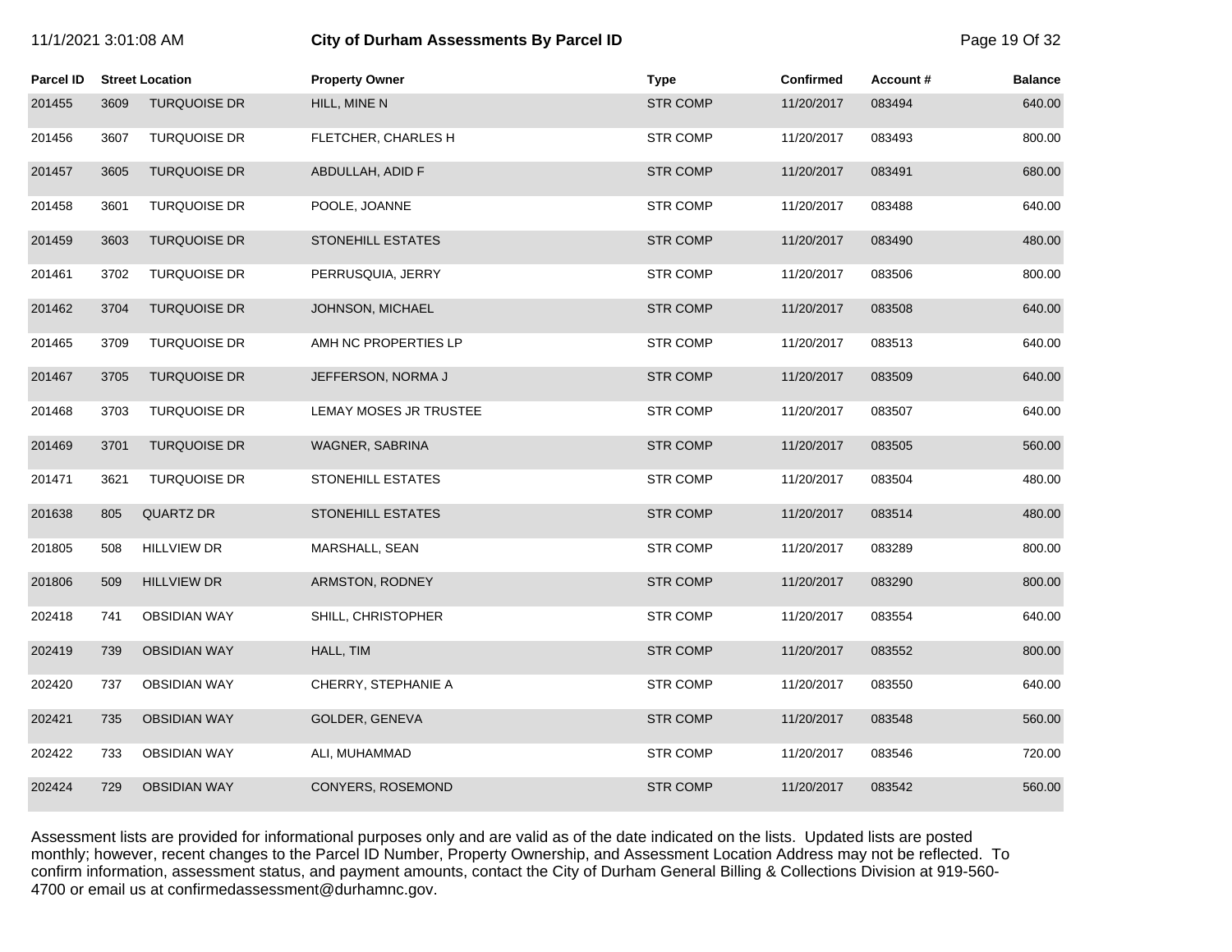| 11/1/2021 3:01:08 AM |      |                        |                          | City of Durham Assessments By Parcel ID |            |          | Page 19 Of 32  |
|----------------------|------|------------------------|--------------------------|-----------------------------------------|------------|----------|----------------|
| <b>Parcel ID</b>     |      | <b>Street Location</b> | <b>Property Owner</b>    | <b>Type</b>                             | Confirmed  | Account# | <b>Balance</b> |
| 201455               | 3609 | <b>TURQUOISE DR</b>    | HILL, MINE N             | STR COMP                                | 11/20/2017 | 083494   | 640.00         |
| 201456               | 3607 | <b>TURQUOISE DR</b>    | FLETCHER, CHARLES H      | <b>STR COMP</b>                         | 11/20/2017 | 083493   | 800.00         |
| 201457               | 3605 | <b>TURQUOISE DR</b>    | ABDULLAH, ADID F         | <b>STR COMP</b>                         | 11/20/2017 | 083491   | 680.00         |
| 201458               | 3601 | <b>TURQUOISE DR</b>    | POOLE, JOANNE            | STR COMP                                | 11/20/2017 | 083488   | 640.00         |
| 201459               | 3603 | <b>TURQUOISE DR</b>    | STONEHILL ESTATES        | <b>STR COMP</b>                         | 11/20/2017 | 083490   | 480.00         |
| 201461               | 3702 | <b>TURQUOISE DR</b>    | PERRUSQUIA, JERRY        | <b>STR COMP</b>                         | 11/20/2017 | 083506   | 800.00         |
| 201462               | 3704 | <b>TURQUOISE DR</b>    | JOHNSON, MICHAEL         | STR COMP                                | 11/20/2017 | 083508   | 640.00         |
| 201465               | 3709 | <b>TURQUOISE DR</b>    | AMH NC PROPERTIES LP     | <b>STR COMP</b>                         | 11/20/2017 | 083513   | 640.00         |
| 201467               | 3705 | <b>TURQUOISE DR</b>    | JEFFERSON, NORMA J       | <b>STR COMP</b>                         | 11/20/2017 | 083509   | 640.00         |
| 201468               | 3703 | <b>TURQUOISE DR</b>    | LEMAY MOSES JR TRUSTEE   | <b>STR COMP</b>                         | 11/20/2017 | 083507   | 640.00         |
| 201469               | 3701 | <b>TURQUOISE DR</b>    | WAGNER, SABRINA          | <b>STR COMP</b>                         | 11/20/2017 | 083505   | 560.00         |
| 201471               | 3621 | <b>TURQUOISE DR</b>    | STONEHILL ESTATES        | STR COMP                                | 11/20/2017 | 083504   | 480.00         |
| 201638               | 805  | <b>QUARTZ DR</b>       | <b>STONEHILL ESTATES</b> | <b>STR COMP</b>                         | 11/20/2017 | 083514   | 480.00         |
| 201805               | 508  | <b>HILLVIEW DR</b>     | MARSHALL, SEAN           | <b>STR COMP</b>                         | 11/20/2017 | 083289   | 800.00         |
| 201806               | 509  | <b>HILLVIEW DR</b>     | ARMSTON, RODNEY          | <b>STR COMP</b>                         | 11/20/2017 | 083290   | 800.00         |
| 202418               | 741  | <b>OBSIDIAN WAY</b>    | SHILL, CHRISTOPHER       | <b>STR COMP</b>                         | 11/20/2017 | 083554   | 640.00         |
| 202419               | 739  | <b>OBSIDIAN WAY</b>    | HALL, TIM                | <b>STR COMP</b>                         | 11/20/2017 | 083552   | 800.00         |
| 202420               | 737  | <b>OBSIDIAN WAY</b>    | CHERRY, STEPHANIE A      | <b>STR COMP</b>                         | 11/20/2017 | 083550   | 640.00         |
| 202421               | 735  | <b>OBSIDIAN WAY</b>    | GOLDER, GENEVA           | STR COMP                                | 11/20/2017 | 083548   | 560.00         |
| 202422               | 733  | <b>OBSIDIAN WAY</b>    | ALI, MUHAMMAD            | <b>STR COMP</b>                         | 11/20/2017 | 083546   | 720.00         |
| 202424               | 729  | <b>OBSIDIAN WAY</b>    | CONYERS, ROSEMOND        | <b>STR COMP</b>                         | 11/20/2017 | 083542   | 560.00         |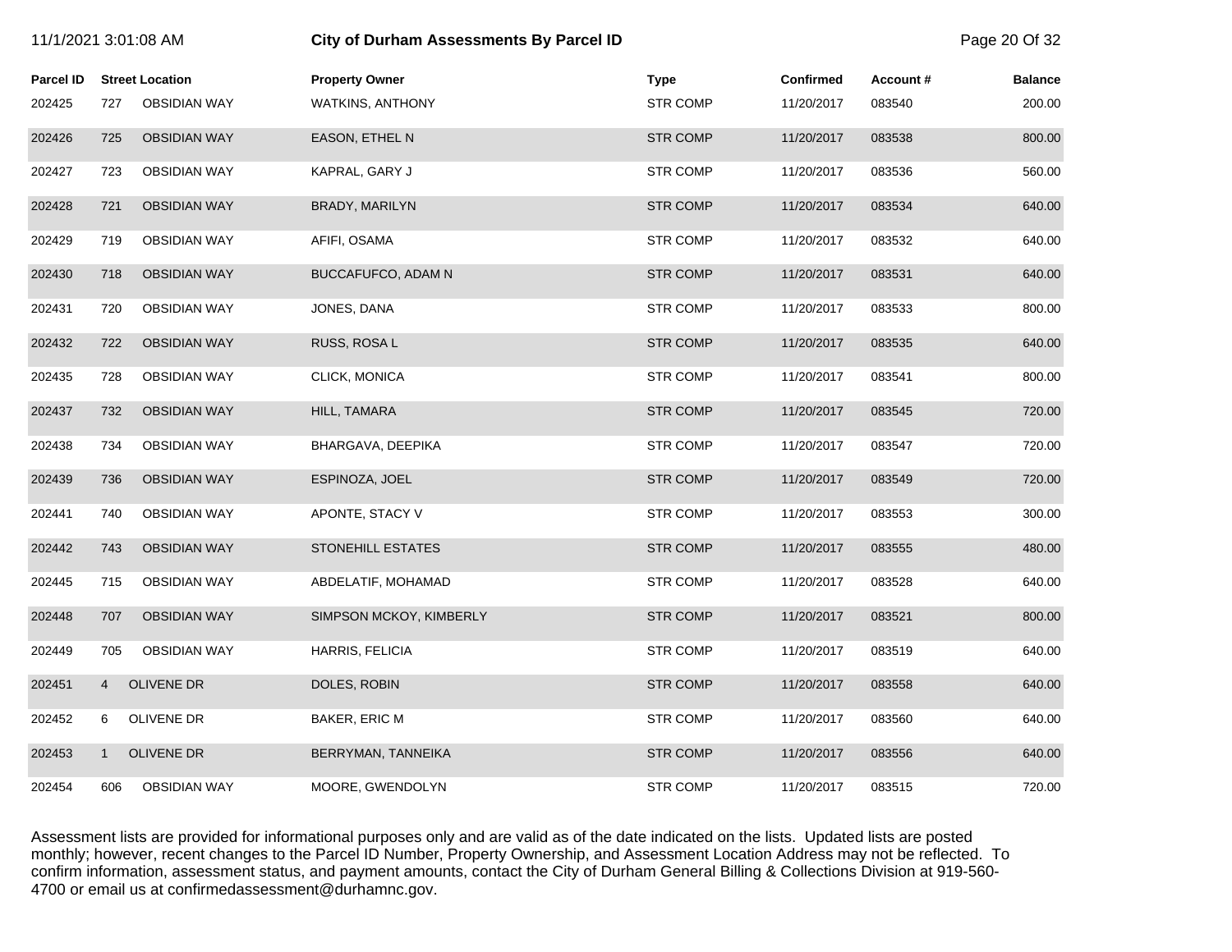| 11/1/2021 3:01:08 AM |                |                        | <b>City of Durham Assessments By Parcel ID</b> |                 |                  |          |                |
|----------------------|----------------|------------------------|------------------------------------------------|-----------------|------------------|----------|----------------|
| <b>Parcel ID</b>     |                | <b>Street Location</b> | <b>Property Owner</b>                          | <b>Type</b>     | <b>Confirmed</b> | Account# | <b>Balance</b> |
| 202425               | 727            | <b>OBSIDIAN WAY</b>    | <b>WATKINS, ANTHONY</b>                        | <b>STR COMP</b> | 11/20/2017       | 083540   | 200.00         |
| 202426               | 725            | <b>OBSIDIAN WAY</b>    | EASON, ETHEL N                                 | <b>STR COMP</b> | 11/20/2017       | 083538   | 800.00         |
| 202427               | 723            | <b>OBSIDIAN WAY</b>    | KAPRAL, GARY J                                 | <b>STR COMP</b> | 11/20/2017       | 083536   | 560.00         |
| 202428               | 721            | <b>OBSIDIAN WAY</b>    | BRADY, MARILYN                                 | <b>STR COMP</b> | 11/20/2017       | 083534   | 640.00         |
| 202429               | 719            | <b>OBSIDIAN WAY</b>    | AFIFI, OSAMA                                   | <b>STR COMP</b> | 11/20/2017       | 083532   | 640.00         |
| 202430               | 718            | <b>OBSIDIAN WAY</b>    | BUCCAFUFCO, ADAM N                             | <b>STR COMP</b> | 11/20/2017       | 083531   | 640.00         |
| 202431               | 720            | <b>OBSIDIAN WAY</b>    | JONES, DANA                                    | <b>STR COMP</b> | 11/20/2017       | 083533   | 800.00         |
| 202432               | 722            | <b>OBSIDIAN WAY</b>    | RUSS, ROSA L                                   | <b>STR COMP</b> | 11/20/2017       | 083535   | 640.00         |
| 202435               | 728            | <b>OBSIDIAN WAY</b>    | CLICK, MONICA                                  | <b>STR COMP</b> | 11/20/2017       | 083541   | 800.00         |
| 202437               | 732            | <b>OBSIDIAN WAY</b>    | HILL, TAMARA                                   | <b>STR COMP</b> | 11/20/2017       | 083545   | 720.00         |
| 202438               | 734            | <b>OBSIDIAN WAY</b>    | BHARGAVA, DEEPIKA                              | <b>STR COMP</b> | 11/20/2017       | 083547   | 720.00         |
| 202439               | 736            | <b>OBSIDIAN WAY</b>    | ESPINOZA, JOEL                                 | <b>STR COMP</b> | 11/20/2017       | 083549   | 720.00         |
| 202441               | 740            | <b>OBSIDIAN WAY</b>    | APONTE, STACY V                                | <b>STR COMP</b> | 11/20/2017       | 083553   | 300.00         |
| 202442               | 743            | <b>OBSIDIAN WAY</b>    | <b>STONEHILL ESTATES</b>                       | <b>STR COMP</b> | 11/20/2017       | 083555   | 480.00         |
| 202445               | 715            | <b>OBSIDIAN WAY</b>    | ABDELATIF, MOHAMAD                             | <b>STR COMP</b> | 11/20/2017       | 083528   | 640.00         |
| 202448               | 707            | <b>OBSIDIAN WAY</b>    | SIMPSON MCKOY, KIMBERLY                        | <b>STR COMP</b> | 11/20/2017       | 083521   | 800.00         |
| 202449               | 705            | <b>OBSIDIAN WAY</b>    | HARRIS, FELICIA                                | <b>STR COMP</b> | 11/20/2017       | 083519   | 640.00         |
| 202451               | $\overline{4}$ | <b>OLIVENE DR</b>      | DOLES, ROBIN                                   | <b>STR COMP</b> | 11/20/2017       | 083558   | 640.00         |
| 202452               | 6              | OLIVENE DR             | BAKER, ERIC M                                  | <b>STR COMP</b> | 11/20/2017       | 083560   | 640.00         |
| 202453               | $\mathbf{1}$   | <b>OLIVENE DR</b>      | BERRYMAN, TANNEIKA                             | <b>STR COMP</b> | 11/20/2017       | 083556   | 640.00         |
| 202454               | 606            | <b>OBSIDIAN WAY</b>    | MOORE, GWENDOLYN                               | <b>STR COMP</b> | 11/20/2017       | 083515   | 720.00         |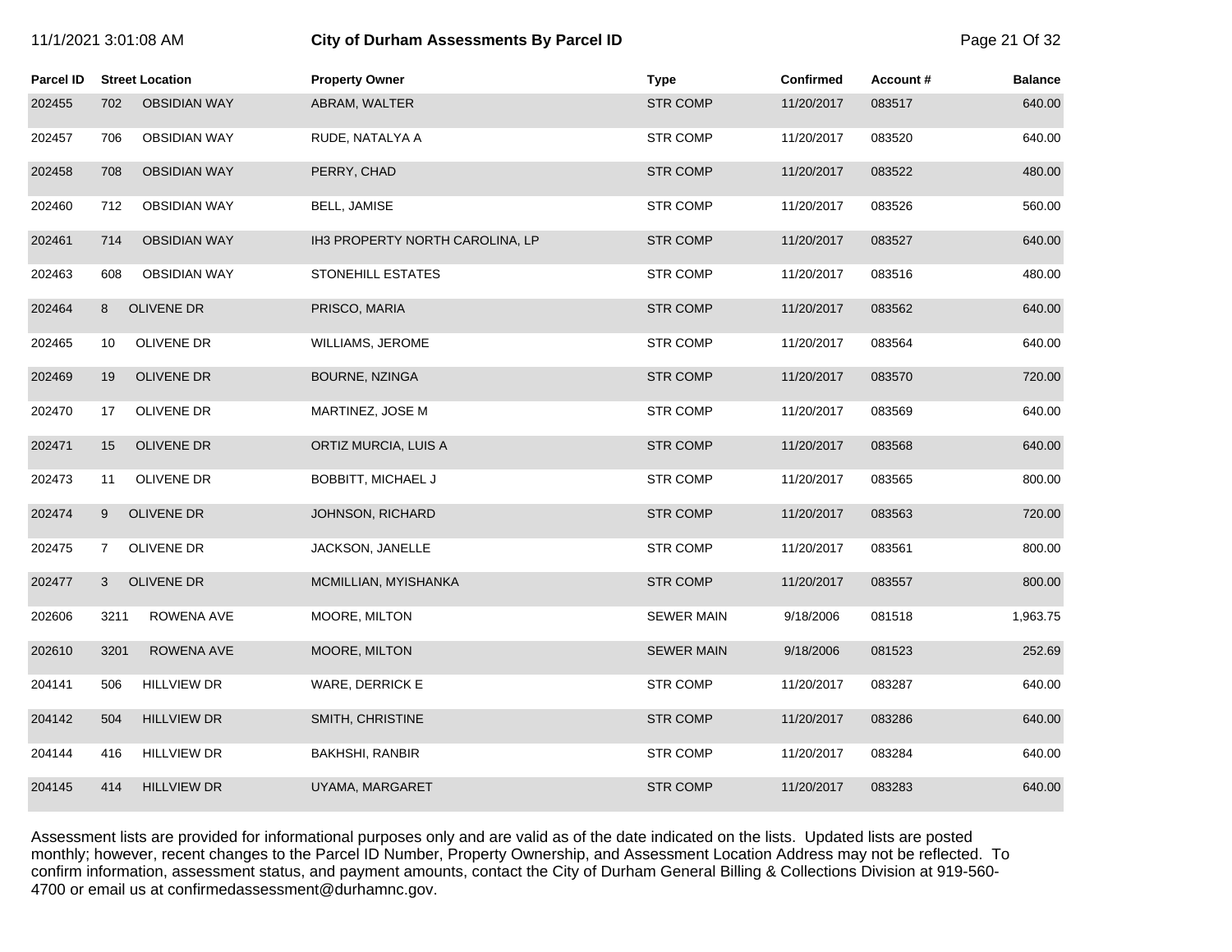|  | l1/1/2021 3:01:08 AM |  |  |
|--|----------------------|--|--|
|--|----------------------|--|--|

# 11/1/2021 3:01:08 AM **City of Durham Assessments By Parcel ID** Page 21 Of 32

| <b>Parcel ID</b> | <b>Street Location</b>       | <b>Property Owner</b>           | <b>Type</b>       | <b>Confirmed</b> | Account# | <b>Balance</b> |
|------------------|------------------------------|---------------------------------|-------------------|------------------|----------|----------------|
| 202455           | <b>OBSIDIAN WAY</b><br>702   | ABRAM, WALTER                   | <b>STR COMP</b>   | 11/20/2017       | 083517   | 640.00         |
| 202457           | <b>OBSIDIAN WAY</b><br>706   | RUDE, NATALYA A                 | <b>STR COMP</b>   | 11/20/2017       | 083520   | 640.00         |
| 202458           | 708<br><b>OBSIDIAN WAY</b>   | PERRY, CHAD                     | <b>STR COMP</b>   | 11/20/2017       | 083522   | 480.00         |
| 202460           | 712<br><b>OBSIDIAN WAY</b>   | BELL, JAMISE                    | <b>STR COMP</b>   | 11/20/2017       | 083526   | 560.00         |
| 202461           | 714<br><b>OBSIDIAN WAY</b>   | IH3 PROPERTY NORTH CAROLINA, LP | <b>STR COMP</b>   | 11/20/2017       | 083527   | 640.00         |
| 202463           | <b>OBSIDIAN WAY</b><br>608   | STONEHILL ESTATES               | <b>STR COMP</b>   | 11/20/2017       | 083516   | 480.00         |
| 202464           | <b>OLIVENE DR</b><br>8       | PRISCO, MARIA                   | <b>STR COMP</b>   | 11/20/2017       | 083562   | 640.00         |
| 202465           | OLIVENE DR<br>10             | <b>WILLIAMS, JEROME</b>         | <b>STR COMP</b>   | 11/20/2017       | 083564   | 640.00         |
| 202469           | OLIVENE DR<br>19             | BOURNE, NZINGA                  | <b>STR COMP</b>   | 11/20/2017       | 083570   | 720.00         |
| 202470           | OLIVENE DR<br>17             | MARTINEZ, JOSE M                | <b>STR COMP</b>   | 11/20/2017       | 083569   | 640.00         |
| 202471           | <b>OLIVENE DR</b><br>15      | ORTIZ MURCIA, LUIS A            | <b>STR COMP</b>   | 11/20/2017       | 083568   | 640.00         |
| 202473           | OLIVENE DR<br>11             | <b>BOBBITT, MICHAEL J</b>       | <b>STR COMP</b>   | 11/20/2017       | 083565   | 800.00         |
| 202474           | <b>OLIVENE DR</b><br>9       | JOHNSON, RICHARD                | <b>STR COMP</b>   | 11/20/2017       | 083563   | 720.00         |
| 202475           | OLIVENE DR<br>$\overline{7}$ | JACKSON, JANELLE                | <b>STR COMP</b>   | 11/20/2017       | 083561   | 800.00         |
| 202477           | <b>OLIVENE DR</b><br>3       | MCMILLIAN, MYISHANKA            | <b>STR COMP</b>   | 11/20/2017       | 083557   | 800.00         |
| 202606           | 3211<br>ROWENA AVE           | MOORE, MILTON                   | <b>SEWER MAIN</b> | 9/18/2006        | 081518   | 1,963.75       |
| 202610           | 3201<br>ROWENA AVE           | MOORE, MILTON                   | <b>SEWER MAIN</b> | 9/18/2006        | 081523   | 252.69         |
| 204141           | <b>HILLVIEW DR</b><br>506    | WARE, DERRICK E                 | <b>STR COMP</b>   | 11/20/2017       | 083287   | 640.00         |
| 204142           | 504<br><b>HILLVIEW DR</b>    | SMITH, CHRISTINE                | <b>STR COMP</b>   | 11/20/2017       | 083286   | 640.00         |
| 204144           | 416<br><b>HILLVIEW DR</b>    | <b>BAKHSHI, RANBIR</b>          | <b>STR COMP</b>   | 11/20/2017       | 083284   | 640.00         |
| 204145           | 414<br><b>HILLVIEW DR</b>    | UYAMA, MARGARET                 | <b>STR COMP</b>   | 11/20/2017       | 083283   | 640.00         |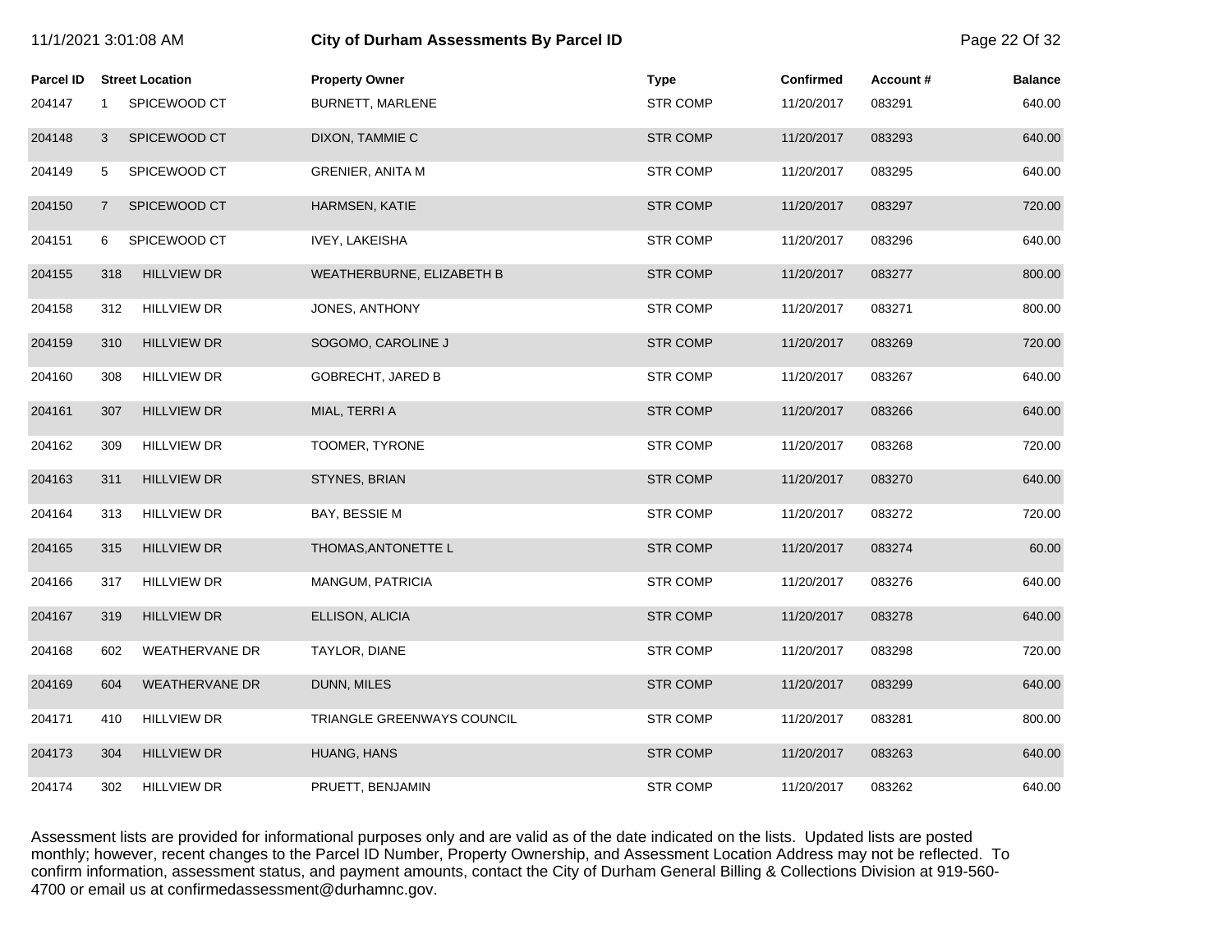| 11/1/2021 3:01:08 AM |                |                        | <b>City of Durham Assessments By Parcel ID</b> |                 |                  |          | Page 22 Of 32  |
|----------------------|----------------|------------------------|------------------------------------------------|-----------------|------------------|----------|----------------|
| <b>Parcel ID</b>     |                | <b>Street Location</b> | <b>Property Owner</b>                          | <b>Type</b>     | <b>Confirmed</b> | Account# | <b>Balance</b> |
| 204147               | $\mathbf 1$    | SPICEWOOD CT           | BURNETT, MARLENE                               | <b>STR COMP</b> | 11/20/2017       | 083291   | 640.00         |
| 204148               | 3              | SPICEWOOD CT           | DIXON, TAMMIE C                                | <b>STR COMP</b> | 11/20/2017       | 083293   | 640.00         |
| 204149               | 5              | SPICEWOOD CT           | <b>GRENIER, ANITA M</b>                        | <b>STR COMP</b> | 11/20/2017       | 083295   | 640.00         |
| 204150               | $\overline{7}$ | SPICEWOOD CT           | <b>HARMSEN, KATIE</b>                          | <b>STR COMP</b> | 11/20/2017       | 083297   | 720.00         |
| 204151               | 6              | SPICEWOOD CT           | <b>IVEY, LAKEISHA</b>                          | <b>STR COMP</b> | 11/20/2017       | 083296   | 640.00         |
| 204155               | 318            | <b>HILLVIEW DR</b>     | WEATHERBURNE, ELIZABETH B                      | <b>STR COMP</b> | 11/20/2017       | 083277   | 800.00         |
| 204158               | 312            | <b>HILLVIEW DR</b>     | JONES, ANTHONY                                 | <b>STR COMP</b> | 11/20/2017       | 083271   | 800.00         |
| 204159               | 310            | <b>HILLVIEW DR</b>     | SOGOMO, CAROLINE J                             | <b>STR COMP</b> | 11/20/2017       | 083269   | 720.00         |
| 204160               | 308            | <b>HILLVIEW DR</b>     | <b>GOBRECHT, JARED B</b>                       | <b>STR COMP</b> | 11/20/2017       | 083267   | 640.00         |
| 204161               | 307            | <b>HILLVIEW DR</b>     | MIAL, TERRI A                                  | <b>STR COMP</b> | 11/20/2017       | 083266   | 640.00         |
| 204162               | 309            | <b>HILLVIEW DR</b>     | TOOMER, TYRONE                                 | <b>STR COMP</b> | 11/20/2017       | 083268   | 720.00         |
| 204163               | 311            | <b>HILLVIEW DR</b>     | STYNES, BRIAN                                  | <b>STR COMP</b> | 11/20/2017       | 083270   | 640.00         |
| 204164               | 313            | <b>HILLVIEW DR</b>     | BAY, BESSIE M                                  | <b>STR COMP</b> | 11/20/2017       | 083272   | 720.00         |
| 204165               | 315            | <b>HILLVIEW DR</b>     | THOMAS, ANTONETTE L                            | <b>STR COMP</b> | 11/20/2017       | 083274   | 60.00          |
| 204166               | 317            | <b>HILLVIEW DR</b>     | MANGUM, PATRICIA                               | <b>STR COMP</b> | 11/20/2017       | 083276   | 640.00         |
| 204167               | 319            | <b>HILLVIEW DR</b>     | ELLISON, ALICIA                                | <b>STR COMP</b> | 11/20/2017       | 083278   | 640.00         |
| 204168               | 602            | <b>WEATHERVANE DR</b>  | TAYLOR, DIANE                                  | <b>STR COMP</b> | 11/20/2017       | 083298   | 720.00         |
| 204169               | 604            | <b>WEATHERVANE DR</b>  | DUNN, MILES                                    | <b>STR COMP</b> | 11/20/2017       | 083299   | 640.00         |
| 204171               | 410            | <b>HILLVIEW DR</b>     | TRIANGLE GREENWAYS COUNCIL                     | <b>STR COMP</b> | 11/20/2017       | 083281   | 800.00         |
| 204173               | 304            | <b>HILLVIEW DR</b>     | HUANG, HANS                                    | <b>STR COMP</b> | 11/20/2017       | 083263   | 640.00         |
| 204174               | 302            | <b>HILLVIEW DR</b>     | PRUETT, BENJAMIN                               | <b>STR COMP</b> | 11/20/2017       | 083262   | 640.00         |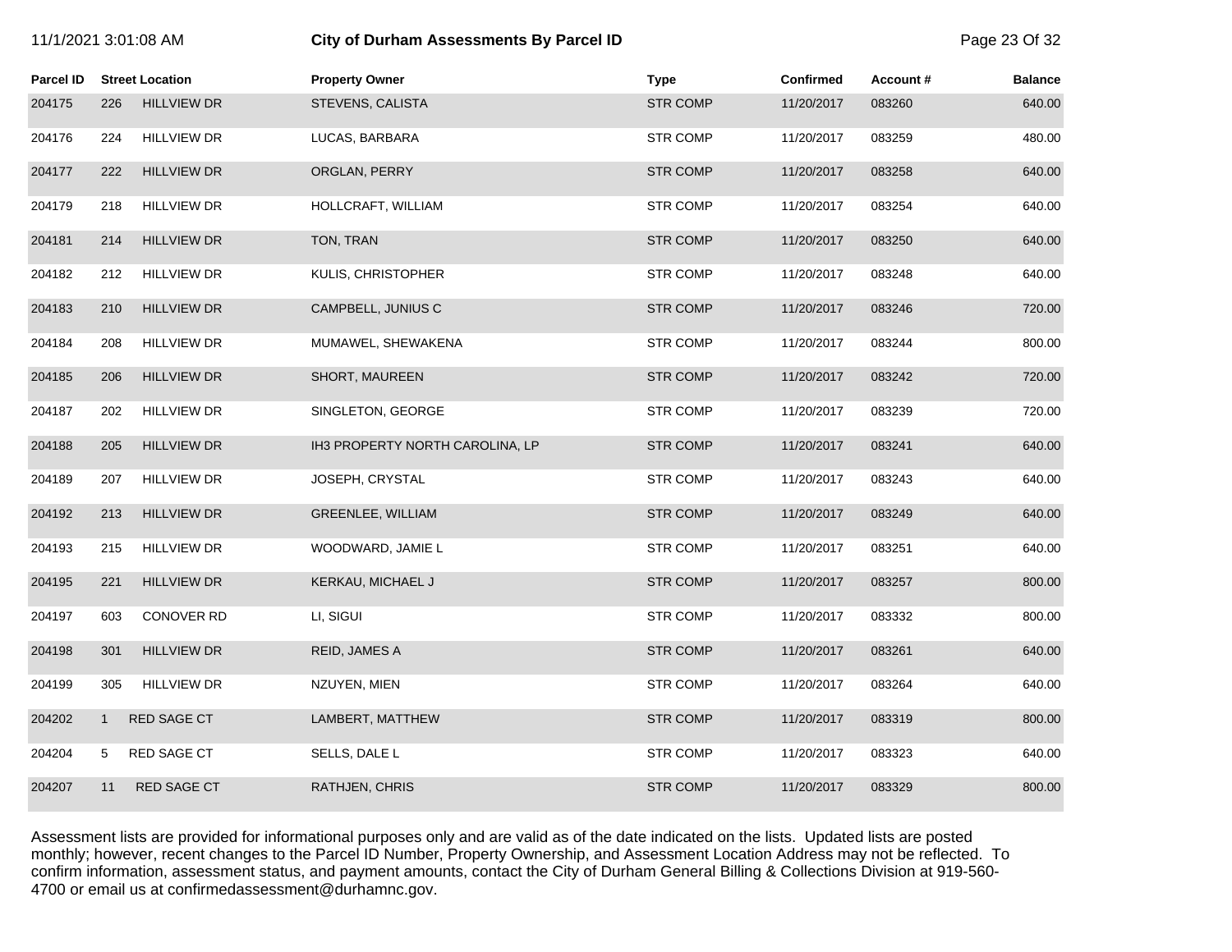| 11/1/2021 3:01:08 AM |              |                        | City of Durham Assessments By Parcel ID | Page 23 Of 32   |                  |          |                |
|----------------------|--------------|------------------------|-----------------------------------------|-----------------|------------------|----------|----------------|
| Parcel ID            |              | <b>Street Location</b> | <b>Property Owner</b>                   | <b>Type</b>     | <b>Confirmed</b> | Account# | <b>Balance</b> |
| 204175               | 226          | <b>HILLVIEW DR</b>     | STEVENS, CALISTA                        | <b>STR COMP</b> | 11/20/2017       | 083260   | 640.00         |
| 204176               | 224          | <b>HILLVIEW DR</b>     | LUCAS, BARBARA                          | <b>STR COMP</b> | 11/20/2017       | 083259   | 480.00         |
| 204177               | 222          | <b>HILLVIEW DR</b>     | ORGLAN, PERRY                           | <b>STR COMP</b> | 11/20/2017       | 083258   | 640.00         |
| 204179               | 218          | <b>HILLVIEW DR</b>     | HOLLCRAFT, WILLIAM                      | <b>STR COMP</b> | 11/20/2017       | 083254   | 640.00         |
| 204181               | 214          | <b>HILLVIEW DR</b>     | TON, TRAN                               | <b>STR COMP</b> | 11/20/2017       | 083250   | 640.00         |
| 204182               | 212          | <b>HILLVIEW DR</b>     | KULIS, CHRISTOPHER                      | <b>STR COMP</b> | 11/20/2017       | 083248   | 640.00         |
| 204183               | 210          | <b>HILLVIEW DR</b>     | CAMPBELL, JUNIUS C                      | <b>STR COMP</b> | 11/20/2017       | 083246   | 720.00         |
| 204184               | 208          | <b>HILLVIEW DR</b>     | MUMAWEL, SHEWAKENA                      | <b>STR COMP</b> | 11/20/2017       | 083244   | 800.00         |
| 204185               | 206          | <b>HILLVIEW DR</b>     | SHORT, MAUREEN                          | <b>STR COMP</b> | 11/20/2017       | 083242   | 720.00         |
| 204187               | 202          | <b>HILLVIEW DR</b>     | SINGLETON, GEORGE                       | <b>STR COMP</b> | 11/20/2017       | 083239   | 720.00         |
| 204188               | 205          | <b>HILLVIEW DR</b>     | IH3 PROPERTY NORTH CAROLINA, LP         | <b>STR COMP</b> | 11/20/2017       | 083241   | 640.00         |
| 204189               | 207          | <b>HILLVIEW DR</b>     | JOSEPH, CRYSTAL                         | <b>STR COMP</b> | 11/20/2017       | 083243   | 640.00         |
| 204192               | 213          | <b>HILLVIEW DR</b>     | <b>GREENLEE, WILLIAM</b>                | <b>STR COMP</b> | 11/20/2017       | 083249   | 640.00         |
| 204193               | 215          | <b>HILLVIEW DR</b>     | WOODWARD, JAMIE L                       | <b>STR COMP</b> | 11/20/2017       | 083251   | 640.00         |
| 204195               | 221          | <b>HILLVIEW DR</b>     | KERKAU, MICHAEL J                       | <b>STR COMP</b> | 11/20/2017       | 083257   | 800.00         |
| 204197               | 603          | CONOVER RD             | LI, SIGUI                               | <b>STR COMP</b> | 11/20/2017       | 083332   | 800.00         |
| 204198               | 301          | <b>HILLVIEW DR</b>     | REID, JAMES A                           | <b>STR COMP</b> | 11/20/2017       | 083261   | 640.00         |
| 204199               | 305          | <b>HILLVIEW DR</b>     | NZUYEN, MIEN                            | STR COMP        | 11/20/2017       | 083264   | 640.00         |
| 204202               | $\mathbf{1}$ | RED SAGE CT            | LAMBERT, MATTHEW                        | <b>STR COMP</b> | 11/20/2017       | 083319   | 800.00         |
| 204204               | 5            | <b>RED SAGE CT</b>     | SELLS, DALE L                           | <b>STR COMP</b> | 11/20/2017       | 083323   | 640.00         |
| 204207               | 11           | <b>RED SAGE CT</b>     | RATHJEN, CHRIS                          | <b>STR COMP</b> | 11/20/2017       | 083329   | 800.00         |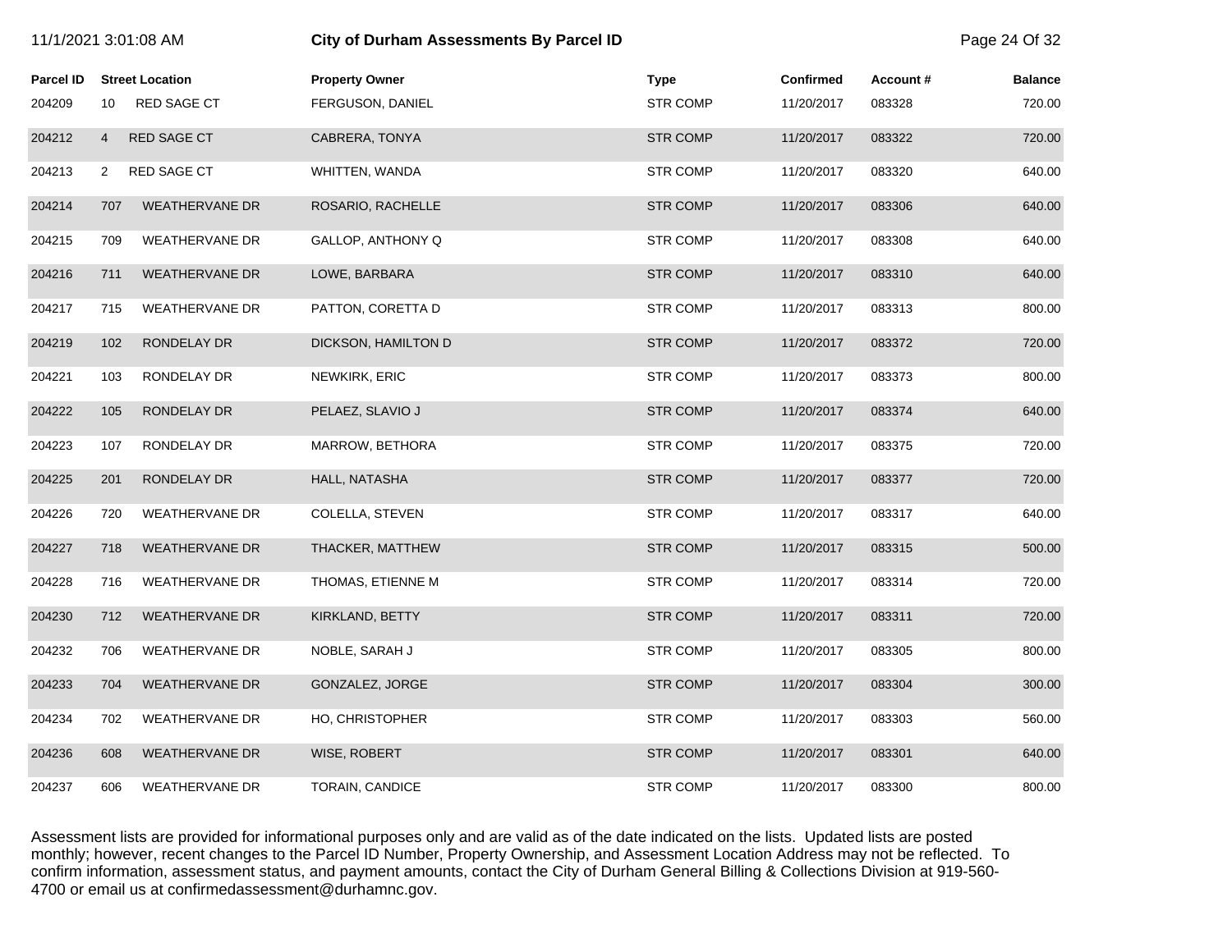| 11/1/2021 3:01:08 AM |                |                        | City of Durham Assessments By Parcel ID |                 |                  |          | Page 24 Of 32  |
|----------------------|----------------|------------------------|-----------------------------------------|-----------------|------------------|----------|----------------|
| Parcel ID            |                | <b>Street Location</b> | <b>Property Owner</b>                   | <b>Type</b>     | <b>Confirmed</b> | Account# | <b>Balance</b> |
| 204209               | 10             | <b>RED SAGE CT</b>     | FERGUSON, DANIEL                        | <b>STR COMP</b> | 11/20/2017       | 083328   | 720.00         |
| 204212               | $\overline{4}$ | RED SAGE CT            | CABRERA, TONYA                          | <b>STR COMP</b> | 11/20/2017       | 083322   | 720.00         |
| 204213               | 2              | <b>RED SAGE CT</b>     | WHITTEN, WANDA                          | <b>STR COMP</b> | 11/20/2017       | 083320   | 640.00         |
| 204214               | 707            | <b>WEATHERVANE DR</b>  | ROSARIO, RACHELLE                       | <b>STR COMP</b> | 11/20/2017       | 083306   | 640.00         |
| 204215               | 709            | <b>WEATHERVANE DR</b>  | GALLOP, ANTHONY Q                       | <b>STR COMP</b> | 11/20/2017       | 083308   | 640.00         |
| 204216               | 711            | WEATHERVANE DR         | LOWE, BARBARA                           | <b>STR COMP</b> | 11/20/2017       | 083310   | 640.00         |
| 204217               | 715            | <b>WEATHERVANE DR</b>  | PATTON, CORETTA D                       | <b>STR COMP</b> | 11/20/2017       | 083313   | 800.00         |
| 204219               | 102            | RONDELAY DR            | DICKSON, HAMILTON D                     | <b>STR COMP</b> | 11/20/2017       | 083372   | 720.00         |
| 204221               | 103            | RONDELAY DR            | NEWKIRK, ERIC                           | <b>STR COMP</b> | 11/20/2017       | 083373   | 800.00         |
| 204222               | 105            | RONDELAY DR            | PELAEZ, SLAVIO J                        | <b>STR COMP</b> | 11/20/2017       | 083374   | 640.00         |
| 204223               | 107            | RONDELAY DR            | MARROW, BETHORA                         | <b>STR COMP</b> | 11/20/2017       | 083375   | 720.00         |
| 204225               | 201            | RONDELAY DR            | HALL, NATASHA                           | <b>STR COMP</b> | 11/20/2017       | 083377   | 720.00         |
| 204226               | 720            | <b>WEATHERVANE DR</b>  | COLELLA, STEVEN                         | <b>STR COMP</b> | 11/20/2017       | 083317   | 640.00         |
| 204227               | 718            | <b>WEATHERVANE DR</b>  | THACKER, MATTHEW                        | <b>STR COMP</b> | 11/20/2017       | 083315   | 500.00         |
| 204228               | 716            | <b>WEATHERVANE DR</b>  | THOMAS, ETIENNE M                       | <b>STR COMP</b> | 11/20/2017       | 083314   | 720.00         |
| 204230               | 712            | <b>WEATHERVANE DR</b>  | KIRKLAND, BETTY                         | <b>STR COMP</b> | 11/20/2017       | 083311   | 720.00         |
| 204232               | 706            | <b>WEATHERVANE DR</b>  | NOBLE, SARAH J                          | <b>STR COMP</b> | 11/20/2017       | 083305   | 800.00         |
| 204233               | 704            | <b>WEATHERVANE DR</b>  | GONZALEZ, JORGE                         | <b>STR COMP</b> | 11/20/2017       | 083304   | 300.00         |
| 204234               | 702            | <b>WEATHERVANE DR</b>  | HO, CHRISTOPHER                         | <b>STR COMP</b> | 11/20/2017       | 083303   | 560.00         |
| 204236               | 608            | <b>WEATHERVANE DR</b>  | WISE, ROBERT                            | <b>STR COMP</b> | 11/20/2017       | 083301   | 640.00         |
| 204237               | 606            | <b>WEATHERVANE DR</b>  | <b>TORAIN, CANDICE</b>                  | <b>STR COMP</b> | 11/20/2017       | 083300   | 800.00         |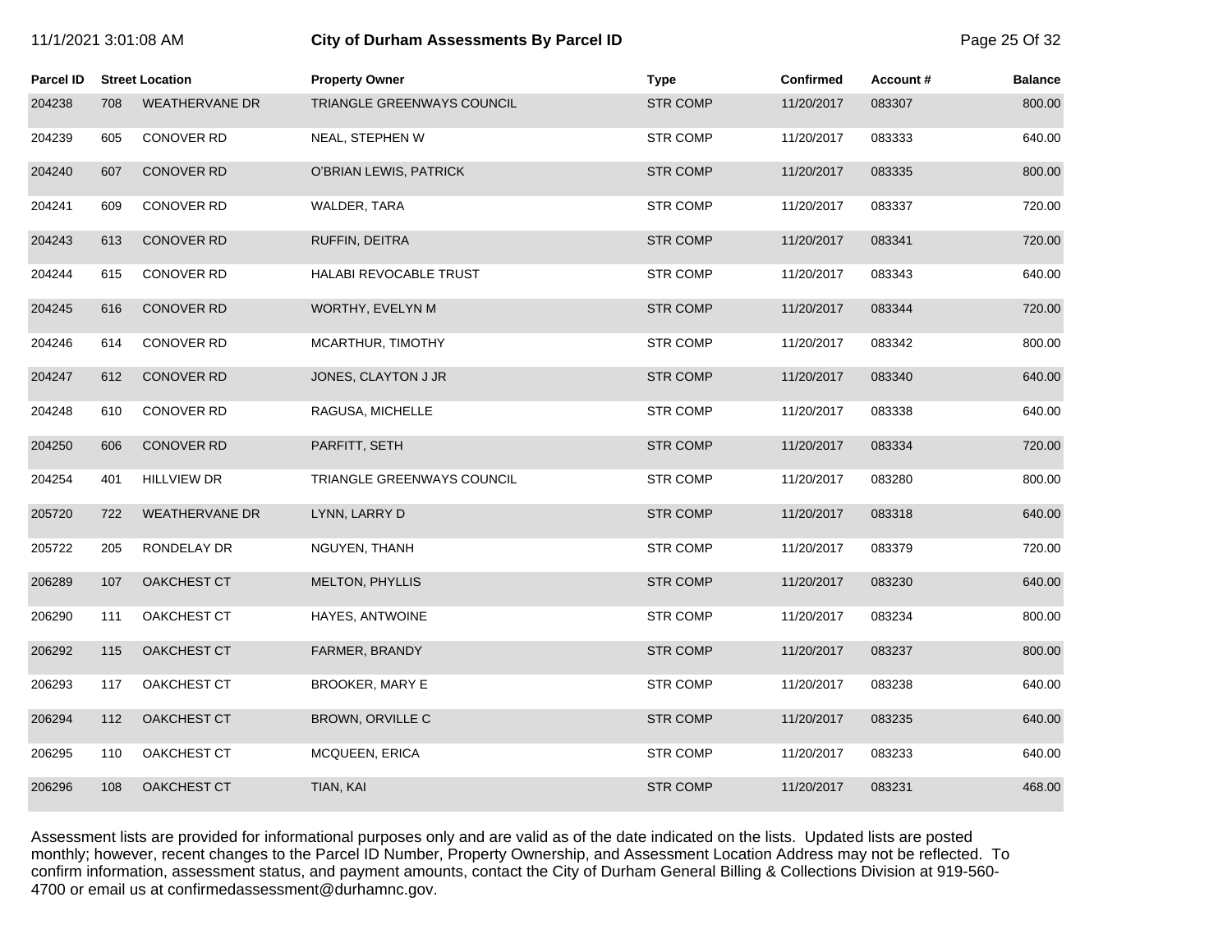# 11/1/2021 3:01:08 AM **City of Durham Assessments By Parcel ID** Page 25 Of 32

| <b>Parcel ID</b> |     | <b>Street Location</b> | <b>Property Owner</b>         | <b>Type</b>     | <b>Confirmed</b> | Account# | <b>Balance</b> |
|------------------|-----|------------------------|-------------------------------|-----------------|------------------|----------|----------------|
| 204238           | 708 | <b>WEATHERVANE DR</b>  | TRIANGLE GREENWAYS COUNCIL    | <b>STR COMP</b> | 11/20/2017       | 083307   | 800.00         |
| 204239           | 605 | <b>CONOVER RD</b>      | NEAL, STEPHEN W               | <b>STR COMP</b> | 11/20/2017       | 083333   | 640.00         |
| 204240           | 607 | <b>CONOVER RD</b>      | O'BRIAN LEWIS, PATRICK        | <b>STR COMP</b> | 11/20/2017       | 083335   | 800.00         |
| 204241           | 609 | CONOVER RD             | WALDER, TARA                  | <b>STR COMP</b> | 11/20/2017       | 083337   | 720.00         |
| 204243           | 613 | <b>CONOVER RD</b>      | RUFFIN, DEITRA                | <b>STR COMP</b> | 11/20/2017       | 083341   | 720.00         |
| 204244           | 615 | <b>CONOVER RD</b>      | <b>HALABI REVOCABLE TRUST</b> | <b>STR COMP</b> | 11/20/2017       | 083343   | 640.00         |
| 204245           | 616 | <b>CONOVER RD</b>      | WORTHY, EVELYN M              | <b>STR COMP</b> | 11/20/2017       | 083344   | 720.00         |
| 204246           | 614 | CONOVER RD             | MCARTHUR, TIMOTHY             | <b>STR COMP</b> | 11/20/2017       | 083342   | 800.00         |
| 204247           | 612 | <b>CONOVER RD</b>      | JONES, CLAYTON J JR           | <b>STR COMP</b> | 11/20/2017       | 083340   | 640.00         |
| 204248           | 610 | <b>CONOVER RD</b>      | RAGUSA, MICHELLE              | <b>STR COMP</b> | 11/20/2017       | 083338   | 640.00         |
| 204250           | 606 | <b>CONOVER RD</b>      | PARFITT, SETH                 | <b>STR COMP</b> | 11/20/2017       | 083334   | 720.00         |
| 204254           | 401 | <b>HILLVIEW DR</b>     | TRIANGLE GREENWAYS COUNCIL    | <b>STR COMP</b> | 11/20/2017       | 083280   | 800.00         |
| 205720           | 722 | <b>WEATHERVANE DR</b>  | LYNN, LARRY D                 | <b>STR COMP</b> | 11/20/2017       | 083318   | 640.00         |
| 205722           | 205 | RONDELAY DR            | NGUYEN, THANH                 | <b>STR COMP</b> | 11/20/2017       | 083379   | 720.00         |
| 206289           | 107 | OAKCHEST CT            | MELTON, PHYLLIS               | <b>STR COMP</b> | 11/20/2017       | 083230   | 640.00         |
| 206290           | 111 | OAKCHEST CT            | HAYES, ANTWOINE               | <b>STR COMP</b> | 11/20/2017       | 083234   | 800.00         |
| 206292           | 115 | OAKCHEST CT            | FARMER, BRANDY                | <b>STR COMP</b> | 11/20/2017       | 083237   | 800.00         |
| 206293           | 117 | OAKCHEST CT            | <b>BROOKER, MARY E</b>        | <b>STR COMP</b> | 11/20/2017       | 083238   | 640.00         |
| 206294           | 112 | OAKCHEST CT            | BROWN, ORVILLE C              | <b>STR COMP</b> | 11/20/2017       | 083235   | 640.00         |
| 206295           | 110 | OAKCHEST CT            | MCQUEEN, ERICA                | <b>STR COMP</b> | 11/20/2017       | 083233   | 640.00         |
| 206296           | 108 | <b>OAKCHEST CT</b>     | TIAN, KAI                     | <b>STR COMP</b> | 11/20/2017       | 083231   | 468.00         |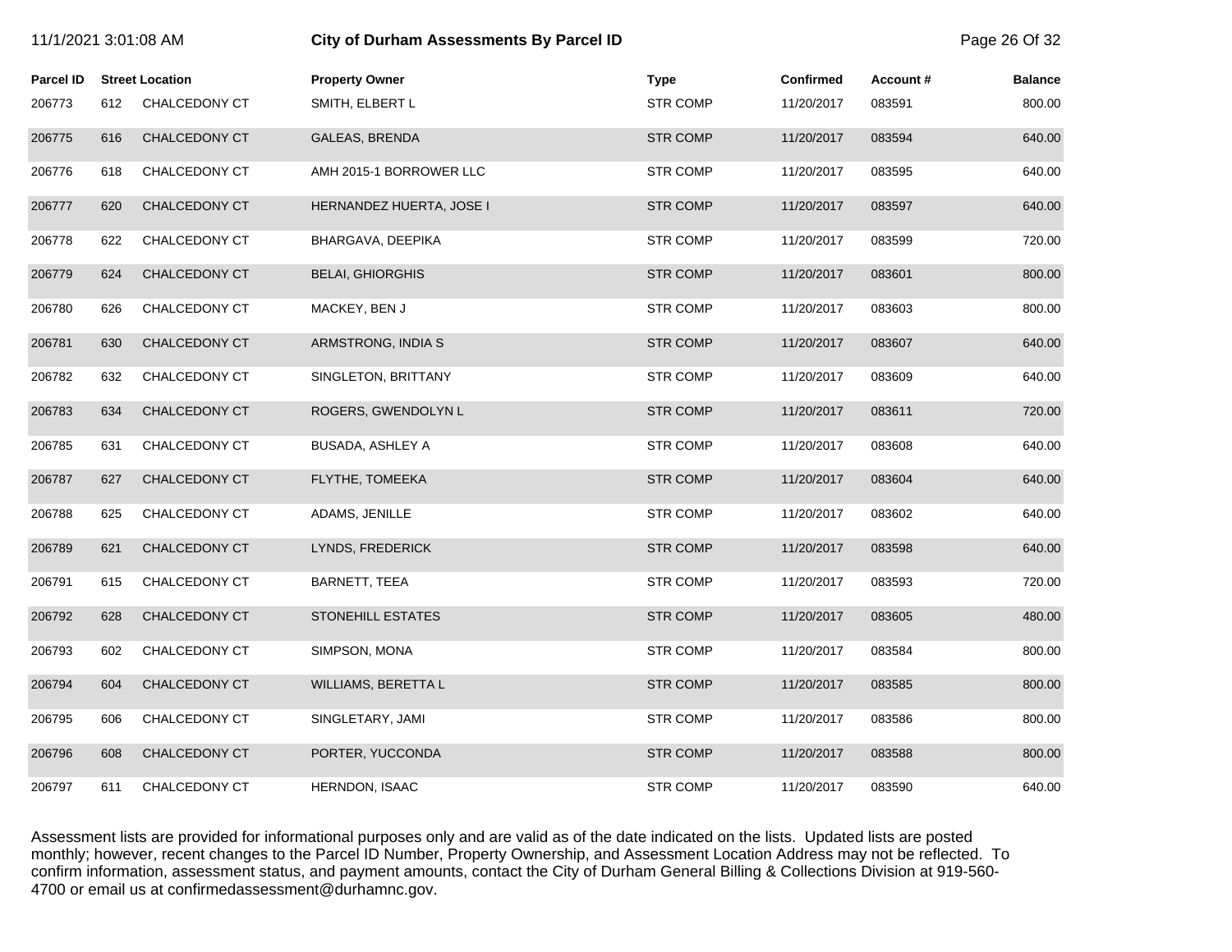| 11/1/2021 3:01:08 AM |     |                        | <b>City of Durham Assessments By Parcel ID</b> |                 |                  |          | Page 26 Of 32  |
|----------------------|-----|------------------------|------------------------------------------------|-----------------|------------------|----------|----------------|
| <b>Parcel ID</b>     |     | <b>Street Location</b> | <b>Property Owner</b>                          | <b>Type</b>     | <b>Confirmed</b> | Account# | <b>Balance</b> |
| 206773               | 612 | CHALCEDONY CT          | SMITH, ELBERT L                                | <b>STR COMP</b> | 11/20/2017       | 083591   | 800.00         |
| 206775               | 616 | CHALCEDONY CT          | <b>GALEAS, BRENDA</b>                          | <b>STR COMP</b> | 11/20/2017       | 083594   | 640.00         |
| 206776               | 618 | CHALCEDONY CT          | AMH 2015-1 BORROWER LLC                        | <b>STR COMP</b> | 11/20/2017       | 083595   | 640.00         |
| 206777               | 620 | CHALCEDONY CT          | HERNANDEZ HUERTA, JOSE I                       | <b>STR COMP</b> | 11/20/2017       | 083597   | 640.00         |
| 206778               | 622 | CHALCEDONY CT          | BHARGAVA, DEEPIKA                              | <b>STR COMP</b> | 11/20/2017       | 083599   | 720.00         |
| 206779               | 624 | CHALCEDONY CT          | <b>BELAI, GHIORGHIS</b>                        | <b>STR COMP</b> | 11/20/2017       | 083601   | 800.00         |
| 206780               | 626 | CHALCEDONY CT          | MACKEY, BEN J                                  | <b>STR COMP</b> | 11/20/2017       | 083603   | 800.00         |
| 206781               | 630 | CHALCEDONY CT          | ARMSTRONG, INDIA S                             | <b>STR COMP</b> | 11/20/2017       | 083607   | 640.00         |
| 206782               | 632 | CHALCEDONY CT          | SINGLETON, BRITTANY                            | <b>STR COMP</b> | 11/20/2017       | 083609   | 640.00         |
| 206783               | 634 | CHALCEDONY CT          | ROGERS, GWENDOLYN L                            | <b>STR COMP</b> | 11/20/2017       | 083611   | 720.00         |
| 206785               | 631 | CHALCEDONY CT          | <b>BUSADA, ASHLEY A</b>                        | <b>STR COMP</b> | 11/20/2017       | 083608   | 640.00         |
| 206787               | 627 | CHALCEDONY CT          | FLYTHE, TOMEEKA                                | <b>STR COMP</b> | 11/20/2017       | 083604   | 640.00         |
| 206788               | 625 | CHALCEDONY CT          | ADAMS, JENILLE                                 | <b>STR COMP</b> | 11/20/2017       | 083602   | 640.00         |
| 206789               | 621 | CHALCEDONY CT          | LYNDS, FREDERICK                               | <b>STR COMP</b> | 11/20/2017       | 083598   | 640.00         |
| 206791               | 615 | CHALCEDONY CT          | BARNETT, TEEA                                  | <b>STR COMP</b> | 11/20/2017       | 083593   | 720.00         |
| 206792               | 628 | CHALCEDONY CT          | <b>STONEHILL ESTATES</b>                       | <b>STR COMP</b> | 11/20/2017       | 083605   | 480.00         |
| 206793               | 602 | CHALCEDONY CT          | SIMPSON, MONA                                  | <b>STR COMP</b> | 11/20/2017       | 083584   | 800.00         |
| 206794               | 604 | CHALCEDONY CT          | WILLIAMS, BERETTA L                            | <b>STR COMP</b> | 11/20/2017       | 083585   | 800.00         |
| 206795               | 606 | CHALCEDONY CT          | SINGLETARY, JAMI                               | <b>STR COMP</b> | 11/20/2017       | 083586   | 800.00         |
| 206796               | 608 | CHALCEDONY CT          | PORTER, YUCCONDA                               | <b>STR COMP</b> | 11/20/2017       | 083588   | 800.00         |
| 206797               | 611 | CHALCEDONY CT          | <b>HERNDON, ISAAC</b>                          | <b>STR COMP</b> | 11/20/2017       | 083590   | 640.00         |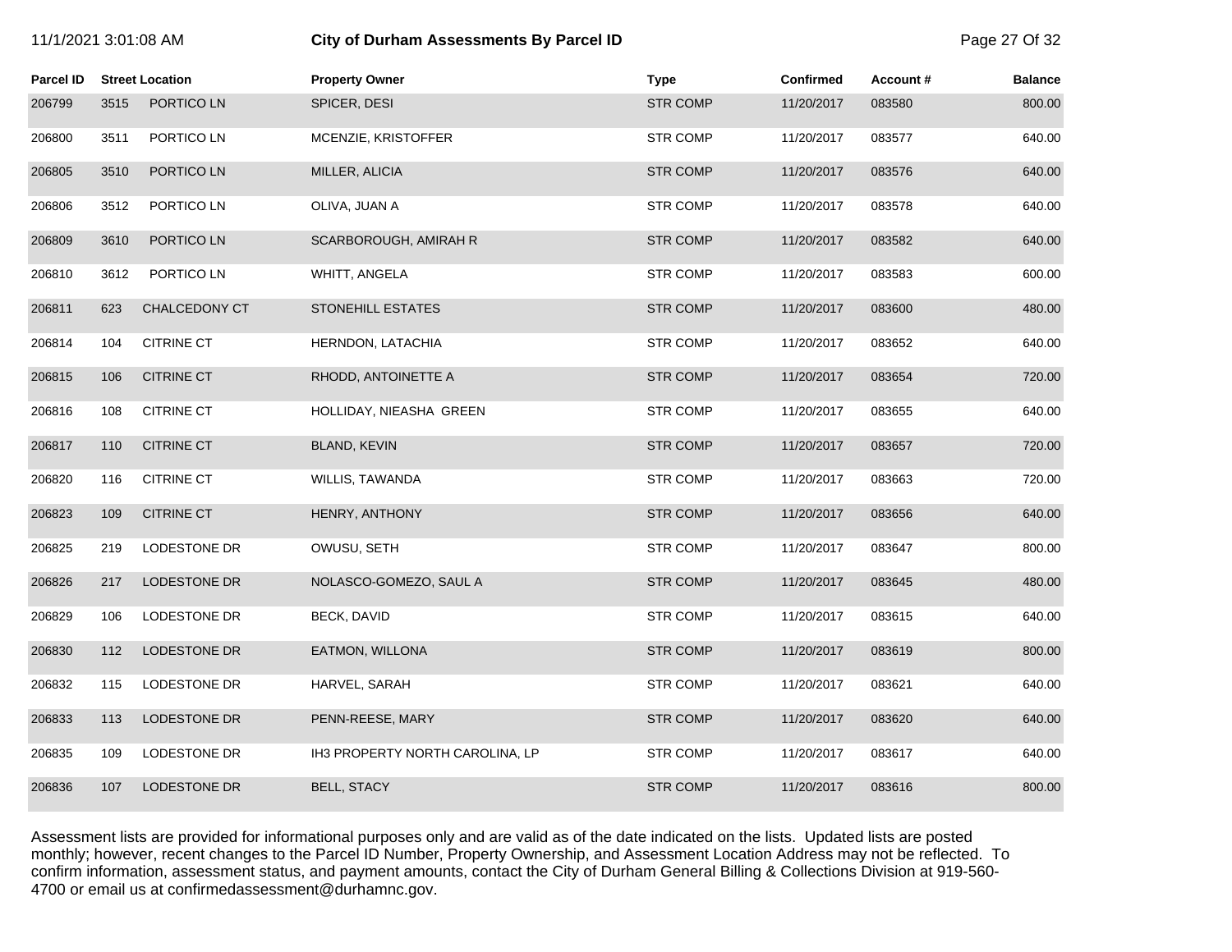| 11/1/2021 3:01:08 AM |      |                        | City of Durham Assessments By Parcel ID |                 |                  |          | Page 27 Of 32  |
|----------------------|------|------------------------|-----------------------------------------|-----------------|------------------|----------|----------------|
| <b>Parcel ID</b>     |      | <b>Street Location</b> | <b>Property Owner</b>                   | <b>Type</b>     | <b>Confirmed</b> | Account# | <b>Balance</b> |
| 206799               | 3515 | PORTICO LN             | SPICER, DESI                            | <b>STR COMP</b> | 11/20/2017       | 083580   | 800.00         |
| 206800               | 3511 | PORTICO LN             | MCENZIE, KRISTOFFER                     | <b>STR COMP</b> | 11/20/2017       | 083577   | 640.00         |
| 206805               | 3510 | PORTICO LN             | MILLER, ALICIA                          | <b>STR COMP</b> | 11/20/2017       | 083576   | 640.00         |
| 206806               | 3512 | PORTICO LN             | OLIVA, JUAN A                           | <b>STR COMP</b> | 11/20/2017       | 083578   | 640.00         |
| 206809               | 3610 | PORTICO LN             | SCARBOROUGH, AMIRAH R                   | <b>STR COMP</b> | 11/20/2017       | 083582   | 640.00         |
| 206810               | 3612 | PORTICO LN             | WHITT, ANGELA                           | <b>STR COMP</b> | 11/20/2017       | 083583   | 600.00         |
| 206811               | 623  | <b>CHALCEDONY CT</b>   | <b>STONEHILL ESTATES</b>                | <b>STR COMP</b> | 11/20/2017       | 083600   | 480.00         |
| 206814               | 104  | <b>CITRINE CT</b>      | HERNDON, LATACHIA                       | <b>STR COMP</b> | 11/20/2017       | 083652   | 640.00         |
| 206815               | 106  | <b>CITRINE CT</b>      | RHODD, ANTOINETTE A                     | <b>STR COMP</b> | 11/20/2017       | 083654   | 720.00         |
| 206816               | 108  | <b>CITRINE CT</b>      | HOLLIDAY, NIEASHA GREEN                 | <b>STR COMP</b> | 11/20/2017       | 083655   | 640.00         |
| 206817               | 110  | <b>CITRINE CT</b>      | <b>BLAND, KEVIN</b>                     | <b>STR COMP</b> | 11/20/2017       | 083657   | 720.00         |
| 206820               | 116  | <b>CITRINE CT</b>      | WILLIS, TAWANDA                         | <b>STR COMP</b> | 11/20/2017       | 083663   | 720.00         |
| 206823               | 109  | <b>CITRINE CT</b>      | HENRY, ANTHONY                          | <b>STR COMP</b> | 11/20/2017       | 083656   | 640.00         |
| 206825               | 219  | LODESTONE DR           | OWUSU, SETH                             | <b>STR COMP</b> | 11/20/2017       | 083647   | 800.00         |
| 206826               | 217  | LODESTONE DR           | NOLASCO-GOMEZO, SAUL A                  | <b>STR COMP</b> | 11/20/2017       | 083645   | 480.00         |
| 206829               | 106  | LODESTONE DR           | <b>BECK, DAVID</b>                      | <b>STR COMP</b> | 11/20/2017       | 083615   | 640.00         |
| 206830               | 112  | LODESTONE DR           | EATMON, WILLONA                         | <b>STR COMP</b> | 11/20/2017       | 083619   | 800.00         |
| 206832               | 115  | LODESTONE DR           | HARVEL, SARAH                           | <b>STR COMP</b> | 11/20/2017       | 083621   | 640.00         |
| 206833               | 113  | LODESTONE DR           | PENN-REESE, MARY                        | <b>STR COMP</b> | 11/20/2017       | 083620   | 640.00         |
| 206835               | 109  | LODESTONE DR           | IH3 PROPERTY NORTH CAROLINA, LP         | <b>STR COMP</b> | 11/20/2017       | 083617   | 640.00         |
| 206836               | 107  | <b>LODESTONE DR</b>    | <b>BELL, STACY</b>                      | <b>STR COMP</b> | 11/20/2017       | 083616   | 800.00         |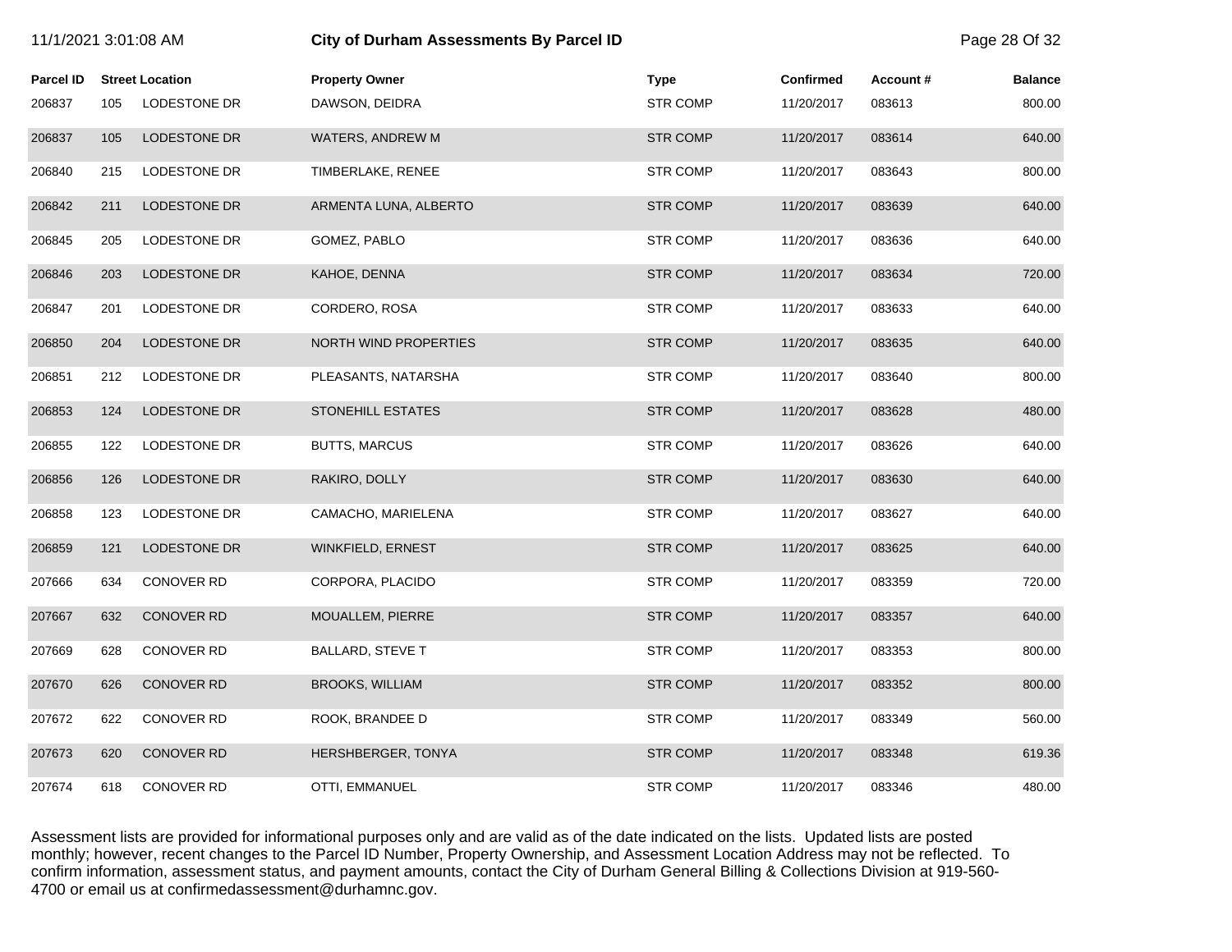| 11/1/2021 3:01:08 AM |     |                        | <b>City of Durham Assessments By Parcel ID</b> |                 |                  |          | Page 28 Of 32  |
|----------------------|-----|------------------------|------------------------------------------------|-----------------|------------------|----------|----------------|
| <b>Parcel ID</b>     |     | <b>Street Location</b> | <b>Property Owner</b>                          | <b>Type</b>     | <b>Confirmed</b> | Account# | <b>Balance</b> |
| 206837               | 105 | LODESTONE DR           | DAWSON, DEIDRA                                 | <b>STR COMP</b> | 11/20/2017       | 083613   | 800.00         |
| 206837               | 105 | LODESTONE DR           | WATERS, ANDREW M                               | <b>STR COMP</b> | 11/20/2017       | 083614   | 640.00         |
| 206840               | 215 | <b>LODESTONE DR</b>    | TIMBERLAKE, RENEE                              | <b>STR COMP</b> | 11/20/2017       | 083643   | 800.00         |
| 206842               | 211 | <b>LODESTONE DR</b>    | ARMENTA LUNA, ALBERTO                          | <b>STR COMP</b> | 11/20/2017       | 083639   | 640.00         |
| 206845               | 205 | LODESTONE DR           | GOMEZ, PABLO                                   | <b>STR COMP</b> | 11/20/2017       | 083636   | 640.00         |
| 206846               | 203 | <b>LODESTONE DR</b>    | KAHOE, DENNA                                   | <b>STR COMP</b> | 11/20/2017       | 083634   | 720.00         |
| 206847               | 201 | LODESTONE DR           | CORDERO, ROSA                                  | <b>STR COMP</b> | 11/20/2017       | 083633   | 640.00         |
| 206850               | 204 | <b>LODESTONE DR</b>    | <b>NORTH WIND PROPERTIES</b>                   | <b>STR COMP</b> | 11/20/2017       | 083635   | 640.00         |
| 206851               | 212 | LODESTONE DR           | PLEASANTS, NATARSHA                            | <b>STR COMP</b> | 11/20/2017       | 083640   | 800.00         |
| 206853               | 124 | LODESTONE DR           | STONEHILL ESTATES                              | <b>STR COMP</b> | 11/20/2017       | 083628   | 480.00         |
| 206855               | 122 | LODESTONE DR           | <b>BUTTS, MARCUS</b>                           | <b>STR COMP</b> | 11/20/2017       | 083626   | 640.00         |
| 206856               | 126 | <b>LODESTONE DR</b>    | RAKIRO, DOLLY                                  | <b>STR COMP</b> | 11/20/2017       | 083630   | 640.00         |
| 206858               | 123 | LODESTONE DR           | CAMACHO, MARIELENA                             | <b>STR COMP</b> | 11/20/2017       | 083627   | 640.00         |
| 206859               | 121 | LODESTONE DR           | WINKFIELD, ERNEST                              | <b>STR COMP</b> | 11/20/2017       | 083625   | 640.00         |
| 207666               | 634 | CONOVER RD             | CORPORA, PLACIDO                               | <b>STR COMP</b> | 11/20/2017       | 083359   | 720.00         |
| 207667               | 632 | CONOVER RD             | MOUALLEM, PIERRE                               | <b>STR COMP</b> | 11/20/2017       | 083357   | 640.00         |
| 207669               | 628 | <b>CONOVER RD</b>      | <b>BALLARD, STEVE T</b>                        | <b>STR COMP</b> | 11/20/2017       | 083353   | 800.00         |
| 207670               | 626 | <b>CONOVER RD</b>      | <b>BROOKS, WILLIAM</b>                         | <b>STR COMP</b> | 11/20/2017       | 083352   | 800.00         |
| 207672               | 622 | CONOVER RD             | ROOK, BRANDEE D                                | <b>STR COMP</b> | 11/20/2017       | 083349   | 560.00         |
| 207673               | 620 | <b>CONOVER RD</b>      | HERSHBERGER, TONYA                             | <b>STR COMP</b> | 11/20/2017       | 083348   | 619.36         |
| 207674               | 618 | <b>CONOVER RD</b>      | OTTI, EMMANUEL                                 | <b>STR COMP</b> | 11/20/2017       | 083346   | 480.00         |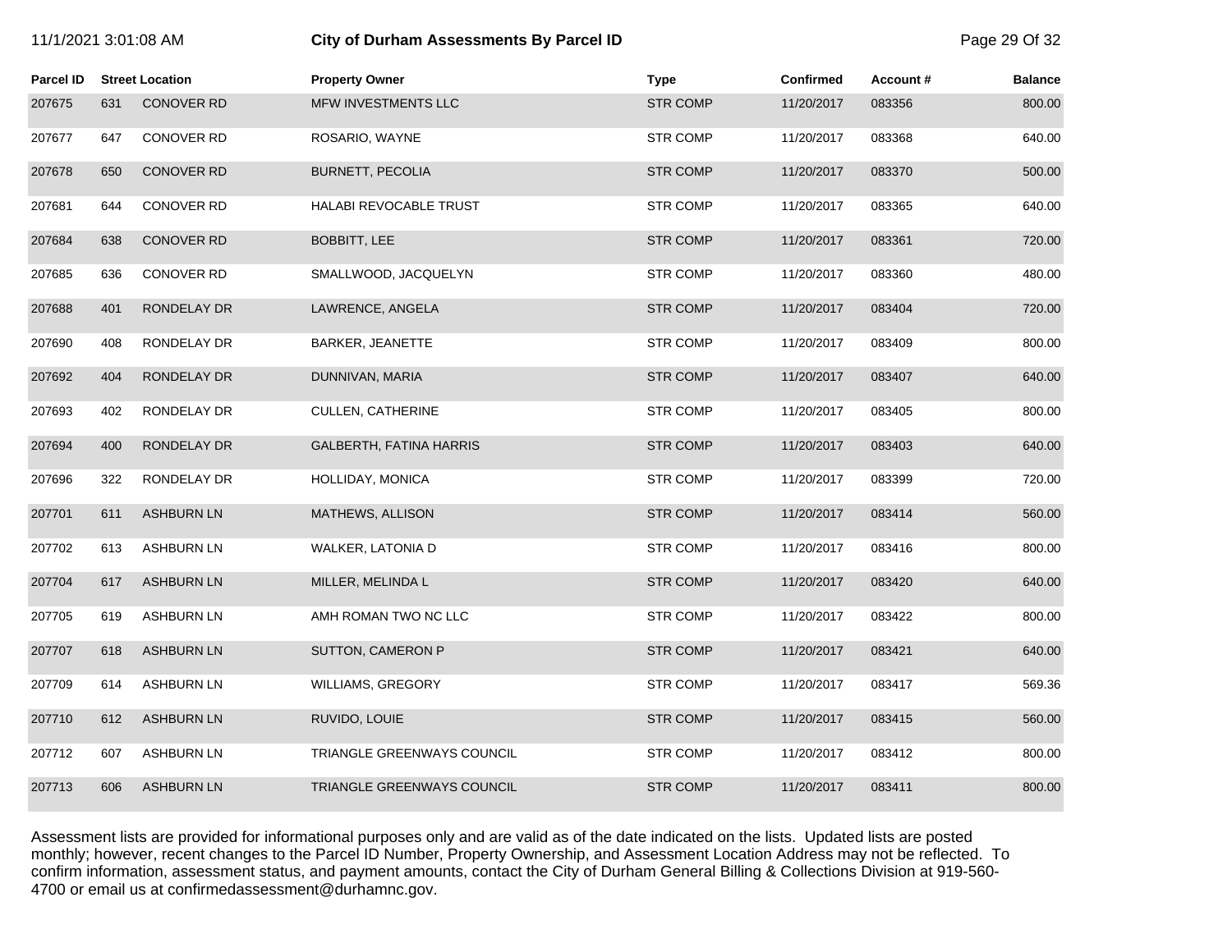# 11/1/2021 3:01:08 AM **City of Durham Assessments By Parcel ID** Page 29 Of 32

| <b>Parcel ID</b> |     | <b>Street Location</b> | <b>Property Owner</b>          | <b>Type</b>     | <b>Confirmed</b> | Account# | <b>Balance</b> |
|------------------|-----|------------------------|--------------------------------|-----------------|------------------|----------|----------------|
| 207675           | 631 | <b>CONOVER RD</b>      | MFW INVESTMENTS LLC            | <b>STR COMP</b> | 11/20/2017       | 083356   | 800.00         |
| 207677           | 647 | <b>CONOVER RD</b>      | ROSARIO, WAYNE                 | <b>STR COMP</b> | 11/20/2017       | 083368   | 640.00         |
| 207678           | 650 | <b>CONOVER RD</b>      | <b>BURNETT, PECOLIA</b>        | <b>STR COMP</b> | 11/20/2017       | 083370   | 500.00         |
| 207681           | 644 | CONOVER RD             | <b>HALABI REVOCABLE TRUST</b>  | <b>STR COMP</b> | 11/20/2017       | 083365   | 640.00         |
| 207684           | 638 | <b>CONOVER RD</b>      | <b>BOBBITT, LEE</b>            | <b>STR COMP</b> | 11/20/2017       | 083361   | 720.00         |
| 207685           | 636 | CONOVER RD             | SMALLWOOD, JACQUELYN           | <b>STR COMP</b> | 11/20/2017       | 083360   | 480.00         |
| 207688           | 401 | RONDELAY DR            | LAWRENCE, ANGELA               | <b>STR COMP</b> | 11/20/2017       | 083404   | 720.00         |
| 207690           | 408 | RONDELAY DR            | BARKER, JEANETTE               | <b>STR COMP</b> | 11/20/2017       | 083409   | 800.00         |
| 207692           | 404 | RONDELAY DR            | DUNNIVAN, MARIA                | <b>STR COMP</b> | 11/20/2017       | 083407   | 640.00         |
| 207693           | 402 | RONDELAY DR            | CULLEN, CATHERINE              | <b>STR COMP</b> | 11/20/2017       | 083405   | 800.00         |
| 207694           | 400 | RONDELAY DR            | <b>GALBERTH, FATINA HARRIS</b> | <b>STR COMP</b> | 11/20/2017       | 083403   | 640.00         |
| 207696           | 322 | RONDELAY DR            | HOLLIDAY, MONICA               | <b>STR COMP</b> | 11/20/2017       | 083399   | 720.00         |
| 207701           | 611 | <b>ASHBURN LN</b>      | MATHEWS, ALLISON               | <b>STR COMP</b> | 11/20/2017       | 083414   | 560.00         |
| 207702           | 613 | <b>ASHBURN LN</b>      | WALKER, LATONIA D              | <b>STR COMP</b> | 11/20/2017       | 083416   | 800.00         |
| 207704           | 617 | <b>ASHBURN LN</b>      | MILLER, MELINDA L              | <b>STR COMP</b> | 11/20/2017       | 083420   | 640.00         |
| 207705           | 619 | <b>ASHBURN LN</b>      | AMH ROMAN TWO NC LLC           | <b>STR COMP</b> | 11/20/2017       | 083422   | 800.00         |
| 207707           | 618 | <b>ASHBURN LN</b>      | SUTTON, CAMERON P              | <b>STR COMP</b> | 11/20/2017       | 083421   | 640.00         |
| 207709           | 614 | <b>ASHBURN LN</b>      | WILLIAMS, GREGORY              | <b>STR COMP</b> | 11/20/2017       | 083417   | 569.36         |
| 207710           | 612 | <b>ASHBURN LN</b>      | RUVIDO, LOUIE                  | <b>STR COMP</b> | 11/20/2017       | 083415   | 560.00         |
| 207712           | 607 | <b>ASHBURN LN</b>      | TRIANGLE GREENWAYS COUNCIL     | <b>STR COMP</b> | 11/20/2017       | 083412   | 800.00         |
| 207713           | 606 | <b>ASHBURN LN</b>      | TRIANGLE GREENWAYS COUNCIL     | <b>STR COMP</b> | 11/20/2017       | 083411   | 800.00         |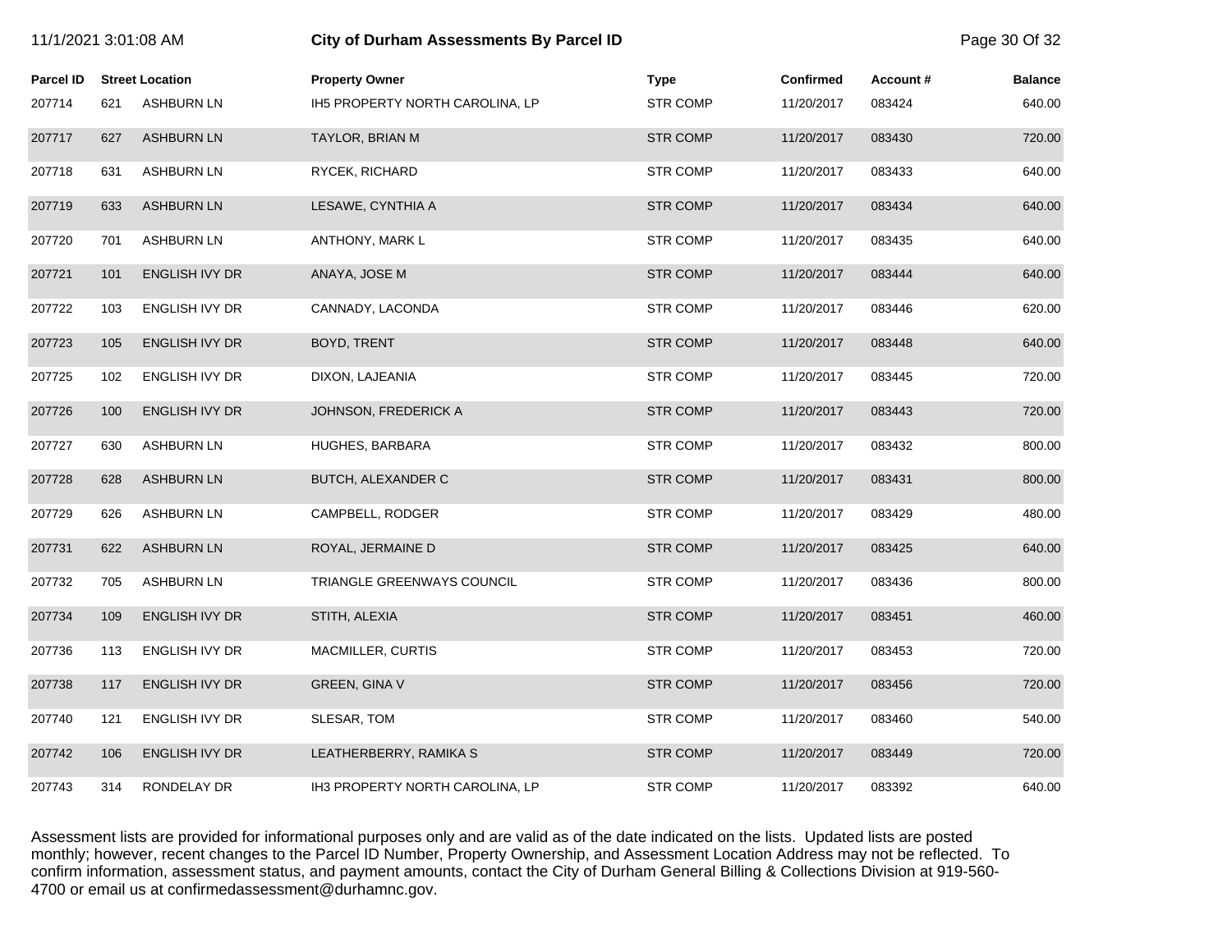| 11/1/2021 3:01:08 AM |     |                        | City of Durham Assessments By Parcel ID |                 |                  |          | Page 30 Of 32  |
|----------------------|-----|------------------------|-----------------------------------------|-----------------|------------------|----------|----------------|
| <b>Parcel ID</b>     |     | <b>Street Location</b> | <b>Property Owner</b>                   | <b>Type</b>     | <b>Confirmed</b> | Account# | <b>Balance</b> |
| 207714               | 621 | <b>ASHBURN LN</b>      | IH5 PROPERTY NORTH CAROLINA, LP         | <b>STR COMP</b> | 11/20/2017       | 083424   | 640.00         |
| 207717               | 627 | <b>ASHBURN LN</b>      | TAYLOR, BRIAN M                         | <b>STR COMP</b> | 11/20/2017       | 083430   | 720.00         |
| 207718               | 631 | <b>ASHBURN LN</b>      | RYCEK, RICHARD                          | <b>STR COMP</b> | 11/20/2017       | 083433   | 640.00         |
| 207719               | 633 | <b>ASHBURN LN</b>      | LESAWE, CYNTHIA A                       | <b>STR COMP</b> | 11/20/2017       | 083434   | 640.00         |
| 207720               | 701 | <b>ASHBURN LN</b>      | ANTHONY, MARK L                         | <b>STR COMP</b> | 11/20/2017       | 083435   | 640.00         |
| 207721               | 101 | <b>ENGLISH IVY DR</b>  | ANAYA, JOSE M                           | <b>STR COMP</b> | 11/20/2017       | 083444   | 640.00         |
| 207722               | 103 | ENGLISH IVY DR         | CANNADY, LACONDA                        | <b>STR COMP</b> | 11/20/2017       | 083446   | 620.00         |
| 207723               | 105 | ENGLISH IVY DR         | BOYD, TRENT                             | <b>STR COMP</b> | 11/20/2017       | 083448   | 640.00         |
| 207725               | 102 | ENGLISH IVY DR         | DIXON, LAJEANIA                         | <b>STR COMP</b> | 11/20/2017       | 083445   | 720.00         |
| 207726               | 100 | <b>ENGLISH IVY DR</b>  | JOHNSON, FREDERICK A                    | <b>STR COMP</b> | 11/20/2017       | 083443   | 720.00         |
| 207727               | 630 | <b>ASHBURN LN</b>      | HUGHES, BARBARA                         | <b>STR COMP</b> | 11/20/2017       | 083432   | 800.00         |
| 207728               | 628 | <b>ASHBURN LN</b>      | BUTCH, ALEXANDER C                      | <b>STR COMP</b> | 11/20/2017       | 083431   | 800.00         |
| 207729               | 626 | <b>ASHBURN LN</b>      | CAMPBELL, RODGER                        | <b>STR COMP</b> | 11/20/2017       | 083429   | 480.00         |
| 207731               | 622 | <b>ASHBURN LN</b>      | ROYAL, JERMAINE D                       | <b>STR COMP</b> | 11/20/2017       | 083425   | 640.00         |
| 207732               | 705 | <b>ASHBURN LN</b>      | TRIANGLE GREENWAYS COUNCIL              | <b>STR COMP</b> | 11/20/2017       | 083436   | 800.00         |
| 207734               | 109 | ENGLISH IVY DR         | STITH, ALEXIA                           | <b>STR COMP</b> | 11/20/2017       | 083451   | 460.00         |
| 207736               | 113 | <b>ENGLISH IVY DR</b>  | MACMILLER, CURTIS                       | <b>STR COMP</b> | 11/20/2017       | 083453   | 720.00         |
| 207738               | 117 | ENGLISH IVY DR         | <b>GREEN, GINA V</b>                    | <b>STR COMP</b> | 11/20/2017       | 083456   | 720.00         |
| 207740               | 121 | ENGLISH IVY DR         | SLESAR, TOM                             | <b>STR COMP</b> | 11/20/2017       | 083460   | 540.00         |
| 207742               | 106 | <b>ENGLISH IVY DR</b>  | LEATHERBERRY, RAMIKA S                  | <b>STR COMP</b> | 11/20/2017       | 083449   | 720.00         |
| 207743               | 314 | RONDELAY DR            | IH3 PROPERTY NORTH CAROLINA, LP         | <b>STR COMP</b> | 11/20/2017       | 083392   | 640.00         |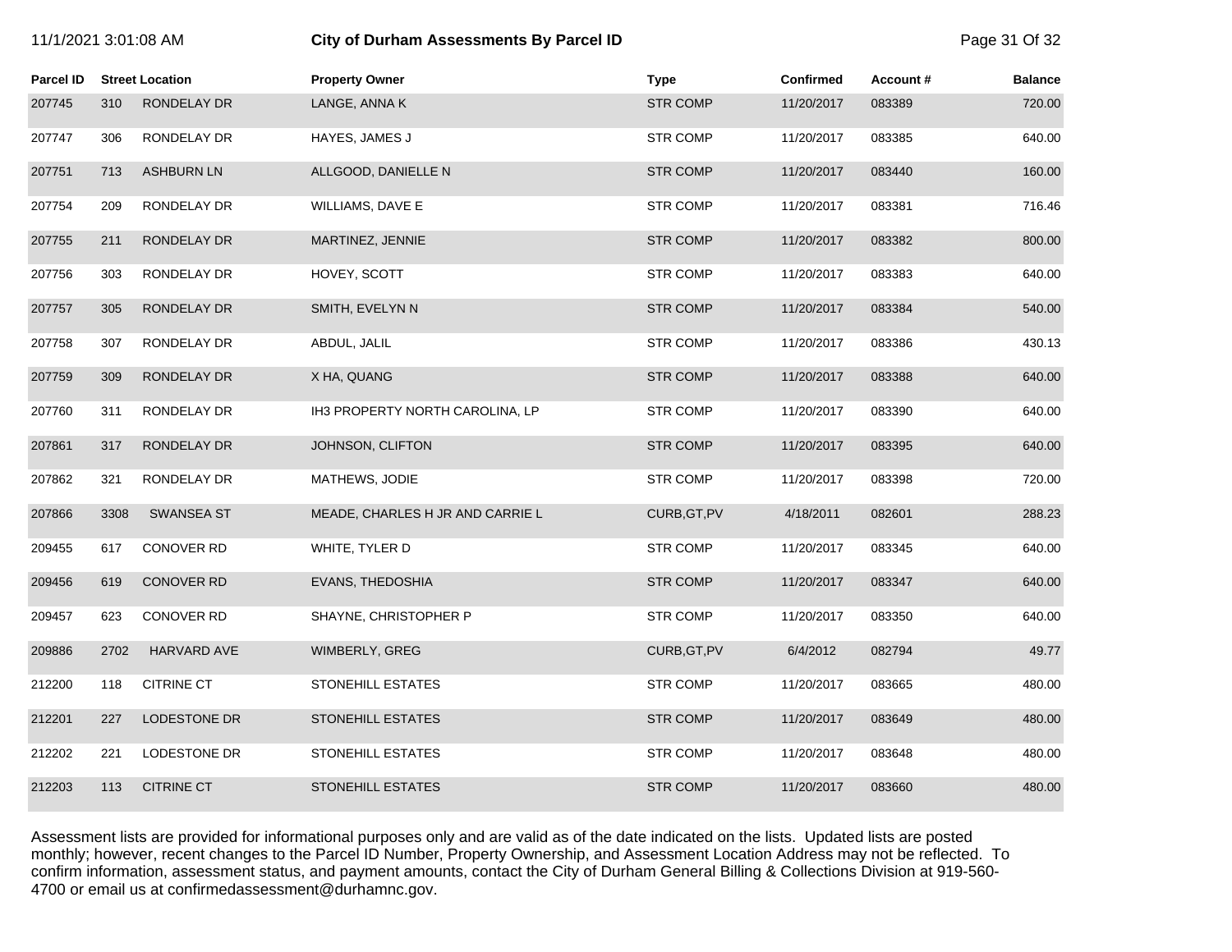| 11/1/2021 3:01:08 AM |      |                        | City of Durham Assessments By Parcel ID |                 |                  |          | Page 31 Of 32  |
|----------------------|------|------------------------|-----------------------------------------|-----------------|------------------|----------|----------------|
| <b>Parcel ID</b>     |      | <b>Street Location</b> | <b>Property Owner</b>                   | <b>Type</b>     | <b>Confirmed</b> | Account# | <b>Balance</b> |
| 207745               | 310  | RONDELAY DR            | LANGE, ANNA K                           | <b>STR COMP</b> | 11/20/2017       | 083389   | 720.00         |
| 207747               | 306  | RONDELAY DR            | HAYES, JAMES J                          | <b>STR COMP</b> | 11/20/2017       | 083385   | 640.00         |
| 207751               | 713  | <b>ASHBURN LN</b>      | ALLGOOD, DANIELLE N                     | <b>STR COMP</b> | 11/20/2017       | 083440   | 160.00         |
| 207754               | 209  | RONDELAY DR            | WILLIAMS, DAVE E                        | <b>STR COMP</b> | 11/20/2017       | 083381   | 716.46         |
| 207755               | 211  | RONDELAY DR            | MARTINEZ, JENNIE                        | <b>STR COMP</b> | 11/20/2017       | 083382   | 800.00         |
| 207756               | 303  | RONDELAY DR            | HOVEY, SCOTT                            | STR COMP        | 11/20/2017       | 083383   | 640.00         |
| 207757               | 305  | RONDELAY DR            | SMITH, EVELYN N                         | <b>STR COMP</b> | 11/20/2017       | 083384   | 540.00         |
| 207758               | 307  | RONDELAY DR            | ABDUL, JALIL                            | <b>STR COMP</b> | 11/20/2017       | 083386   | 430.13         |
| 207759               | 309  | RONDELAY DR            | X HA, QUANG                             | <b>STR COMP</b> | 11/20/2017       | 083388   | 640.00         |
| 207760               | 311  | RONDELAY DR            | IH3 PROPERTY NORTH CAROLINA, LP         | STR COMP        | 11/20/2017       | 083390   | 640.00         |
| 207861               | 317  | RONDELAY DR            | JOHNSON, CLIFTON                        | <b>STR COMP</b> | 11/20/2017       | 083395   | 640.00         |
| 207862               | 321  | RONDELAY DR            | MATHEWS, JODIE                          | <b>STR COMP</b> | 11/20/2017       | 083398   | 720.00         |
| 207866               | 3308 | <b>SWANSEA ST</b>      | MEADE, CHARLES H JR AND CARRIE L        | CURB, GT, PV    | 4/18/2011        | 082601   | 288.23         |
| 209455               | 617  | <b>CONOVER RD</b>      | WHITE, TYLER D                          | <b>STR COMP</b> | 11/20/2017       | 083345   | 640.00         |
| 209456               | 619  | CONOVER RD             | EVANS, THEDOSHIA                        | <b>STR COMP</b> | 11/20/2017       | 083347   | 640.00         |
| 209457               | 623  | <b>CONOVER RD</b>      | SHAYNE, CHRISTOPHER P                   | <b>STR COMP</b> | 11/20/2017       | 083350   | 640.00         |
| 209886               | 2702 | <b>HARVARD AVE</b>     | WIMBERLY, GREG                          | CURB, GT, PV    | 6/4/2012         | 082794   | 49.77          |
| 212200               | 118  | <b>CITRINE CT</b>      | STONEHILL ESTATES                       | <b>STR COMP</b> | 11/20/2017       | 083665   | 480.00         |
| 212201               | 227  | LODESTONE DR           | <b>STONEHILL ESTATES</b>                | <b>STR COMP</b> | 11/20/2017       | 083649   | 480.00         |
| 212202               | 221  | LODESTONE DR           | STONEHILL ESTATES                       | <b>STR COMP</b> | 11/20/2017       | 083648   | 480.00         |
| 212203               | 113  | <b>CITRINE CT</b>      | <b>STONEHILL ESTATES</b>                | <b>STR COMP</b> | 11/20/2017       | 083660   | 480.00         |